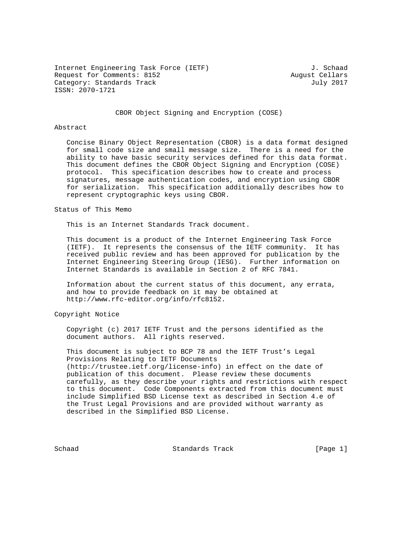Internet Engineering Task Force (IETF) 3. Schaad Request for Comments: 8152 August Cellars Category: Standards Track July 2017 ISSN: 2070-1721

CBOR Object Signing and Encryption (COSE)

## Abstract

 Concise Binary Object Representation (CBOR) is a data format designed for small code size and small message size. There is a need for the ability to have basic security services defined for this data format. This document defines the CBOR Object Signing and Encryption (COSE) protocol. This specification describes how to create and process signatures, message authentication codes, and encryption using CBOR for serialization. This specification additionally describes how to represent cryptographic keys using CBOR.

## Status of This Memo

This is an Internet Standards Track document.

 This document is a product of the Internet Engineering Task Force (IETF). It represents the consensus of the IETF community. It has received public review and has been approved for publication by the Internet Engineering Steering Group (IESG). Further information on Internet Standards is available in Section 2 of RFC 7841.

 Information about the current status of this document, any errata, and how to provide feedback on it may be obtained at http://www.rfc-editor.org/info/rfc8152.

Copyright Notice

 Copyright (c) 2017 IETF Trust and the persons identified as the document authors. All rights reserved.

 This document is subject to BCP 78 and the IETF Trust's Legal Provisions Relating to IETF Documents (http://trustee.ietf.org/license-info) in effect on the date of publication of this document. Please review these documents carefully, as they describe your rights and restrictions with respect to this document. Code Components extracted from this document must include Simplified BSD License text as described in Section 4.e of the Trust Legal Provisions and are provided without warranty as described in the Simplified BSD License.

Schaad Standards Track [Page 1]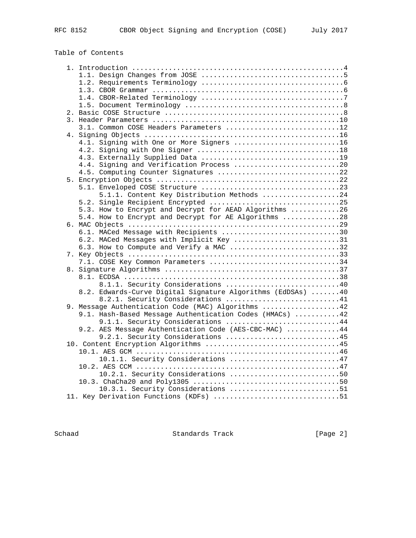# Table of Contents

|  | 3.1. Common COSE Headers Parameters 12                      |  |
|--|-------------------------------------------------------------|--|
|  |                                                             |  |
|  | 4.1. Signing with One or More Signers 16                    |  |
|  |                                                             |  |
|  |                                                             |  |
|  | 4.4. Signing and Verification Process 20                    |  |
|  | 4.5. Computing Counter Signatures 22                        |  |
|  |                                                             |  |
|  |                                                             |  |
|  | 5.1.1. Content Key Distribution Methods 24                  |  |
|  | 5.2. Single Recipient Encrypted 25                          |  |
|  | 5.3. How to Encrypt and Decrypt for AEAD Algorithms 26      |  |
|  | 5.4. How to Encrypt and Decrypt for AE Algorithms 28        |  |
|  |                                                             |  |
|  | 6.1. MACed Message with Recipients 30                       |  |
|  | 6.2. MACed Messages with Implicit Key 31                    |  |
|  | 6.3. How to Compute and Verify a MAC 32                     |  |
|  |                                                             |  |
|  | 7.1. COSE Key Common Parameters 34                          |  |
|  |                                                             |  |
|  |                                                             |  |
|  | 8.1.1. Security Considerations 40                           |  |
|  | 8.2. Edwards-Curve Digital Signature Algorithms (EdDSAs) 40 |  |
|  | 8.2.1. Security Considerations 41                           |  |
|  | 9. Message Authentication Code (MAC) Algorithms 42          |  |
|  | 9.1. Hash-Based Message Authentication Codes (HMACs) 42     |  |
|  | 9.1.1. Security Considerations 44                           |  |
|  | 9.2. AES Message Authentication Code (AES-CBC-MAC) 44       |  |
|  | 9.2.1. Security Considerations 45                           |  |
|  |                                                             |  |
|  | 10.1.1. Security Considerations 47                          |  |
|  |                                                             |  |
|  | 10.2.1. Security Considerations 50                          |  |
|  |                                                             |  |
|  | 10.3.1. Security Considerations 51                          |  |
|  | 11. Key Derivation Functions (KDFs) 51                      |  |
|  |                                                             |  |

Schaad Standards Track [Page 2]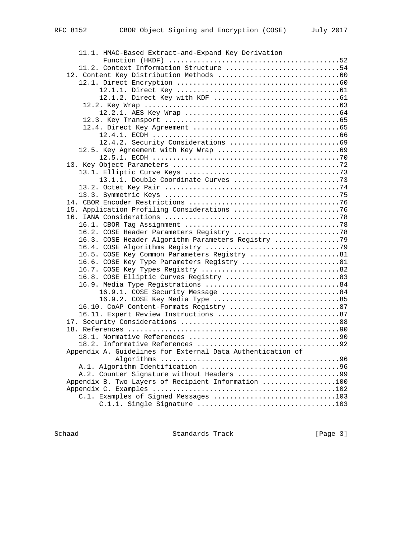| 11.1. HMAC-Based Extract-and-Expand Key Derivation                                         |  |
|--------------------------------------------------------------------------------------------|--|
| Function (HKDF) $\dots\dots\dots\dots\dots\dots\dots\dots\dots\dots\dots\dots\dots\dots52$ |  |
| 11.2. Context Information Structure 54                                                     |  |
|                                                                                            |  |
|                                                                                            |  |
|                                                                                            |  |
|                                                                                            |  |
|                                                                                            |  |
|                                                                                            |  |
|                                                                                            |  |
|                                                                                            |  |
|                                                                                            |  |
|                                                                                            |  |
|                                                                                            |  |
|                                                                                            |  |
|                                                                                            |  |
|                                                                                            |  |
|                                                                                            |  |
|                                                                                            |  |
|                                                                                            |  |
|                                                                                            |  |
|                                                                                            |  |
|                                                                                            |  |
|                                                                                            |  |
|                                                                                            |  |
| 16.3. COSE Header Algorithm Parameters Registry 79                                         |  |
|                                                                                            |  |
|                                                                                            |  |
| 16.5. COSE Key Common Parameters Registry 81                                               |  |
| 16.6. COSE Key Type Parameters Registry 81                                                 |  |
|                                                                                            |  |
| 16.8. COSE Elliptic Curves Registry 83                                                     |  |
|                                                                                            |  |
| 16.9.1. COSE Security Message 84                                                           |  |
| 16.9.2. COSE Key Media Type 85                                                             |  |
| 16.10. CoAP Content-Formats Registry 87                                                    |  |
|                                                                                            |  |
|                                                                                            |  |
|                                                                                            |  |
|                                                                                            |  |
|                                                                                            |  |
| Appendix A. Guidelines for External Data Authentication of                                 |  |
|                                                                                            |  |
|                                                                                            |  |
| A.2. Counter Signature without Headers 99                                                  |  |
| Appendix B. Two Layers of Recipient Information 100                                        |  |
|                                                                                            |  |
| C.1. Examples of Signed Messages 103                                                       |  |
|                                                                                            |  |

Schaad Standards Track [Page 3]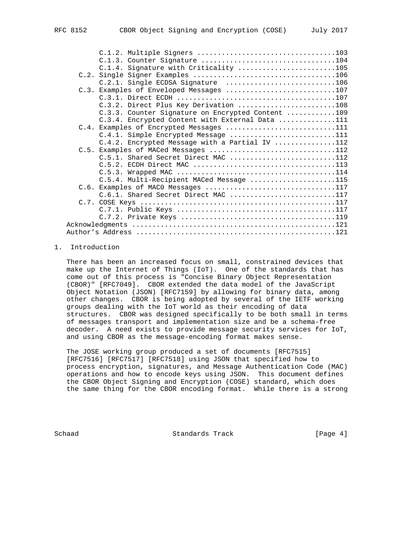|  | C.1.3. Counter Signature 104                      |  |
|--|---------------------------------------------------|--|
|  | C.1.4. Signature with Criticality 105             |  |
|  |                                                   |  |
|  | C.2.1. Single ECDSA Signature 106                 |  |
|  | C.3. Examples of Enveloped Messages 107           |  |
|  |                                                   |  |
|  | C.3.2. Direct Plus Key Derivation 108             |  |
|  | C.3.3. Counter Signature on Encrypted Content 109 |  |
|  | C.3.4. Encrypted Content with External Data 111   |  |
|  | C.4. Examples of Encrypted Messages 111           |  |
|  | C.4.1. Simple Encrypted Message 111               |  |
|  | C.4.2. Encrypted Message with a Partial IV 112    |  |
|  | C.5. Examples of MACed Messages 112               |  |
|  | C.5.1. Shared Secret Direct MAC 112               |  |
|  |                                                   |  |
|  |                                                   |  |
|  | C.5.4. Multi-Recipient MACed Message 115          |  |
|  | C.6. Examples of MACO Messages 117                |  |
|  | C.6.1. Shared Secret Direct MAC 117               |  |
|  |                                                   |  |
|  |                                                   |  |
|  |                                                   |  |
|  |                                                   |  |
|  |                                                   |  |

# 1. Introduction

 There has been an increased focus on small, constrained devices that make up the Internet of Things (IoT). One of the standards that has come out of this process is "Concise Binary Object Representation (CBOR)" [RFC7049]. CBOR extended the data model of the JavaScript Object Notation (JSON) [RFC7159] by allowing for binary data, among other changes. CBOR is being adopted by several of the IETF working groups dealing with the IoT world as their encoding of data structures. CBOR was designed specifically to be both small in terms of messages transport and implementation size and be a schema-free decoder. A need exists to provide message security services for IoT, and using CBOR as the message-encoding format makes sense.

 The JOSE working group produced a set of documents [RFC7515] [RFC7516] [RFC7517] [RFC7518] using JSON that specified how to process encryption, signatures, and Message Authentication Code (MAC) operations and how to encode keys using JSON. This document defines the CBOR Object Signing and Encryption (COSE) standard, which does the same thing for the CBOR encoding format. While there is a strong

Schaad Standards Track [Page 4]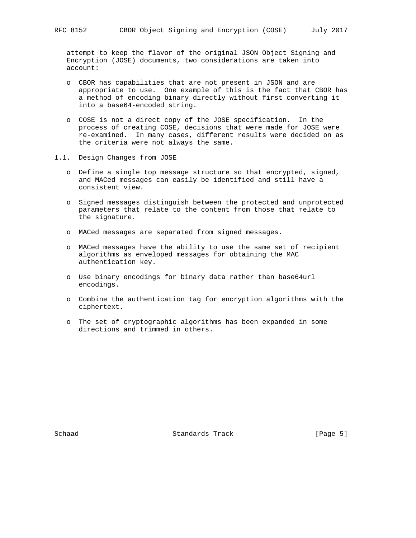attempt to keep the flavor of the original JSON Object Signing and Encryption (JOSE) documents, two considerations are taken into account:

- o CBOR has capabilities that are not present in JSON and are appropriate to use. One example of this is the fact that CBOR has a method of encoding binary directly without first converting it into a base64-encoded string.
- o COSE is not a direct copy of the JOSE specification. In the process of creating COSE, decisions that were made for JOSE were re-examined. In many cases, different results were decided on as the criteria were not always the same.
- 1.1. Design Changes from JOSE
	- o Define a single top message structure so that encrypted, signed, and MACed messages can easily be identified and still have a consistent view.
	- o Signed messages distinguish between the protected and unprotected parameters that relate to the content from those that relate to the signature.
	- o MACed messages are separated from signed messages.
	- o MACed messages have the ability to use the same set of recipient algorithms as enveloped messages for obtaining the MAC authentication key.
	- o Use binary encodings for binary data rather than base64url encodings.
	- o Combine the authentication tag for encryption algorithms with the ciphertext.
	- o The set of cryptographic algorithms has been expanded in some directions and trimmed in others.

Schaad Standards Track [Page 5]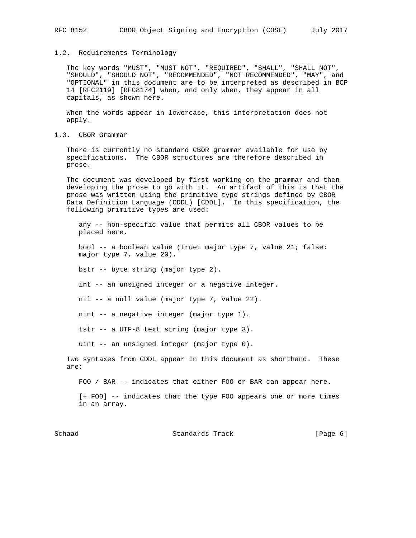#### 1.2. Requirements Terminology

 The key words "MUST", "MUST NOT", "REQUIRED", "SHALL", "SHALL NOT", "SHOULD", "SHOULD NOT", "RECOMMENDED", "NOT RECOMMENDED", "MAY", and "OPTIONAL" in this document are to be interpreted as described in BCP 14 [RFC2119] [RFC8174] when, and only when, they appear in all capitals, as shown here.

 When the words appear in lowercase, this interpretation does not apply.

1.3. CBOR Grammar

 There is currently no standard CBOR grammar available for use by specifications. The CBOR structures are therefore described in prose.

 The document was developed by first working on the grammar and then developing the prose to go with it. An artifact of this is that the prose was written using the primitive type strings defined by CBOR Data Definition Language (CDDL) [CDDL]. In this specification, the following primitive types are used:

 any -- non-specific value that permits all CBOR values to be placed here.

 bool -- a boolean value (true: major type 7, value 21; false: major type 7, value 20).

bstr -- byte string (major type 2).

int -- an unsigned integer or a negative integer.

nil -- a null value (major type 7, value 22).

nint -- a negative integer (major type 1).

tstr -- a UTF-8 text string (major type 3).

uint -- an unsigned integer (major type 0).

 Two syntaxes from CDDL appear in this document as shorthand. These are:

FOO / BAR -- indicates that either FOO or BAR can appear here.

 [+ FOO] -- indicates that the type FOO appears one or more times in an array.

Schaad Standards Track [Page 6]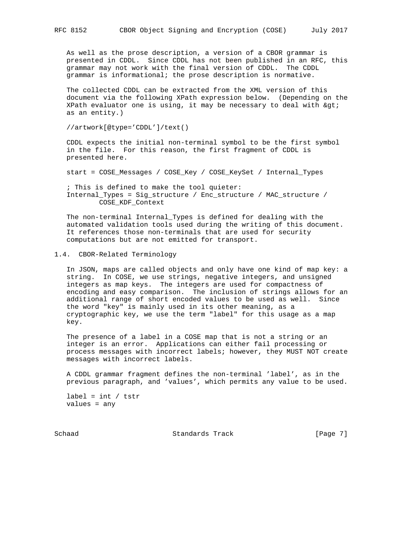As well as the prose description, a version of a CBOR grammar is presented in CDDL. Since CDDL has not been published in an RFC, this grammar may not work with the final version of CDDL. The CDDL grammar is informational; the prose description is normative.

 The collected CDDL can be extracted from the XML version of this document via the following XPath expression below. (Depending on the XPath evaluator one is using, it may be necessary to deal with  $>$ as an entity.)

//artwork[@type='CDDL']/text()

 CDDL expects the initial non-terminal symbol to be the first symbol in the file. For this reason, the first fragment of CDDL is presented here.

start = COSE\_Messages / COSE\_Key / COSE\_KeySet / Internal\_Types

 ; This is defined to make the tool quieter: Internal\_Types = Sig\_structure / Enc\_structure / MAC\_structure / COSE\_KDF\_Context

 The non-terminal Internal\_Types is defined for dealing with the automated validation tools used during the writing of this document. It references those non-terminals that are used for security computations but are not emitted for transport.

1.4. CBOR-Related Terminology

 In JSON, maps are called objects and only have one kind of map key: a string. In COSE, we use strings, negative integers, and unsigned integers as map keys. The integers are used for compactness of encoding and easy comparison. The inclusion of strings allows for an additional range of short encoded values to be used as well. Since the word "key" is mainly used in its other meaning, as a cryptographic key, we use the term "label" for this usage as a map key.

 The presence of a label in a COSE map that is not a string or an integer is an error. Applications can either fail processing or process messages with incorrect labels; however, they MUST NOT create messages with incorrect labels.

 A CDDL grammar fragment defines the non-terminal 'label', as in the previous paragraph, and 'values', which permits any value to be used.

 $label = int / tstr$ values = any

Schaad Standards Track [Page 7]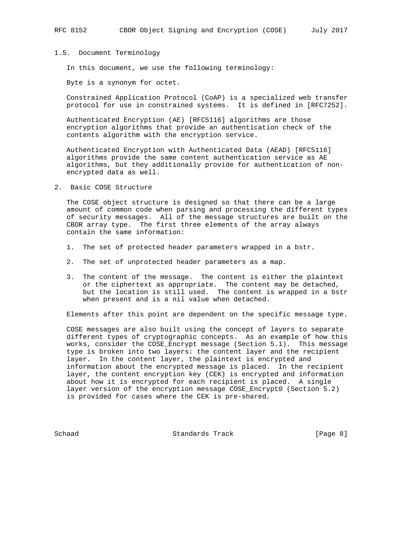#### 1.5. Document Terminology

In this document, we use the following terminology:

Byte is a synonym for octet.

 Constrained Application Protocol (CoAP) is a specialized web transfer protocol for use in constrained systems. It is defined in [RFC7252].

 Authenticated Encryption (AE) [RFC5116] algorithms are those encryption algorithms that provide an authentication check of the contents algorithm with the encryption service.

 Authenticated Encryption with Authenticated Data (AEAD) [RFC5116] algorithms provide the same content authentication service as AE algorithms, but they additionally provide for authentication of non encrypted data as well.

2. Basic COSE Structure

 The COSE object structure is designed so that there can be a large amount of common code when parsing and processing the different types of security messages. All of the message structures are built on the CBOR array type. The first three elements of the array always contain the same information:

- 1. The set of protected header parameters wrapped in a bstr.
- 2. The set of unprotected header parameters as a map.
- 3. The content of the message. The content is either the plaintext or the ciphertext as appropriate. The content may be detached, but the location is still used. The content is wrapped in a bstr when present and is a nil value when detached.

Elements after this point are dependent on the specific message type.

 COSE messages are also built using the concept of layers to separate different types of cryptographic concepts. As an example of how this works, consider the COSE\_Encrypt message (Section 5.1). This message type is broken into two layers: the content layer and the recipient layer. In the content layer, the plaintext is encrypted and information about the encrypted message is placed. In the recipient layer, the content encryption key (CEK) is encrypted and information about how it is encrypted for each recipient is placed. A single layer version of the encryption message COSE\_Encrypt0 (Section 5.2) is provided for cases where the CEK is pre-shared.

Schaad Standards Track [Page 8]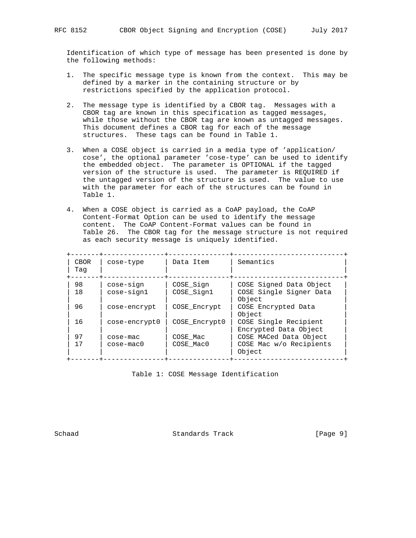Identification of which type of message has been presented is done by the following methods:

- 1. The specific message type is known from the context. This may be defined by a marker in the containing structure or by restrictions specified by the application protocol.
- 2. The message type is identified by a CBOR tag. Messages with a CBOR tag are known in this specification as tagged messages, while those without the CBOR tag are known as untagged messages. This document defines a CBOR tag for each of the message structures. These tags can be found in Table 1.
- 3. When a COSE object is carried in a media type of 'application/ cose', the optional parameter 'cose-type' can be used to identify the embedded object. The parameter is OPTIONAL if the tagged version of the structure is used. The parameter is REQUIRED if the untagged version of the structure is used. The value to use with the parameter for each of the structures can be found in Table 1.
- 4. When a COSE object is carried as a CoAP payload, the CoAP Content-Format Option can be used to identify the message content. The CoAP Content-Format values can be found in Table 26. The CBOR tag for the message structure is not required as each security message is uniquely identified.

| <b>CBOR</b><br>Taq | cose-type     | Data Item     | Semantics                                      |
|--------------------|---------------|---------------|------------------------------------------------|
| 98                 | cose-sign     | COSE Sign     | COSE Signed Data Object                        |
| 18                 | cose-sign1    | COSE Sign1    | COSE Single Signer Data<br>Object              |
| 96                 | cose-encrypt  | COSE Encrypt  | COSE Encrypted Data<br>Object                  |
| 16                 | cose-encrypt0 | COSE Encrypt0 | COSE Single Recipient<br>Encrypted Data Object |
| 97                 | $\csc$ -mac   | COSE Mac      | COSE MACed Data Object                         |
| 17                 | $\cose-mac0$  | COSE Mac0     | COSE Mac w/o Recipients<br>Object              |

Table 1: COSE Message Identification

Schaad Standards Track [Page 9]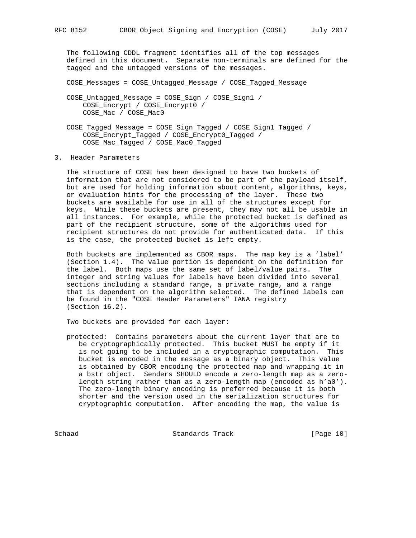The following CDDL fragment identifies all of the top messages defined in this document. Separate non-terminals are defined for the tagged and the untagged versions of the messages.

COSE\_Messages = COSE\_Untagged\_Message / COSE\_Tagged\_Message

 COSE\_Untagged\_Message = COSE\_Sign / COSE\_Sign1 / COSE\_Encrypt / COSE\_Encrypt0 / COSE\_Mac / COSE\_Mac0

- COSE\_Tagged\_Message = COSE\_Sign\_Tagged / COSE\_Sign1\_Tagged / COSE\_Encrypt\_Tagged / COSE\_Encrypt0\_Tagged / COSE\_Mac\_Tagged / COSE\_Mac0\_Tagged
- 3. Header Parameters

 The structure of COSE has been designed to have two buckets of information that are not considered to be part of the payload itself, but are used for holding information about content, algorithms, keys, or evaluation hints for the processing of the layer. These two buckets are available for use in all of the structures except for keys. While these buckets are present, they may not all be usable in all instances. For example, while the protected bucket is defined as part of the recipient structure, some of the algorithms used for recipient structures do not provide for authenticated data. If this is the case, the protected bucket is left empty.

 Both buckets are implemented as CBOR maps. The map key is a 'label' (Section 1.4). The value portion is dependent on the definition for the label. Both maps use the same set of label/value pairs. The integer and string values for labels have been divided into several sections including a standard range, a private range, and a range that is dependent on the algorithm selected. The defined labels can be found in the "COSE Header Parameters" IANA registry (Section 16.2).

Two buckets are provided for each layer:

 protected: Contains parameters about the current layer that are to be cryptographically protected. This bucket MUST be empty if it is not going to be included in a cryptographic computation. This bucket is encoded in the message as a binary object. This value is obtained by CBOR encoding the protected map and wrapping it in a bstr object. Senders SHOULD encode a zero-length map as a zero length string rather than as a zero-length map (encoded as h'a0'). The zero-length binary encoding is preferred because it is both shorter and the version used in the serialization structures for cryptographic computation. After encoding the map, the value is

Schaad Standards Track [Page 10]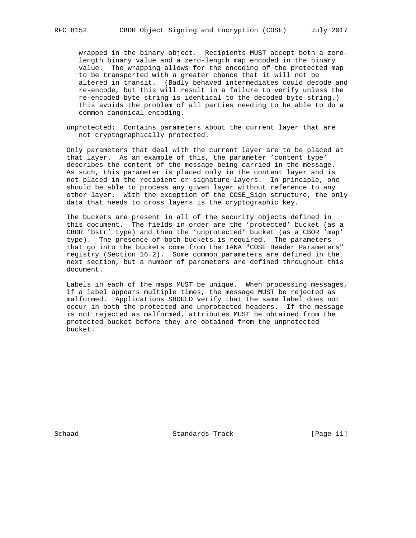wrapped in the binary object. Recipients MUST accept both a zero length binary value and a zero-length map encoded in the binary value. The wrapping allows for the encoding of the protected map to be transported with a greater chance that it will not be altered in transit. (Badly behaved intermediates could decode and re-encode, but this will result in a failure to verify unless the re-encoded byte string is identical to the decoded byte string.) This avoids the problem of all parties needing to be able to do a common canonical encoding.

 unprotected: Contains parameters about the current layer that are not cryptographically protected.

 Only parameters that deal with the current layer are to be placed at that layer. As an example of this, the parameter 'content type' describes the content of the message being carried in the message. As such, this parameter is placed only in the content layer and is not placed in the recipient or signature layers. In principle, one should be able to process any given layer without reference to any other layer. With the exception of the COSE\_Sign structure, the only data that needs to cross layers is the cryptographic key.

 The buckets are present in all of the security objects defined in this document. The fields in order are the 'protected' bucket (as a CBOR 'bstr' type) and then the 'unprotected' bucket (as a CBOR 'map' type). The presence of both buckets is required. The parameters that go into the buckets come from the IANA "COSE Header Parameters" registry (Section 16.2). Some common parameters are defined in the next section, but a number of parameters are defined throughout this document.

 Labels in each of the maps MUST be unique. When processing messages, if a label appears multiple times, the message MUST be rejected as malformed. Applications SHOULD verify that the same label does not occur in both the protected and unprotected headers. If the message is not rejected as malformed, attributes MUST be obtained from the protected bucket before they are obtained from the unprotected bucket.

Schaad Standards Track [Page 11]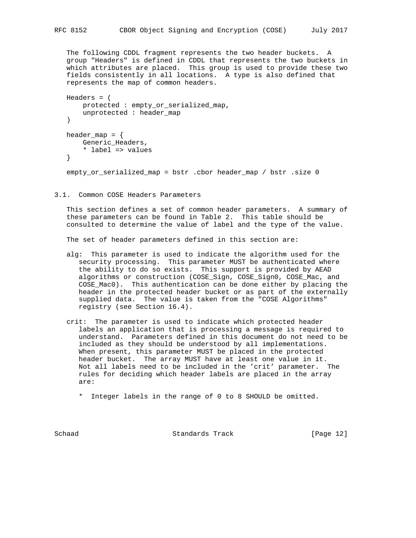The following CDDL fragment represents the two header buckets. A group "Headers" is defined in CDDL that represents the two buckets in which attributes are placed. This group is used to provide these two fields consistently in all locations. A type is also defined that represents the map of common headers.

```
 Headers = (
    protected : empty_or_serialized_map,
     unprotected : header_map
\left( \right)header_map = \{ Generic_Headers,
     * label => values
 }
 empty_or_serialized_map = bstr .cbor header_map / bstr .size 0
```
3.1. Common COSE Headers Parameters

 This section defines a set of common header parameters. A summary of these parameters can be found in Table 2. This table should be consulted to determine the value of label and the type of the value.

The set of header parameters defined in this section are:

- alg: This parameter is used to indicate the algorithm used for the security processing. This parameter MUST be authenticated where the ability to do so exists. This support is provided by AEAD algorithms or construction (COSE Sign, COSE Sign0, COSE Mac, and COSE\_Mac0). This authentication can be done either by placing the header in the protected header bucket or as part of the externally supplied data. The value is taken from the "COSE Algorithms" registry (see Section 16.4).
- crit: The parameter is used to indicate which protected header labels an application that is processing a message is required to understand. Parameters defined in this document do not need to be included as they should be understood by all implementations. When present, this parameter MUST be placed in the protected header bucket. The array MUST have at least one value in it. Not all labels need to be included in the 'crit' parameter. The rules for deciding which header labels are placed in the array are:
	- \* Integer labels in the range of 0 to 8 SHOULD be omitted.

Schaad Standards Track [Page 12]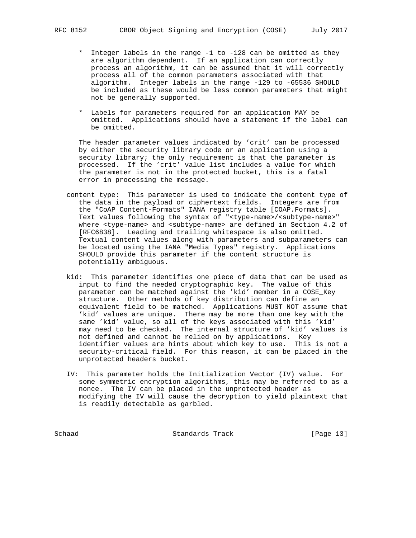- \* Integer labels in the range -1 to -128 can be omitted as they are algorithm dependent. If an application can correctly process an algorithm, it can be assumed that it will correctly process all of the common parameters associated with that algorithm. Integer labels in the range -129 to -65536 SHOULD be included as these would be less common parameters that might not be generally supported.
- \* Labels for parameters required for an application MAY be omitted. Applications should have a statement if the label can be omitted.

 The header parameter values indicated by 'crit' can be processed by either the security library code or an application using a security library; the only requirement is that the parameter is processed. If the 'crit' value list includes a value for which the parameter is not in the protected bucket, this is a fatal error in processing the message.

- content type: This parameter is used to indicate the content type of the data in the payload or ciphertext fields. Integers are from the "CoAP Content-Formats" IANA registry table [COAP.Formats]. Text values following the syntax of "<type-name>/<subtype-name>" where <type-name> and <subtype-name> are defined in Section 4.2 of [RFC6838]. Leading and trailing whitespace is also omitted. Textual content values along with parameters and subparameters can be located using the IANA "Media Types" registry. Applications SHOULD provide this parameter if the content structure is potentially ambiguous.
- kid: This parameter identifies one piece of data that can be used as input to find the needed cryptographic key. The value of this parameter can be matched against the 'kid' member in a COSE\_Key structure. Other methods of key distribution can define an equivalent field to be matched. Applications MUST NOT assume that 'kid' values are unique. There may be more than one key with the same 'kid' value, so all of the keys associated with this 'kid' may need to be checked. The internal structure of 'kid' values is not defined and cannot be relied on by applications. Key identifier values are hints about which key to use. This is not a security-critical field. For this reason, it can be placed in the unprotected headers bucket.
- IV: This parameter holds the Initialization Vector (IV) value. For some symmetric encryption algorithms, this may be referred to as a nonce. The IV can be placed in the unprotected header as modifying the IV will cause the decryption to yield plaintext that is readily detectable as garbled.

Schaad Standards Track [Page 13]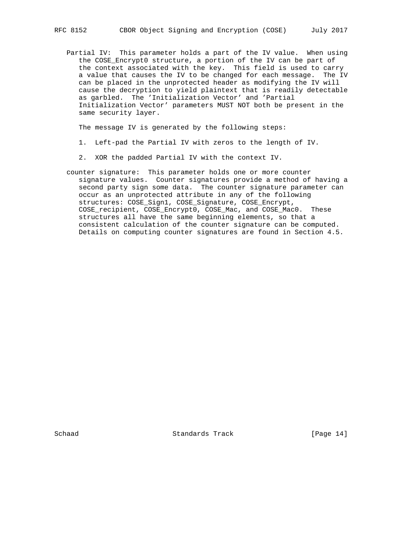Partial IV: This parameter holds a part of the IV value. When using the COSE\_Encrypt0 structure, a portion of the IV can be part of the context associated with the key. This field is used to carry a value that causes the IV to be changed for each message. The IV can be placed in the unprotected header as modifying the IV will cause the decryption to yield plaintext that is readily detectable as garbled. The 'Initialization Vector' and 'Partial Initialization Vector' parameters MUST NOT both be present in the same security layer.

The message IV is generated by the following steps:

- 1. Left-pad the Partial IV with zeros to the length of IV.
- 2. XOR the padded Partial IV with the context IV.

 counter signature: This parameter holds one or more counter signature values. Counter signatures provide a method of having a second party sign some data. The counter signature parameter can occur as an unprotected attribute in any of the following structures: COSE\_Sign1, COSE\_Signature, COSE\_Encrypt, COSE\_recipient, COSE\_Encrypt0, COSE\_Mac, and COSE\_Mac0. These structures all have the same beginning elements, so that a consistent calculation of the counter signature can be computed. Details on computing counter signatures are found in Section 4.5.

Schaad Standards Track [Page 14]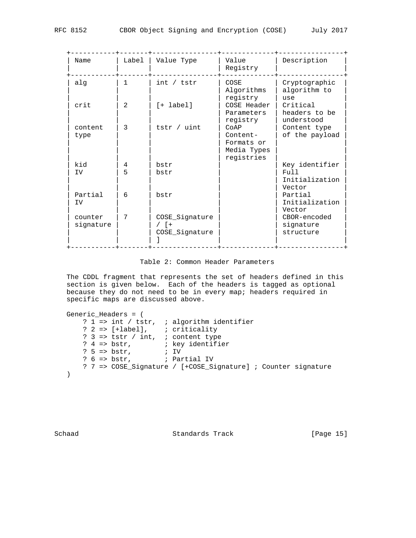| Name                 | Label          | Value Type                                  | Value<br>Registry                                   | Description                             |
|----------------------|----------------|---------------------------------------------|-----------------------------------------------------|-----------------------------------------|
| alg                  | 1              | int / tstr                                  | COSE<br>Algorithms                                  | Cryptographic<br>algorithm to<br>use    |
| crit                 | $\mathfrak{D}$ | $[+$ label]                                 | COSE Header<br>Parameters                           | Critical<br>headers to be<br>understood |
| content              | 3              | tstr / uint                                 | COAP                                                | Content type                            |
| type                 |                |                                             | Content-<br>Formats or<br>Media Types<br>registries | of the payload                          |
| kid                  | 4              | bstr                                        |                                                     | Key identifier                          |
| IV                   | 5              | bstr                                        |                                                     | Full<br>Initialization<br>Vector        |
| Partial<br>IV        | 6              | bstr                                        |                                                     | Partial<br>Initialization<br>Vector     |
| counter<br>signature | 7              | COSE_Signature<br>$/$ [ +<br>COSE_Signature |                                                     | CBOR-encoded<br>signature<br>structure  |
|                      |                |                                             |                                                     | registry<br>registry                    |

Table 2: Common Header Parameters

 The CDDL fragment that represents the set of headers defined in this section is given below. Each of the headers is tagged as optional because they do not need to be in every map; headers required in specific maps are discussed above.

```
 Generic_Headers = (
 ? 1 => int / tstr, ; algorithm identifier
 ? 2 => [+label], ; criticality
 ? 3 => tstr / int, ; content type
 ? 4 => bstr, ; key identifier
 ? 5 => bstr, ; IV
 ? 6 => bstr, ; Partial IV
      ? 7 => COSE_Signature / [+COSE_Signature] ; Counter signature
   )
```
Schaad Standards Track [Page 15]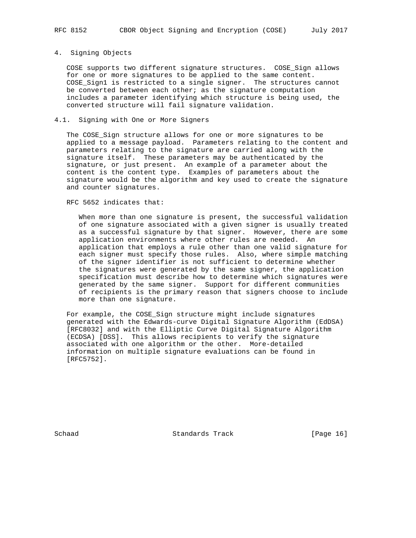#### 4. Signing Objects

 COSE supports two different signature structures. COSE\_Sign allows for one or more signatures to be applied to the same content. COSE\_Sign1 is restricted to a single signer. The structures cannot be converted between each other; as the signature computation includes a parameter identifying which structure is being used, the converted structure will fail signature validation.

# 4.1. Signing with One or More Signers

 The COSE\_Sign structure allows for one or more signatures to be applied to a message payload. Parameters relating to the content and parameters relating to the signature are carried along with the signature itself. These parameters may be authenticated by the signature, or just present. An example of a parameter about the content is the content type. Examples of parameters about the signature would be the algorithm and key used to create the signature and counter signatures.

RFC 5652 indicates that:

 When more than one signature is present, the successful validation of one signature associated with a given signer is usually treated as a successful signature by that signer. However, there are some application environments where other rules are needed. An application that employs a rule other than one valid signature for each signer must specify those rules. Also, where simple matching of the signer identifier is not sufficient to determine whether the signatures were generated by the same signer, the application specification must describe how to determine which signatures were generated by the same signer. Support for different communities of recipients is the primary reason that signers choose to include more than one signature.

 For example, the COSE\_Sign structure might include signatures generated with the Edwards-curve Digital Signature Algorithm (EdDSA) [RFC8032] and with the Elliptic Curve Digital Signature Algorithm (ECDSA) [DSS]. This allows recipients to verify the signature associated with one algorithm or the other. More-detailed information on multiple signature evaluations can be found in [RFC5752].

Schaad Standards Track [Page 16]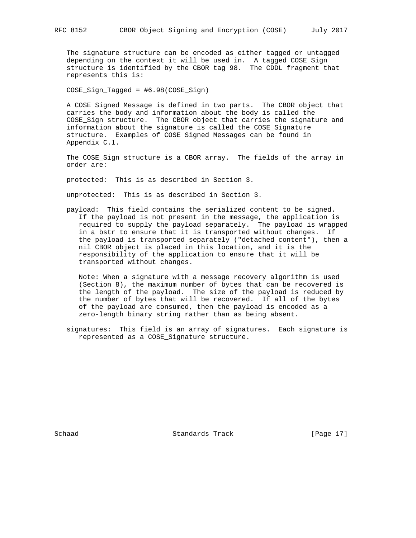The signature structure can be encoded as either tagged or untagged depending on the context it will be used in. A tagged COSE\_Sign structure is identified by the CBOR tag 98. The CDDL fragment that represents this is:

COSE\_Sign\_Tagged = #6.98(COSE\_Sign)

 A COSE Signed Message is defined in two parts. The CBOR object that carries the body and information about the body is called the COSE\_Sign structure. The CBOR object that carries the signature and information about the signature is called the COSE\_Signature structure. Examples of COSE Signed Messages can be found in Appendix C.1.

 The COSE\_Sign structure is a CBOR array. The fields of the array in order are:

protected: This is as described in Section 3.

unprotected: This is as described in Section 3.

 payload: This field contains the serialized content to be signed. If the payload is not present in the message, the application is required to supply the payload separately. The payload is wrapped in a bstr to ensure that it is transported without changes. If the payload is transported separately ("detached content"), then a nil CBOR object is placed in this location, and it is the responsibility of the application to ensure that it will be transported without changes.

 Note: When a signature with a message recovery algorithm is used (Section 8), the maximum number of bytes that can be recovered is the length of the payload. The size of the payload is reduced by the number of bytes that will be recovered. If all of the bytes of the payload are consumed, then the payload is encoded as a zero-length binary string rather than as being absent.

 signatures: This field is an array of signatures. Each signature is represented as a COSE\_Signature structure.

Schaad Standards Track [Page 17]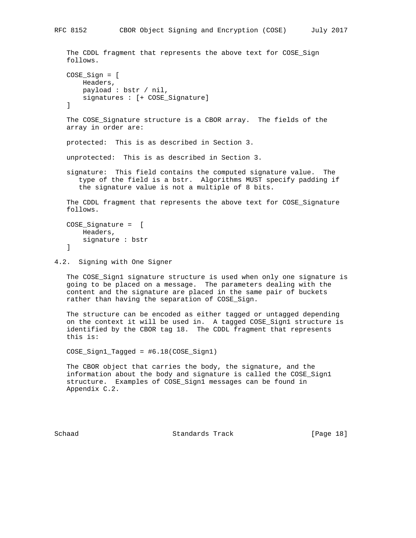```
 The CDDL fragment that represents the above text for COSE_Sign
 follows.
 COSE_Sign = [
     Headers,
     payload : bstr / nil,
     signatures : [+ COSE_Signature]
 ]
 The COSE_Signature structure is a CBOR array. The fields of the
 array in order are:
 protected: This is as described in Section 3.
 unprotected: This is as described in Section 3.
 signature: This field contains the computed signature value. The
    type of the field is a bstr. Algorithms MUST specify padding if
    the signature value is not a multiple of 8 bits.
 The CDDL fragment that represents the above text for COSE_Signature
 follows.
 COSE_Signature = [
    Headers,
    signature : bstr
 ]
```
4.2. Signing with One Signer

 The COSE\_Sign1 signature structure is used when only one signature is going to be placed on a message. The parameters dealing with the content and the signature are placed in the same pair of buckets rather than having the separation of COSE\_Sign.

 The structure can be encoded as either tagged or untagged depending on the context it will be used in. A tagged COSE\_Sign1 structure is identified by the CBOR tag 18. The CDDL fragment that represents this is:

COSE\_Sign1\_Tagged = #6.18(COSE\_Sign1)

 The CBOR object that carries the body, the signature, and the information about the body and signature is called the COSE\_Sign1 structure. Examples of COSE\_Sign1 messages can be found in Appendix C.2.

Schaad Standards Track [Page 18]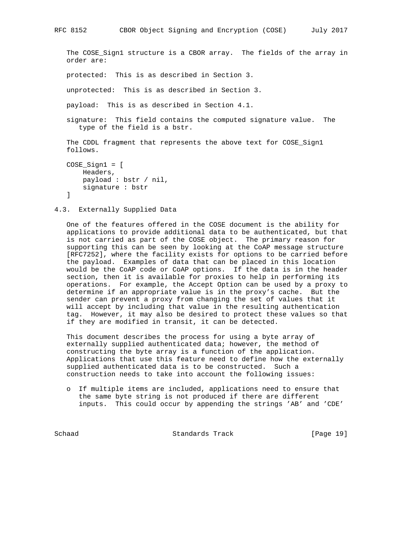```
 The COSE_Sign1 structure is a CBOR array. The fields of the array in
 order are:
 protected: This is as described in Section 3.
 unprotected: This is as described in Section 3.
 payload: This is as described in Section 4.1.
 signature: This field contains the computed signature value. The
    type of the field is a bstr.
 The CDDL fragment that represents the above text for COSE_Sign1
 follows.
 COSE_Sign1 = [
```
RFC 8152 CBOR Object Signing and Encryption (COSE) July 2017

```
 Headers,
     payload : bstr / nil,
     signature : bstr
 ]
```

```
4.3. Externally Supplied Data
```
 One of the features offered in the COSE document is the ability for applications to provide additional data to be authenticated, but that is not carried as part of the COSE object. The primary reason for supporting this can be seen by looking at the CoAP message structure [RFC7252], where the facility exists for options to be carried before the payload. Examples of data that can be placed in this location would be the CoAP code or CoAP options. If the data is in the header section, then it is available for proxies to help in performing its operations. For example, the Accept Option can be used by a proxy to determine if an appropriate value is in the proxy's cache. But the sender can prevent a proxy from changing the set of values that it will accept by including that value in the resulting authentication tag. However, it may also be desired to protect these values so that if they are modified in transit, it can be detected.

 This document describes the process for using a byte array of externally supplied authenticated data; however, the method of constructing the byte array is a function of the application. Applications that use this feature need to define how the externally supplied authenticated data is to be constructed. Such a construction needs to take into account the following issues:

 o If multiple items are included, applications need to ensure that the same byte string is not produced if there are different inputs. This could occur by appending the strings 'AB' and 'CDE'

Schaad Standards Track [Page 19]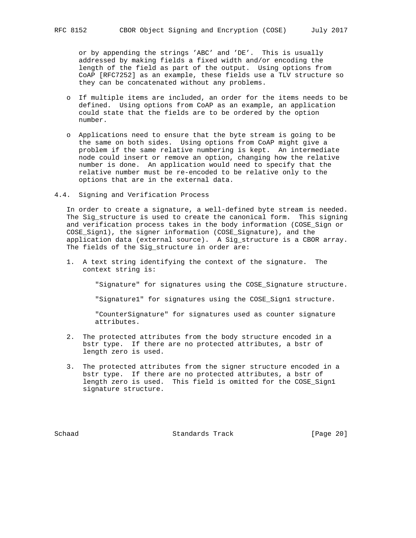or by appending the strings 'ABC' and 'DE'. This is usually addressed by making fields a fixed width and/or encoding the length of the field as part of the output. Using options from CoAP [RFC7252] as an example, these fields use a TLV structure so they can be concatenated without any problems.

- o If multiple items are included, an order for the items needs to be defined. Using options from CoAP as an example, an application could state that the fields are to be ordered by the option number.
- o Applications need to ensure that the byte stream is going to be the same on both sides. Using options from CoAP might give a problem if the same relative numbering is kept. An intermediate node could insert or remove an option, changing how the relative number is done. An application would need to specify that the relative number must be re-encoded to be relative only to the options that are in the external data.
- 4.4. Signing and Verification Process

 In order to create a signature, a well-defined byte stream is needed. The Sig\_structure is used to create the canonical form. This signing and verification process takes in the body information (COSE\_Sign or COSE\_Sign1), the signer information (COSE\_Signature), and the application data (external source). A Sig\_structure is a CBOR array. The fields of the Sig\_structure in order are:

 1. A text string identifying the context of the signature. The context string is:

"Signature" for signatures using the COSE\_Signature structure.

"Signature1" for signatures using the COSE\_Sign1 structure.

 "CounterSignature" for signatures used as counter signature attributes.

- 2. The protected attributes from the body structure encoded in a bstr type. If there are no protected attributes, a bstr of length zero is used.
- 3. The protected attributes from the signer structure encoded in a bstr type. If there are no protected attributes, a bstr of length zero is used. This field is omitted for the COSE\_Sign1 signature structure.

Schaad Standards Track [Page 20]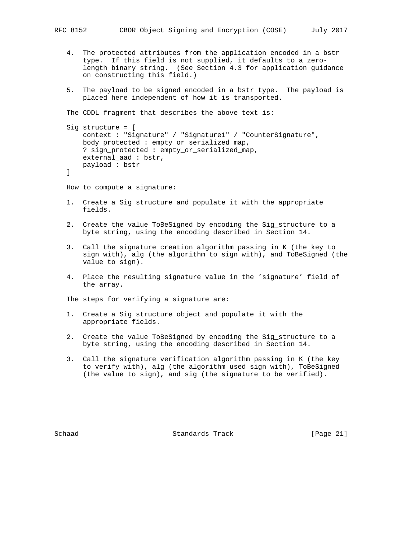- 4. The protected attributes from the application encoded in a bstr type. If this field is not supplied, it defaults to a zero length binary string. (See Section 4.3 for application guidance on constructing this field.)
- 5. The payload to be signed encoded in a bstr type. The payload is placed here independent of how it is transported.

The CDDL fragment that describes the above text is:

```
 Sig_structure = [
    context : "Signature" / "Signature1" / "CounterSignature",
    body_protected : empty_or_serialized_map,
     ? sign_protected : empty_or_serialized_map,
    external_aad : bstr,
    payload : bstr
```

```
 ]
```
How to compute a signature:

- 1. Create a Sig\_structure and populate it with the appropriate fields.
- 2. Create the value ToBeSigned by encoding the Sig\_structure to a byte string, using the encoding described in Section 14.
- 3. Call the signature creation algorithm passing in K (the key to sign with), alg (the algorithm to sign with), and ToBeSigned (the value to sign).
- 4. Place the resulting signature value in the 'signature' field of the array.

The steps for verifying a signature are:

- 1. Create a Sig\_structure object and populate it with the appropriate fields.
- 2. Create the value ToBeSigned by encoding the Sig\_structure to a byte string, using the encoding described in Section 14.
- 3. Call the signature verification algorithm passing in K (the key to verify with), alg (the algorithm used sign with), ToBeSigned (the value to sign), and sig (the signature to be verified).

Schaad Standards Track [Page 21]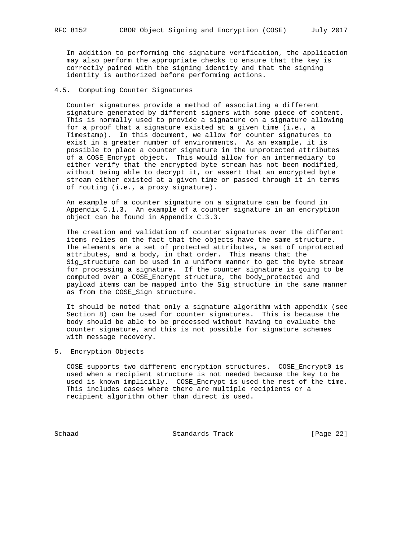In addition to performing the signature verification, the application may also perform the appropriate checks to ensure that the key is correctly paired with the signing identity and that the signing identity is authorized before performing actions.

## 4.5. Computing Counter Signatures

 Counter signatures provide a method of associating a different signature generated by different signers with some piece of content. This is normally used to provide a signature on a signature allowing for a proof that a signature existed at a given time (i.e., a Timestamp). In this document, we allow for counter signatures to exist in a greater number of environments. As an example, it is possible to place a counter signature in the unprotected attributes of a COSE\_Encrypt object. This would allow for an intermediary to either verify that the encrypted byte stream has not been modified, without being able to decrypt it, or assert that an encrypted byte stream either existed at a given time or passed through it in terms of routing (i.e., a proxy signature).

 An example of a counter signature on a signature can be found in Appendix C.1.3. An example of a counter signature in an encryption object can be found in Appendix C.3.3.

 The creation and validation of counter signatures over the different items relies on the fact that the objects have the same structure. The elements are a set of protected attributes, a set of unprotected attributes, and a body, in that order. This means that the Sig\_structure can be used in a uniform manner to get the byte stream for processing a signature. If the counter signature is going to be computed over a COSE\_Encrypt structure, the body\_protected and payload items can be mapped into the Sig\_structure in the same manner as from the COSE\_Sign structure.

 It should be noted that only a signature algorithm with appendix (see Section 8) can be used for counter signatures. This is because the body should be able to be processed without having to evaluate the counter signature, and this is not possible for signature schemes with message recovery.

5. Encryption Objects

 COSE supports two different encryption structures. COSE\_Encrypt0 is used when a recipient structure is not needed because the key to be used is known implicitly. COSE\_Encrypt is used the rest of the time. This includes cases where there are multiple recipients or a recipient algorithm other than direct is used.

Schaad Standards Track [Page 22]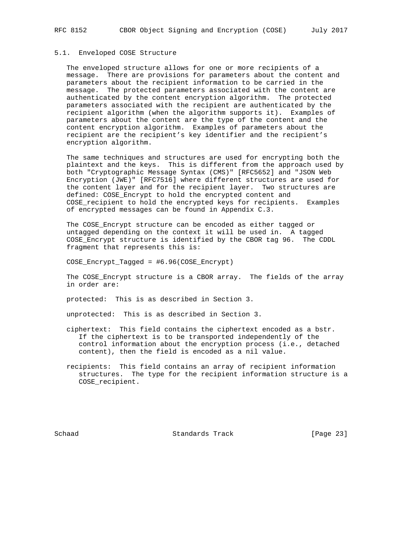# 5.1. Enveloped COSE Structure

 The enveloped structure allows for one or more recipients of a message. There are provisions for parameters about the content and parameters about the recipient information to be carried in the message. The protected parameters associated with the content are authenticated by the content encryption algorithm. The protected parameters associated with the recipient are authenticated by the recipient algorithm (when the algorithm supports it). Examples of parameters about the content are the type of the content and the content encryption algorithm. Examples of parameters about the recipient are the recipient's key identifier and the recipient's encryption algorithm.

 The same techniques and structures are used for encrypting both the plaintext and the keys. This is different from the approach used by both "Cryptographic Message Syntax (CMS)" [RFC5652] and "JSON Web Encryption (JWE)" [RFC7516] where different structures are used for the content layer and for the recipient layer. Two structures are defined: COSE\_Encrypt to hold the encrypted content and COSE\_recipient to hold the encrypted keys for recipients. Examples of encrypted messages can be found in Appendix C.3.

 The COSE\_Encrypt structure can be encoded as either tagged or untagged depending on the context it will be used in. A tagged COSE\_Encrypt structure is identified by the CBOR tag 96. The CDDL fragment that represents this is:

COSE\_Encrypt\_Tagged = #6.96(COSE\_Encrypt)

 The COSE\_Encrypt structure is a CBOR array. The fields of the array in order are:

protected: This is as described in Section 3.

unprotected: This is as described in Section 3.

- ciphertext: This field contains the ciphertext encoded as a bstr. If the ciphertext is to be transported independently of the control information about the encryption process (i.e., detached content), then the field is encoded as a nil value.
- recipients: This field contains an array of recipient information structures. The type for the recipient information structure is a COSE\_recipient.

Schaad Standards Track [Page 23]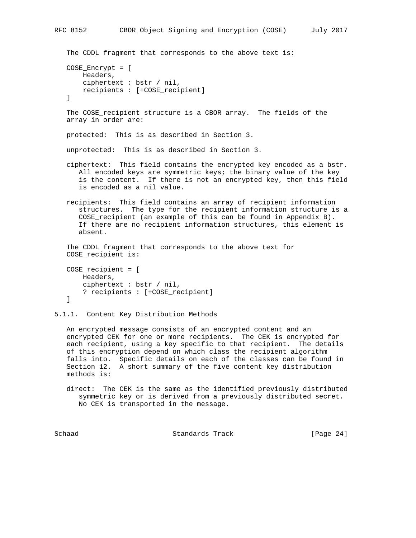```
The CDDL fragment that corresponds to the above text is:
 COSE_Encrypt = [
     Headers,
     ciphertext : bstr / nil,
     recipients : [+COSE_recipient]
 ]
 The COSE_recipient structure is a CBOR array. The fields of the
 array in order are:
 protected: This is as described in Section 3.
 unprotected: This is as described in Section 3.
 ciphertext: This field contains the encrypted key encoded as a bstr.
    All encoded keys are symmetric keys; the binary value of the key
    is the content. If there is not an encrypted key, then this field
    is encoded as a nil value.
 recipients: This field contains an array of recipient information
    structures. The type for the recipient information structure is a
    COSE_recipient (an example of this can be found in Appendix B).
    If there are no recipient information structures, this element is
    absent.
 The CDDL fragment that corresponds to the above text for
 COSE_recipient is:
 COSE_recipient = [
    Headers,
     ciphertext : bstr / nil,
    ? recipients : [+COSE_recipient]
```

```
 ]
```

```
5.1.1. Content Key Distribution Methods
```
 An encrypted message consists of an encrypted content and an encrypted CEK for one or more recipients. The CEK is encrypted for each recipient, using a key specific to that recipient. The details of this encryption depend on which class the recipient algorithm falls into. Specific details on each of the classes can be found in Section 12. A short summary of the five content key distribution methods is:

 direct: The CEK is the same as the identified previously distributed symmetric key or is derived from a previously distributed secret. No CEK is transported in the message.

Schaad Standards Track [Page 24]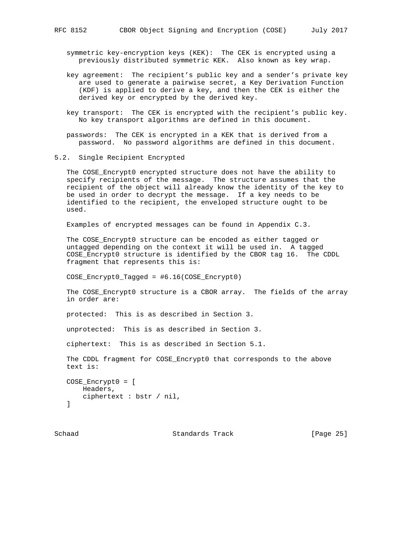symmetric key-encryption keys (KEK): The CEK is encrypted using a previously distributed symmetric KEK. Also known as key wrap.

- key agreement: The recipient's public key and a sender's private key are used to generate a pairwise secret, a Key Derivation Function (KDF) is applied to derive a key, and then the CEK is either the derived key or encrypted by the derived key.
- key transport: The CEK is encrypted with the recipient's public key. No key transport algorithms are defined in this document.
- passwords: The CEK is encrypted in a KEK that is derived from a password. No password algorithms are defined in this document.
- 5.2. Single Recipient Encrypted

 The COSE\_Encrypt0 encrypted structure does not have the ability to specify recipients of the message. The structure assumes that the recipient of the object will already know the identity of the key to be used in order to decrypt the message. If a key needs to be identified to the recipient, the enveloped structure ought to be used.

Examples of encrypted messages can be found in Appendix C.3.

 The COSE\_Encrypt0 structure can be encoded as either tagged or untagged depending on the context it will be used in. A tagged COSE\_Encrypt0 structure is identified by the CBOR tag 16. The CDDL fragment that represents this is:

COSE\_Encrypt0\_Tagged = #6.16(COSE\_Encrypt0)

 The COSE\_Encrypt0 structure is a CBOR array. The fields of the array in order are:

protected: This is as described in Section 3.

unprotected: This is as described in Section 3.

ciphertext: This is as described in Section 5.1.

 The CDDL fragment for COSE\_Encrypt0 that corresponds to the above text is:

```
 COSE_Encrypt0 = [
    Headers,
    ciphertext : bstr / nil,
 ]
```
Schaad Standards Track [Page 25]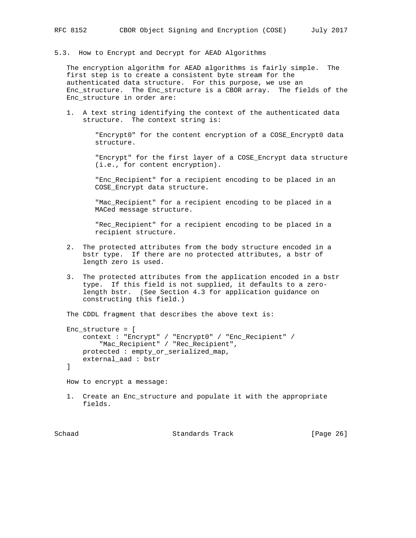5.3. How to Encrypt and Decrypt for AEAD Algorithms

 The encryption algorithm for AEAD algorithms is fairly simple. The first step is to create a consistent byte stream for the authenticated data structure. For this purpose, we use an Enc\_structure. The Enc\_structure is a CBOR array. The fields of the Enc\_structure in order are:

 1. A text string identifying the context of the authenticated data structure. The context string is:

> "Encrypt0" for the content encryption of a COSE\_Encrypt0 data structure.

 "Encrypt" for the first layer of a COSE\_Encrypt data structure (i.e., for content encryption).

 "Enc\_Recipient" for a recipient encoding to be placed in an COSE\_Encrypt data structure.

 "Mac\_Recipient" for a recipient encoding to be placed in a MACed message structure.

 "Rec\_Recipient" for a recipient encoding to be placed in a recipient structure.

- 2. The protected attributes from the body structure encoded in a bstr type. If there are no protected attributes, a bstr of length zero is used.
- 3. The protected attributes from the application encoded in a bstr type. If this field is not supplied, it defaults to a zero length bstr. (See Section 4.3 for application guidance on constructing this field.)

The CDDL fragment that describes the above text is:

```
 Enc_structure = [
    context : "Encrypt" / "Encrypt0" / "Enc_Recipient" /
         "Mac_Recipient" / "Rec_Recipient",
    protected : empty_or_serialized_map,
    external_aad : bstr
```
]

How to encrypt a message:

 1. Create an Enc\_structure and populate it with the appropriate fields.

Schaad Standards Track [Page 26]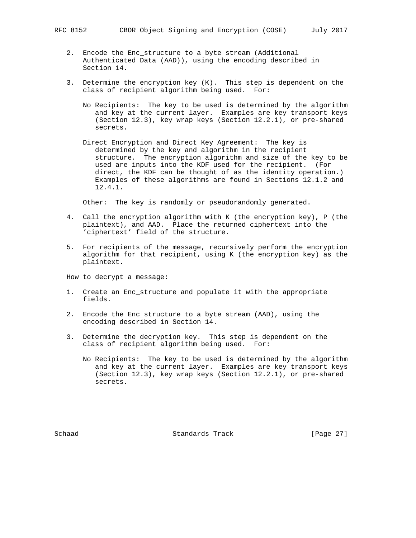- 2. Encode the Enc\_structure to a byte stream (Additional Authenticated Data (AAD)), using the encoding described in Section 14.
- 3. Determine the encryption key (K). This step is dependent on the class of recipient algorithm being used. For:
	- No Recipients: The key to be used is determined by the algorithm and key at the current layer. Examples are key transport keys (Section 12.3), key wrap keys (Section 12.2.1), or pre-shared secrets.
	- Direct Encryption and Direct Key Agreement: The key is determined by the key and algorithm in the recipient structure. The encryption algorithm and size of the key to be used are inputs into the KDF used for the recipient. (For direct, the KDF can be thought of as the identity operation.) Examples of these algorithms are found in Sections 12.1.2 and 12.4.1.

Other: The key is randomly or pseudorandomly generated.

- 4. Call the encryption algorithm with K (the encryption key), P (the plaintext), and AAD. Place the returned ciphertext into the 'ciphertext' field of the structure.
- 5. For recipients of the message, recursively perform the encryption algorithm for that recipient, using K (the encryption key) as the plaintext.

How to decrypt a message:

- 1. Create an Enc\_structure and populate it with the appropriate fields.
- 2. Encode the Enc\_structure to a byte stream (AAD), using the encoding described in Section 14.
- 3. Determine the decryption key. This step is dependent on the class of recipient algorithm being used. For:
	- No Recipients: The key to be used is determined by the algorithm and key at the current layer. Examples are key transport keys (Section 12.3), key wrap keys (Section 12.2.1), or pre-shared secrets.

Schaad Standards Track [Page 27]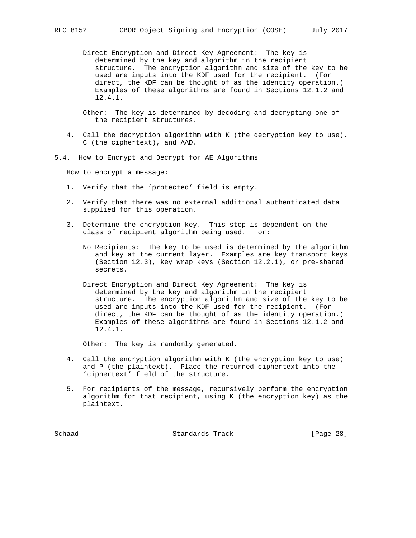Direct Encryption and Direct Key Agreement: The key is determined by the key and algorithm in the recipient structure. The encryption algorithm and size of the key to be used are inputs into the KDF used for the recipient. (For direct, the KDF can be thought of as the identity operation.) Examples of these algorithms are found in Sections 12.1.2 and 12.4.1.

 Other: The key is determined by decoding and decrypting one of the recipient structures.

- 4. Call the decryption algorithm with K (the decryption key to use), C (the ciphertext), and AAD.
- 5.4. How to Encrypt and Decrypt for AE Algorithms

How to encrypt a message:

- 1. Verify that the 'protected' field is empty.
- 2. Verify that there was no external additional authenticated data supplied for this operation.
- 3. Determine the encryption key. This step is dependent on the class of recipient algorithm being used. For:
	- No Recipients: The key to be used is determined by the algorithm and key at the current layer. Examples are key transport keys (Section 12.3), key wrap keys (Section 12.2.1), or pre-shared secrets.
	- Direct Encryption and Direct Key Agreement: The key is determined by the key and algorithm in the recipient structure. The encryption algorithm and size of the key to be used are inputs into the KDF used for the recipient. (For direct, the KDF can be thought of as the identity operation.) Examples of these algorithms are found in Sections 12.1.2 and 12.4.1.

Other: The key is randomly generated.

- 4. Call the encryption algorithm with K (the encryption key to use) and P (the plaintext). Place the returned ciphertext into the 'ciphertext' field of the structure.
- 5. For recipients of the message, recursively perform the encryption algorithm for that recipient, using K (the encryption key) as the plaintext.

Schaad Standards Track [Page 28]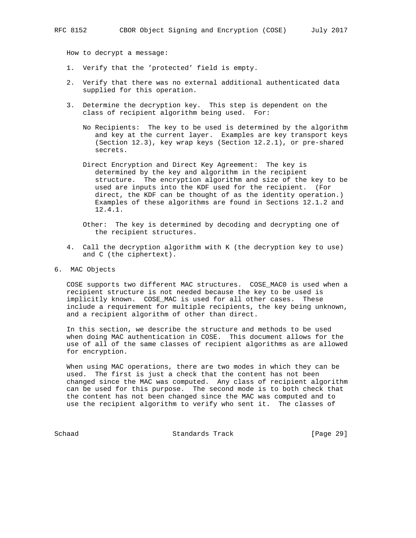How to decrypt a message:

- 1. Verify that the 'protected' field is empty.
- 2. Verify that there was no external additional authenticated data supplied for this operation.
- 3. Determine the decryption key. This step is dependent on the class of recipient algorithm being used. For:
	- No Recipients: The key to be used is determined by the algorithm and key at the current layer. Examples are key transport keys (Section 12.3), key wrap keys (Section 12.2.1), or pre-shared secrets.
	- Direct Encryption and Direct Key Agreement: The key is determined by the key and algorithm in the recipient structure. The encryption algorithm and size of the key to be used are inputs into the KDF used for the recipient. (For direct, the KDF can be thought of as the identity operation.) Examples of these algorithms are found in Sections 12.1.2 and 12.4.1.
	- Other: The key is determined by decoding and decrypting one of the recipient structures.
- 4. Call the decryption algorithm with K (the decryption key to use) and C (the ciphertext).
- 6. MAC Objects

 COSE supports two different MAC structures. COSE\_MAC0 is used when a recipient structure is not needed because the key to be used is implicitly known. COSE\_MAC is used for all other cases. These include a requirement for multiple recipients, the key being unknown, and a recipient algorithm of other than direct.

 In this section, we describe the structure and methods to be used when doing MAC authentication in COSE. This document allows for the use of all of the same classes of recipient algorithms as are allowed for encryption.

 When using MAC operations, there are two modes in which they can be used. The first is just a check that the content has not been changed since the MAC was computed. Any class of recipient algorithm can be used for this purpose. The second mode is to both check that the content has not been changed since the MAC was computed and to use the recipient algorithm to verify who sent it. The classes of

Schaad Standards Track [Page 29]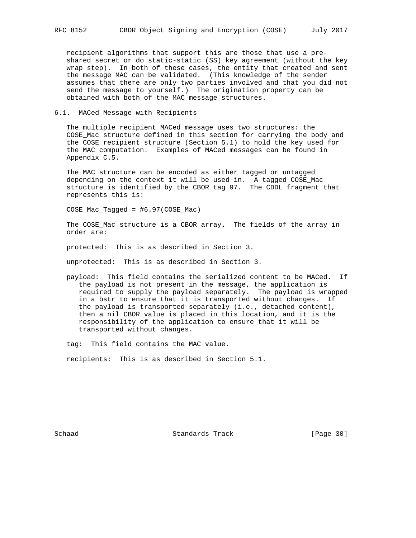recipient algorithms that support this are those that use a pre shared secret or do static-static (SS) key agreement (without the key wrap step). In both of these cases, the entity that created and sent the message MAC can be validated. (This knowledge of the sender assumes that there are only two parties involved and that you did not send the message to yourself.) The origination property can be obtained with both of the MAC message structures.

#### 6.1. MACed Message with Recipients

 The multiple recipient MACed message uses two structures: the COSE\_Mac structure defined in this section for carrying the body and the COSE\_recipient structure (Section 5.1) to hold the key used for the MAC computation. Examples of MACed messages can be found in Appendix C.5.

 The MAC structure can be encoded as either tagged or untagged depending on the context it will be used in. A tagged COSE\_Mac structure is identified by the CBOR tag 97. The CDDL fragment that represents this is:

COSE\_Mac\_Tagged = #6.97(COSE\_Mac)

 The COSE\_Mac structure is a CBOR array. The fields of the array in order are:

protected: This is as described in Section 3.

unprotected: This is as described in Section 3.

 payload: This field contains the serialized content to be MACed. If the payload is not present in the message, the application is required to supply the payload separately. The payload is wrapped in a bstr to ensure that it is transported without changes. If the payload is transported separately (i.e., detached content), then a nil CBOR value is placed in this location, and it is the responsibility of the application to ensure that it will be transported without changes.

tag: This field contains the MAC value.

recipients: This is as described in Section 5.1.

Schaad Standards Track [Page 30]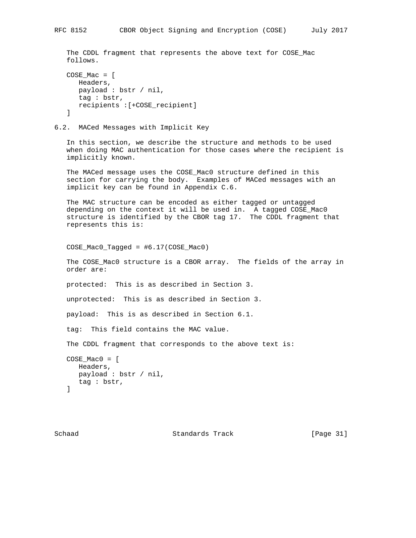The CDDL fragment that represents the above text for COSE\_Mac follows.

```
COSE Mac = [ Headers,
   payload : bstr / nil,
   tag : bstr,
   recipients :[+COSE_recipient]
 ]
```
6.2. MACed Messages with Implicit Key

 In this section, we describe the structure and methods to be used when doing MAC authentication for those cases where the recipient is implicitly known.

 The MACed message uses the COSE\_Mac0 structure defined in this section for carrying the body. Examples of MACed messages with an implicit key can be found in Appendix C.6.

 The MAC structure can be encoded as either tagged or untagged depending on the context it will be used in. A tagged COSE\_Mac0 structure is identified by the CBOR tag 17. The CDDL fragment that represents this is:

COSE\_Mac0\_Tagged = #6.17(COSE\_Mac0)

 The COSE\_Mac0 structure is a CBOR array. The fields of the array in order are:

protected: This is as described in Section 3.

unprotected: This is as described in Section 3.

payload: This is as described in Section 6.1.

tag: This field contains the MAC value.

The CDDL fragment that corresponds to the above text is:

```
 COSE_Mac0 = [
   Headers,
    payload : bstr / nil,
    tag : bstr,
 ]
```
Schaad Standards Track [Page 31]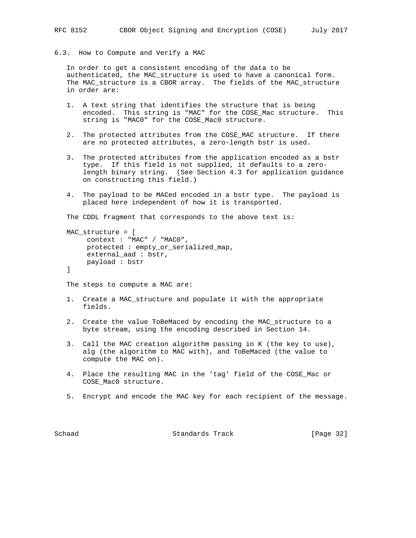# 6.3. How to Compute and Verify a MAC

 In order to get a consistent encoding of the data to be authenticated, the MAC\_structure is used to have a canonical form. The MAC\_structure is a CBOR array. The fields of the MAC\_structure in order are:

- 1. A text string that identifies the structure that is being encoded. This string is "MAC" for the COSE\_Mac structure. This string is "MAC0" for the COSE Mac0 structure.
- 2. The protected attributes from the COSE\_MAC structure. If there are no protected attributes, a zero-length bstr is used.
- 3. The protected attributes from the application encoded as a bstr type. If this field is not supplied, it defaults to a zero length binary string. (See Section 4.3 for application guidance on constructing this field.)
- 4. The payload to be MACed encoded in a bstr type. The payload is placed here independent of how it is transported.

The CDDL fragment that corresponds to the above text is:

```
 MAC_structure = [
      context : "MAC" / "MAC0",
      protected : empty_or_serialized_map,
      external_aad : bstr,
      payload : bstr
 ]
```
The steps to compute a MAC are:

- 1. Create a MAC\_structure and populate it with the appropriate fields.
- 2. Create the value ToBeMaced by encoding the MAC\_structure to a byte stream, using the encoding described in Section 14.
- 3. Call the MAC creation algorithm passing in K (the key to use), alg (the algorithm to MAC with), and ToBeMaced (the value to compute the MAC on).
- 4. Place the resulting MAC in the 'tag' field of the COSE\_Mac or COSE\_Mac0 structure.
- 5. Encrypt and encode the MAC key for each recipient of the message.

Schaad Standards Track [Page 32]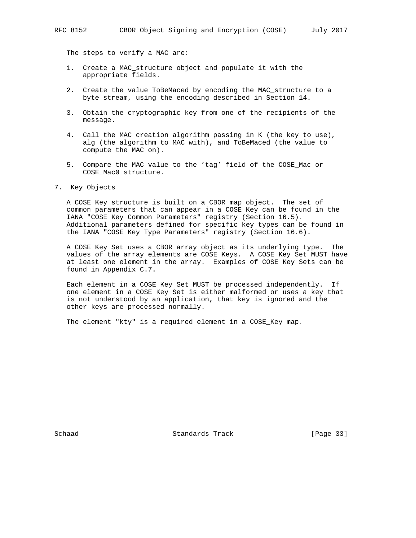The steps to verify a MAC are:

- 1. Create a MAC\_structure object and populate it with the appropriate fields.
- 2. Create the value ToBeMaced by encoding the MAC\_structure to a byte stream, using the encoding described in Section 14.
- 3. Obtain the cryptographic key from one of the recipients of the message.
- 4. Call the MAC creation algorithm passing in K (the key to use), alg (the algorithm to MAC with), and ToBeMaced (the value to compute the MAC on).
- 5. Compare the MAC value to the 'tag' field of the COSE\_Mac or COSE\_Mac0 structure.

7. Key Objects

 A COSE Key structure is built on a CBOR map object. The set of common parameters that can appear in a COSE Key can be found in the IANA "COSE Key Common Parameters" registry (Section 16.5). Additional parameters defined for specific key types can be found in the IANA "COSE Key Type Parameters" registry (Section 16.6).

 A COSE Key Set uses a CBOR array object as its underlying type. The values of the array elements are COSE Keys. A COSE Key Set MUST have at least one element in the array. Examples of COSE Key Sets can be found in Appendix C.7.

 Each element in a COSE Key Set MUST be processed independently. If one element in a COSE Key Set is either malformed or uses a key that is not understood by an application, that key is ignored and the other keys are processed normally.

The element "kty" is a required element in a COSE\_Key map.

Schaad Standards Track [Page 33]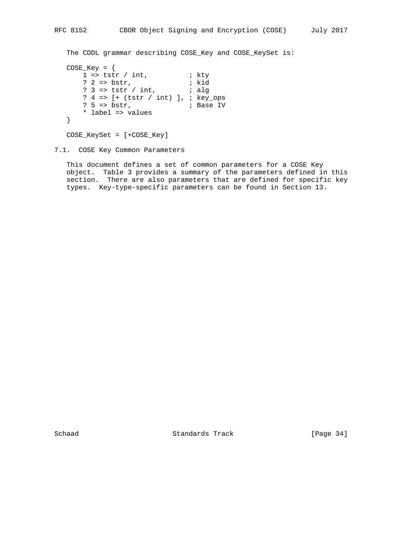```
 The CDDL grammar describing COSE_Key and COSE_KeySet is:
```

```
COSE_Key = \{1 \Rightarrow \text{tstr} / \text{int}, ; kty
 ? 2 => bstr, ; kid
 ? 3 => tstr / int, ; alg
      ? 4 => [+ (tstr / int) ], ; key_ops<br>? 5 => bstr, ; Base IV
                      ; Base IV
       * label => values
   }
```
COSE\_KeySet = [+COSE\_Key]

# 7.1. COSE Key Common Parameters

 This document defines a set of common parameters for a COSE Key object. Table 3 provides a summary of the parameters defined in this section. There are also parameters that are defined for specific key types. Key-type-specific parameters can be found in Section 13.

Schaad Standards Track [Page 34]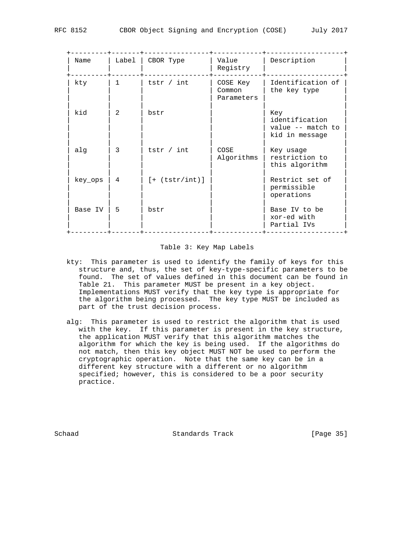| Name    | Label | CBOR Type         | Value<br>Registry                | Description                                                  |
|---------|-------|-------------------|----------------------------------|--------------------------------------------------------------|
| kty     | 1     | tstr $/$ int      | COSE Key<br>Common<br>Parameters | Identification of<br>the key type                            |
| kid     | 2     | bstr              |                                  | Key<br>identification<br>value -- match to<br>kid in message |
| alq     | 3     | tstr $/$ int      | COSE<br>Algorithms               | Key usage<br>restriction to<br>this algorithm                |
| key ops | 4     | $[ + (tstr/int)]$ |                                  | Restrict set of<br>permissible<br>operations                 |
| Base IV | 5     | bstr              |                                  | Base IV to be<br>xor-ed with<br>Partial IVs                  |

#### Table 3: Key Map Labels

- kty: This parameter is used to identify the family of keys for this structure and, thus, the set of key-type-specific parameters to be found. The set of values defined in this document can be found in Table 21. This parameter MUST be present in a key object. Implementations MUST verify that the key type is appropriate for the algorithm being processed. The key type MUST be included as part of the trust decision process.
- alg: This parameter is used to restrict the algorithm that is used with the key. If this parameter is present in the key structure, the application MUST verify that this algorithm matches the algorithm for which the key is being used. If the algorithms do not match, then this key object MUST NOT be used to perform the cryptographic operation. Note that the same key can be in a different key structure with a different or no algorithm specified; however, this is considered to be a poor security practice.

Schaad Standards Track [Page 35]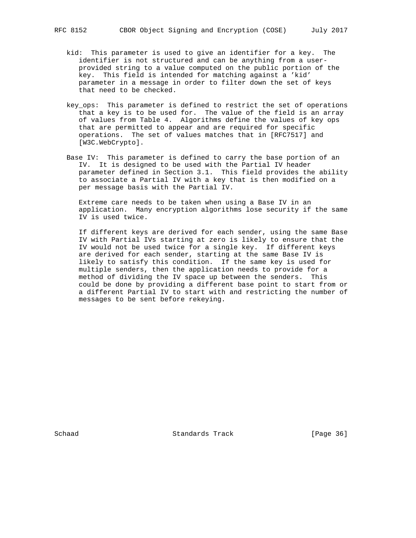- kid: This parameter is used to give an identifier for a key. The identifier is not structured and can be anything from a user provided string to a value computed on the public portion of the key. This field is intended for matching against a 'kid' parameter in a message in order to filter down the set of keys that need to be checked.
- key\_ops: This parameter is defined to restrict the set of operations that a key is to be used for. The value of the field is an array of values from Table 4. Algorithms define the values of key ops that are permitted to appear and are required for specific operations. The set of values matches that in [RFC7517] and [W3C.WebCrypto].
- Base IV: This parameter is defined to carry the base portion of an IV. It is designed to be used with the Partial IV header parameter defined in Section 3.1. This field provides the ability to associate a Partial IV with a key that is then modified on a per message basis with the Partial IV.

 Extreme care needs to be taken when using a Base IV in an application. Many encryption algorithms lose security if the same IV is used twice.

 If different keys are derived for each sender, using the same Base IV with Partial IVs starting at zero is likely to ensure that the IV would not be used twice for a single key. If different keys are derived for each sender, starting at the same Base IV is likely to satisfy this condition. If the same key is used for multiple senders, then the application needs to provide for a method of dividing the IV space up between the senders. This could be done by providing a different base point to start from or a different Partial IV to start with and restricting the number of messages to be sent before rekeying.

Schaad Standards Track [Page 36]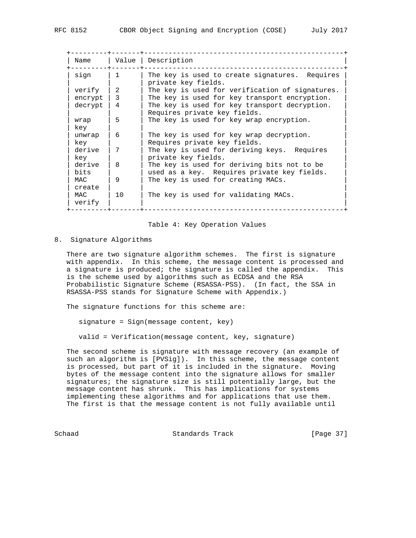| Name           |                         | Value   Description                                                                        |
|----------------|-------------------------|--------------------------------------------------------------------------------------------|
| sign           | $\mathbf{1}$            | The key is used to create signatures. Requires<br>private key fields.                      |
| verify         | 2                       | The key is used for verification of signatures.                                            |
| encrypt        | $\overline{\mathbf{3}}$ | The key is used for key transport encryption.                                              |
| decrypt        | $\overline{4}$          | The key is used for key transport decryption.<br>Requires private key fields.              |
| wrap<br>key    | 5                       | The key is used for key wrap encryption.                                                   |
| unwrap<br>key  | 6                       | The key is used for key wrap decryption.<br>Requires private key fields.                   |
| derive<br>key  | 7                       | The key is used for deriving keys. Requires<br>private key fields.                         |
| derive<br>bits | 8                       | The key is used for deriving bits not to be<br>used as a key. Requires private key fields. |
| MAC<br>create  | 9                       | The key is used for creating MACs.                                                         |
| MAC<br>verify  | 10                      | The key is used for validating MACs.                                                       |

#### Table 4: Key Operation Values

#### 8. Signature Algorithms

 There are two signature algorithm schemes. The first is signature with appendix. In this scheme, the message content is processed and a signature is produced; the signature is called the appendix. This is the scheme used by algorithms such as ECDSA and the RSA Probabilistic Signature Scheme (RSASSA-PSS). (In fact, the SSA in RSASSA-PSS stands for Signature Scheme with Appendix.)

The signature functions for this scheme are:

signature = Sign(message content, key)

valid = Verification(message content, key, signature)

 The second scheme is signature with message recovery (an example of such an algorithm is [PVSig]). In this scheme, the message content is processed, but part of it is included in the signature. Moving bytes of the message content into the signature allows for smaller signatures; the signature size is still potentially large, but the message content has shrunk. This has implications for systems implementing these algorithms and for applications that use them. The first is that the message content is not fully available until

Schaad Standards Track [Page 37]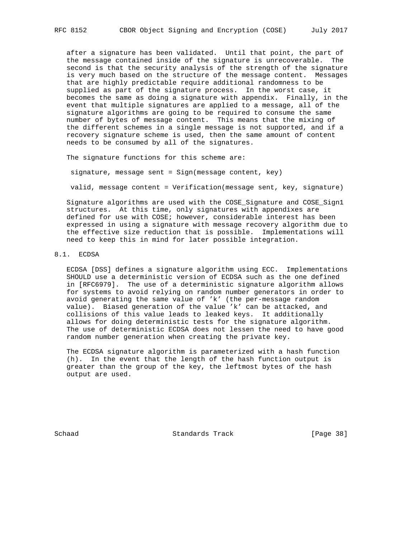after a signature has been validated. Until that point, the part of the message contained inside of the signature is unrecoverable. The second is that the security analysis of the strength of the signature is very much based on the structure of the message content. Messages that are highly predictable require additional randomness to be supplied as part of the signature process. In the worst case, it becomes the same as doing a signature with appendix. Finally, in the event that multiple signatures are applied to a message, all of the signature algorithms are going to be required to consume the same number of bytes of message content. This means that the mixing of the different schemes in a single message is not supported, and if a recovery signature scheme is used, then the same amount of content needs to be consumed by all of the signatures.

The signature functions for this scheme are:

signature, message sent = Sign(message content, key)

valid, message content = Verification(message sent, key, signature)

 Signature algorithms are used with the COSE\_Signature and COSE\_Sign1 structures. At this time, only signatures with appendixes are defined for use with COSE; however, considerable interest has been expressed in using a signature with message recovery algorithm due to the effective size reduction that is possible. Implementations will need to keep this in mind for later possible integration.

# 8.1. ECDSA

 ECDSA [DSS] defines a signature algorithm using ECC. Implementations SHOULD use a deterministic version of ECDSA such as the one defined in [RFC6979]. The use of a deterministic signature algorithm allows for systems to avoid relying on random number generators in order to avoid generating the same value of 'k' (the per-message random value). Biased generation of the value 'k' can be attacked, and collisions of this value leads to leaked keys. It additionally allows for doing deterministic tests for the signature algorithm. The use of deterministic ECDSA does not lessen the need to have good random number generation when creating the private key.

 The ECDSA signature algorithm is parameterized with a hash function (h). In the event that the length of the hash function output is greater than the group of the key, the leftmost bytes of the hash output are used.

Schaad Standards Track [Page 38]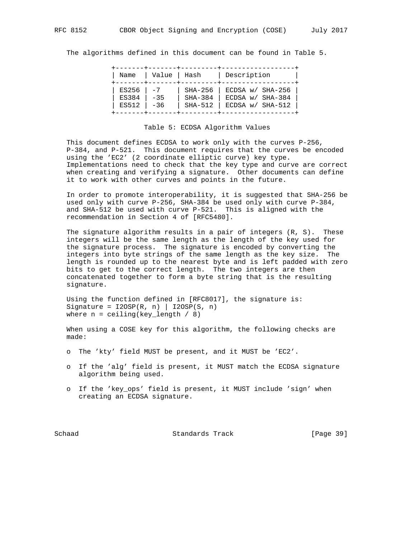The algorithms defined in this document can be found in Table 5.

| Name         | Value   Hash |           | Description        |
|--------------|--------------|-----------|--------------------|
| ES256        | $-7$         | SHA-256   | ECDSA w/ SHA-256   |
| <b>ES384</b> | $-35$        | SHA-384   | ECDSA w/ SHA-384   |
| ES512        | $ -36$       | $SHA-512$ | ECDSA $w/$ SHA-512 |

#### Table 5: ECDSA Algorithm Values

 This document defines ECDSA to work only with the curves P-256, P-384, and P-521. This document requires that the curves be encoded using the 'EC2' (2 coordinate elliptic curve) key type. Implementations need to check that the key type and curve are correct when creating and verifying a signature. Other documents can define it to work with other curves and points in the future.

 In order to promote interoperability, it is suggested that SHA-256 be used only with curve P-256, SHA-384 be used only with curve P-384, and SHA-512 be used with curve P-521. This is aligned with the recommendation in Section 4 of [RFC5480].

 The signature algorithm results in a pair of integers (R, S). These integers will be the same length as the length of the key used for the signature process. The signature is encoded by converting the integers into byte strings of the same length as the key size. The length is rounded up to the nearest byte and is left padded with zero bits to get to the correct length. The two integers are then concatenated together to form a byte string that is the resulting signature.

 Using the function defined in [RFC8017], the signature is: Signature =  $I2OSP(R, n)$  |  $I2OSP(S, n)$ where  $n =$  ceiling(key\_length / 8)

 When using a COSE key for this algorithm, the following checks are made:

- o The 'kty' field MUST be present, and it MUST be 'EC2'.
- o If the 'alg' field is present, it MUST match the ECDSA signature algorithm being used.
- o If the 'key\_ops' field is present, it MUST include 'sign' when creating an ECDSA signature.

Schaad Standards Track [Page 39]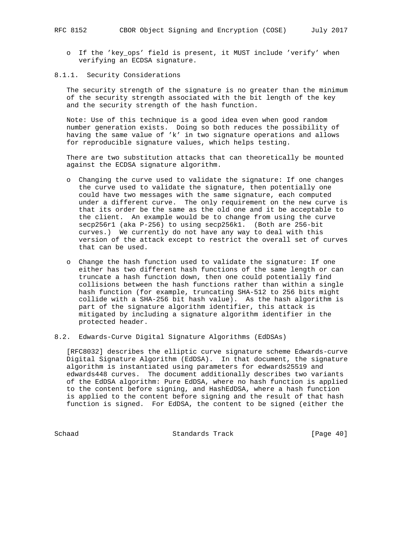- o If the 'key\_ops' field is present, it MUST include 'verify' when verifying an ECDSA signature.
- 8.1.1. Security Considerations

 The security strength of the signature is no greater than the minimum of the security strength associated with the bit length of the key and the security strength of the hash function.

 Note: Use of this technique is a good idea even when good random number generation exists. Doing so both reduces the possibility of having the same value of 'k' in two signature operations and allows for reproducible signature values, which helps testing.

 There are two substitution attacks that can theoretically be mounted against the ECDSA signature algorithm.

- o Changing the curve used to validate the signature: If one changes the curve used to validate the signature, then potentially one could have two messages with the same signature, each computed under a different curve. The only requirement on the new curve is that its order be the same as the old one and it be acceptable to the client. An example would be to change from using the curve secp256r1 (aka P-256) to using secp256k1. (Both are 256-bit curves.) We currently do not have any way to deal with this version of the attack except to restrict the overall set of curves that can be used.
- o Change the hash function used to validate the signature: If one either has two different hash functions of the same length or can truncate a hash function down, then one could potentially find collisions between the hash functions rather than within a single hash function (for example, truncating SHA-512 to 256 bits might collide with a SHA-256 bit hash value). As the hash algorithm is part of the signature algorithm identifier, this attack is mitigated by including a signature algorithm identifier in the protected header.
- 8.2. Edwards-Curve Digital Signature Algorithms (EdDSAs)

 [RFC8032] describes the elliptic curve signature scheme Edwards-curve Digital Signature Algorithm (EdDSA). In that document, the signature algorithm is instantiated using parameters for edwards25519 and edwards448 curves. The document additionally describes two variants of the EdDSA algorithm: Pure EdDSA, where no hash function is applied to the content before signing, and HashEdDSA, where a hash function is applied to the content before signing and the result of that hash function is signed. For EdDSA, the content to be signed (either the

Schaad Standards Track [Page 40]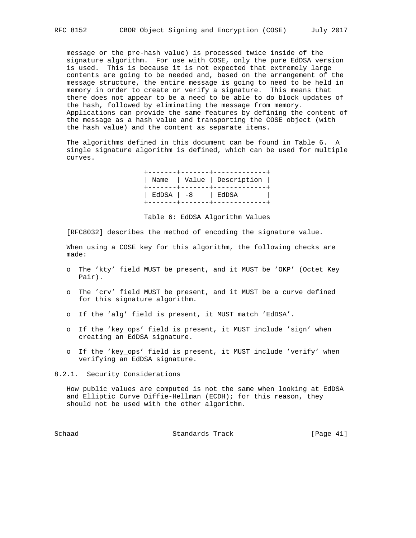message or the pre-hash value) is processed twice inside of the signature algorithm. For use with COSE, only the pure EdDSA version is used. This is because it is not expected that extremely large contents are going to be needed and, based on the arrangement of the message structure, the entire message is going to need to be held in memory in order to create or verify a signature. This means that there does not appear to be a need to be able to do block updates of the hash, followed by eliminating the message from memory. Applications can provide the same features by defining the content of the message as a hash value and transporting the COSE object (with the hash value) and the content as separate items.

 The algorithms defined in this document can be found in Table 6. A single signature algorithm is defined, which can be used for multiple curves.

|                    | -----+-------+--------------<br>Name   Value   Description |  |
|--------------------|------------------------------------------------------------|--|
| EdDSA   -8   EdDSA |                                                            |  |

Table 6: EdDSA Algorithm Values

[RFC8032] describes the method of encoding the signature value.

 When using a COSE key for this algorithm, the following checks are made:

- o The 'kty' field MUST be present, and it MUST be 'OKP' (Octet Key Pair).
- o The 'crv' field MUST be present, and it MUST be a curve defined for this signature algorithm.
- o If the 'alg' field is present, it MUST match 'EdDSA'.
- o If the 'key\_ops' field is present, it MUST include 'sign' when creating an EdDSA signature.
- o If the 'key\_ops' field is present, it MUST include 'verify' when verifying an EdDSA signature.

8.2.1. Security Considerations

 How public values are computed is not the same when looking at EdDSA and Elliptic Curve Diffie-Hellman (ECDH); for this reason, they should not be used with the other algorithm.

Schaad Standards Track [Page 41]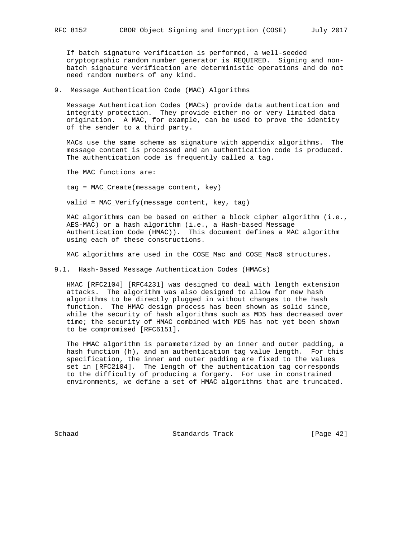If batch signature verification is performed, a well-seeded cryptographic random number generator is REQUIRED. Signing and non batch signature verification are deterministic operations and do not need random numbers of any kind.

9. Message Authentication Code (MAC) Algorithms

 Message Authentication Codes (MACs) provide data authentication and integrity protection. They provide either no or very limited data origination. A MAC, for example, can be used to prove the identity of the sender to a third party.

 MACs use the same scheme as signature with appendix algorithms. The message content is processed and an authentication code is produced. The authentication code is frequently called a tag.

The MAC functions are:

tag = MAC\_Create(message content, key)

valid = MAC\_Verify(message content, key, tag)

 MAC algorithms can be based on either a block cipher algorithm (i.e., AES-MAC) or a hash algorithm (i.e., a Hash-based Message Authentication Code (HMAC)). This document defines a MAC algorithm using each of these constructions.

MAC algorithms are used in the COSE Mac and COSE Mac0 structures.

9.1. Hash-Based Message Authentication Codes (HMACs)

 HMAC [RFC2104] [RFC4231] was designed to deal with length extension attacks. The algorithm was also designed to allow for new hash algorithms to be directly plugged in without changes to the hash function. The HMAC design process has been shown as solid since, while the security of hash algorithms such as MD5 has decreased over time; the security of HMAC combined with MD5 has not yet been shown to be compromised [RFC6151].

 The HMAC algorithm is parameterized by an inner and outer padding, a hash function (h), and an authentication tag value length. For this specification, the inner and outer padding are fixed to the values set in [RFC2104]. The length of the authentication tag corresponds to the difficulty of producing a forgery. For use in constrained environments, we define a set of HMAC algorithms that are truncated.

Schaad Standards Track [Page 42]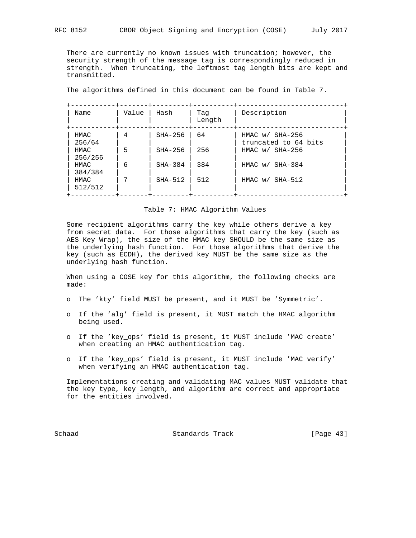There are currently no known issues with truncation; however, the security strength of the message tag is correspondingly reduced in strength. When truncating, the leftmost tag length bits are kept and transmitted.

The algorithms defined in this document can be found in Table 7.

| Name            | Value | Hash      | Taq<br>Length | Description                               |
|-----------------|-------|-----------|---------------|-------------------------------------------|
| HMAC<br>256/64  | 4     | SHA-256   | 64            | HMAC $w/$ SHA-256<br>truncated to 64 bits |
| HMAC<br>256/256 | 5     | $SHA-256$ | 256           | $HMAC$ w/ $SHA-256$                       |
| HMAC<br>384/384 | 6     | $SHA-384$ | 384           | HMAC w/ SHA-384                           |
| HMAC<br>512/512 |       | $SHA-512$ | 512           | HMAC w/ SHA-512                           |

#### Table 7: HMAC Algorithm Values

 Some recipient algorithms carry the key while others derive a key from secret data. For those algorithms that carry the key (such as AES Key Wrap), the size of the HMAC key SHOULD be the same size as the underlying hash function. For those algorithms that derive the key (such as ECDH), the derived key MUST be the same size as the underlying hash function.

 When using a COSE key for this algorithm, the following checks are made:

- o The 'kty' field MUST be present, and it MUST be 'Symmetric'.
- o If the 'alg' field is present, it MUST match the HMAC algorithm being used.
- o If the 'key\_ops' field is present, it MUST include 'MAC create' when creating an HMAC authentication tag.
- o If the 'key\_ops' field is present, it MUST include 'MAC verify' when verifying an HMAC authentication tag.

 Implementations creating and validating MAC values MUST validate that the key type, key length, and algorithm are correct and appropriate for the entities involved.

Schaad Standards Track [Page 43]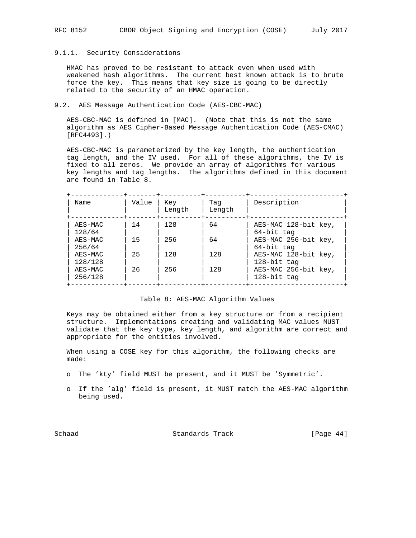# 9.1.1. Security Considerations

 HMAC has proved to be resistant to attack even when used with weakened hash algorithms. The current best known attack is to brute force the key. This means that key size is going to be directly related to the security of an HMAC operation.

### 9.2. AES Message Authentication Code (AES-CBC-MAC)

 AES-CBC-MAC is defined in [MAC]. (Note that this is not the same algorithm as AES Cipher-Based Message Authentication Code (AES-CMAC) [RFC4493].)

 AES-CBC-MAC is parameterized by the key length, the authentication tag length, and the IV used. For all of these algorithms, the IV is fixed to all zeros. We provide an array of algorithms for various key lengths and tag lengths. The algorithms defined in this document are found in Table 8.

| Name               | Value | Key<br>Length | Taq<br>Length | Description                         |
|--------------------|-------|---------------|---------------|-------------------------------------|
| AES-MAC<br>128/64  | 14    | 128           | 64            | AES-MAC 128-bit key,<br>64-bit tag  |
| AES-MAC<br>256/64  | 15    | 256           | 64            | AES-MAC 256-bit key,<br>64-bit tag  |
| AES-MAC<br>128/128 | 25    | 128           | 128           | AES-MAC 128-bit key,<br>128-bit tag |
| AES-MAC<br>256/128 | 26    | 256           | 128           | AES-MAC 256-bit key,<br>128-bit tag |

# Table 8: AES-MAC Algorithm Values

 Keys may be obtained either from a key structure or from a recipient structure. Implementations creating and validating MAC values MUST validate that the key type, key length, and algorithm are correct and appropriate for the entities involved.

 When using a COSE key for this algorithm, the following checks are made:

- o The 'kty' field MUST be present, and it MUST be 'Symmetric'.
- o If the 'alg' field is present, it MUST match the AES-MAC algorithm being used.

Schaad Standards Track [Page 44]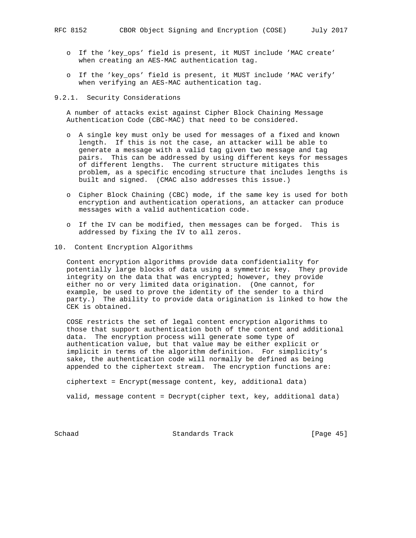- o If the 'key\_ops' field is present, it MUST include 'MAC create' when creating an AES-MAC authentication tag.
- o If the 'key\_ops' field is present, it MUST include 'MAC verify' when verifying an AES-MAC authentication tag.

## 9.2.1. Security Considerations

 A number of attacks exist against Cipher Block Chaining Message Authentication Code (CBC-MAC) that need to be considered.

- o A single key must only be used for messages of a fixed and known length. If this is not the case, an attacker will be able to generate a message with a valid tag given two message and tag pairs. This can be addressed by using different keys for messages of different lengths. The current structure mitigates this problem, as a specific encoding structure that includes lengths is built and signed. (CMAC also addresses this issue.)
- o Cipher Block Chaining (CBC) mode, if the same key is used for both encryption and authentication operations, an attacker can produce messages with a valid authentication code.
- o If the IV can be modified, then messages can be forged. This is addressed by fixing the IV to all zeros.
- 10. Content Encryption Algorithms

 Content encryption algorithms provide data confidentiality for potentially large blocks of data using a symmetric key. They provide integrity on the data that was encrypted; however, they provide either no or very limited data origination. (One cannot, for example, be used to prove the identity of the sender to a third party.) The ability to provide data origination is linked to how the CEK is obtained.

 COSE restricts the set of legal content encryption algorithms to those that support authentication both of the content and additional data. The encryption process will generate some type of authentication value, but that value may be either explicit or implicit in terms of the algorithm definition. For simplicity's sake, the authentication code will normally be defined as being appended to the ciphertext stream. The encryption functions are:

ciphertext = Encrypt(message content, key, additional data)

valid, message content = Decrypt(cipher text, key, additional data)

Schaad Standards Track [Page 45]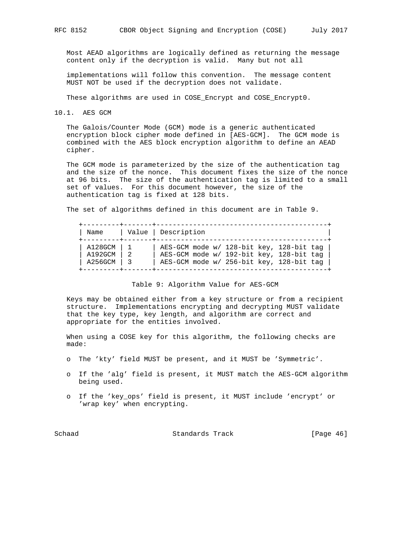Most AEAD algorithms are logically defined as returning the message content only if the decryption is valid. Many but not all

 implementations will follow this convention. The message content MUST NOT be used if the decryption does not validate.

These algorithms are used in COSE\_Encrypt and COSE\_Encrypt0.

10.1. AES GCM

 The Galois/Counter Mode (GCM) mode is a generic authenticated encryption block cipher mode defined in [AES-GCM]. The GCM mode is combined with the AES block encryption algorithm to define an AEAD cipher.

 The GCM mode is parameterized by the size of the authentication tag and the size of the nonce. This document fixes the size of the nonce at 96 bits. The size of the authentication tag is limited to a small set of values. For this document however, the size of the authentication tag is fixed at 128 bits.

The set of algorithms defined in this document are in Table 9.

| Name                            | Value   Description                                                                                                              |
|---------------------------------|----------------------------------------------------------------------------------------------------------------------------------|
| A128GCM<br>A192GCM<br>A256GCM 3 | AES-GCM mode w/ 128-bit key, 128-bit tag<br>AES-GCM mode w/ 192-bit key, 128-bit tag<br>AES-GCM mode w/ 256-bit key, 128-bit tag |

Table 9: Algorithm Value for AES-GCM

 Keys may be obtained either from a key structure or from a recipient structure. Implementations encrypting and decrypting MUST validate that the key type, key length, and algorithm are correct and appropriate for the entities involved.

 When using a COSE key for this algorithm, the following checks are made:

- o The 'kty' field MUST be present, and it MUST be 'Symmetric'.
- o If the 'alg' field is present, it MUST match the AES-GCM algorithm being used.
- o If the 'key\_ops' field is present, it MUST include 'encrypt' or 'wrap key' when encrypting.

Schaad Standards Track [Page 46]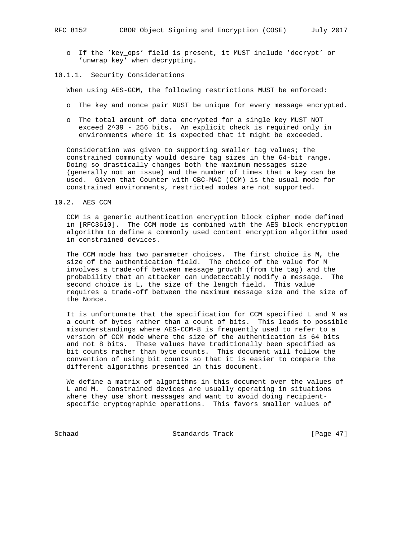- o If the 'key\_ops' field is present, it MUST include 'decrypt' or 'unwrap key' when decrypting.
- 10.1.1. Security Considerations

When using AES-GCM, the following restrictions MUST be enforced:

- o The key and nonce pair MUST be unique for every message encrypted.
- o The total amount of data encrypted for a single key MUST NOT exceed 2^39 - 256 bits. An explicit check is required only in environments where it is expected that it might be exceeded.

 Consideration was given to supporting smaller tag values; the constrained community would desire tag sizes in the 64-bit range. Doing so drastically changes both the maximum messages size (generally not an issue) and the number of times that a key can be used. Given that Counter with CBC-MAC (CCM) is the usual mode for constrained environments, restricted modes are not supported.

### 10.2. AES CCM

 CCM is a generic authentication encryption block cipher mode defined in [RFC3610]. The CCM mode is combined with the AES block encryption algorithm to define a commonly used content encryption algorithm used in constrained devices.

 The CCM mode has two parameter choices. The first choice is M, the size of the authentication field. The choice of the value for M involves a trade-off between message growth (from the tag) and the probability that an attacker can undetectably modify a message. The second choice is L, the size of the length field. This value requires a trade-off between the maximum message size and the size of the Nonce.

 It is unfortunate that the specification for CCM specified L and M as a count of bytes rather than a count of bits. This leads to possible misunderstandings where AES-CCM-8 is frequently used to refer to a version of CCM mode where the size of the authentication is 64 bits and not 8 bits. These values have traditionally been specified as bit counts rather than byte counts. This document will follow the convention of using bit counts so that it is easier to compare the different algorithms presented in this document.

 We define a matrix of algorithms in this document over the values of L and M. Constrained devices are usually operating in situations where they use short messages and want to avoid doing recipient specific cryptographic operations. This favors smaller values of

Schaad Standards Track [Page 47]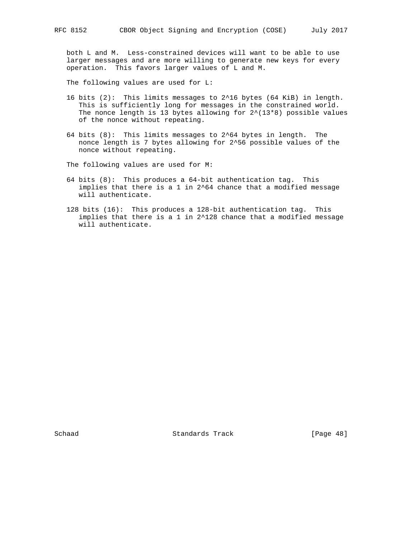both L and M. Less-constrained devices will want to be able to use larger messages and are more willing to generate new keys for every operation. This favors larger values of L and M.

The following values are used for L:

- 16 bits (2): This limits messages to 2^16 bytes (64 KiB) in length. This is sufficiently long for messages in the constrained world. The nonce length is 13 bytes allowing for  $2^{\wedge}(13*8)$  possible values of the nonce without repeating.
- 64 bits  $(8)$ : This limits messages to  $2^{\wedge}64$  bytes in length. The nonce length is 7 bytes allowing for 2^56 possible values of the nonce without repeating.

The following values are used for M:

- 64 bits (8): This produces a 64-bit authentication tag. This implies that there is a 1 in 2^64 chance that a modified message will authenticate.
- 128 bits (16): This produces a 128-bit authentication tag. This implies that there is a 1 in 2^128 chance that a modified message will authenticate.

Schaad Standards Track [Page 48]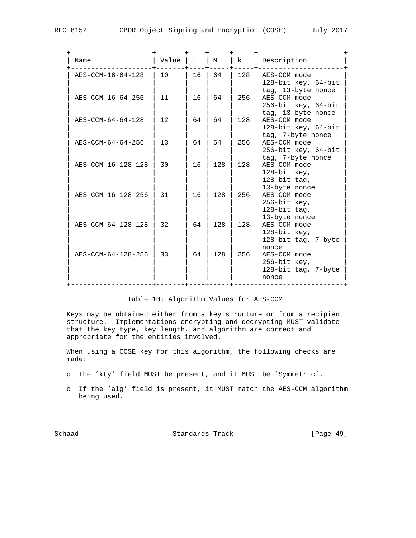| Name               | Value           | L  | М   | k   | Description                                                                          |
|--------------------|-----------------|----|-----|-----|--------------------------------------------------------------------------------------|
| AES-CCM-16-64-128  | 10              | 16 | 64  | 128 | AES-CCM mode<br>128-bit key, 64-bit<br>tag, 13-byte nonce                            |
| AES-CCM-16-64-256  | 11              | 16 | 64  | 256 | AES-CCM mode<br>256-bit key, 64-bit                                                  |
| AES-CCM-64-64-128  | 12              | 64 | 64  | 128 | tag, 13-byte nonce<br>AES-CCM mode<br>128-bit key, 64-bit                            |
| AES-CCM-64-64-256  | 13 <sup>°</sup> | 64 | 64  | 256 | tag, 7-byte nonce<br>AES-CCM mode<br>256-bit key, 64-bit                             |
| AES-CCM-16-128-128 | 30              | 16 | 128 | 128 | tag, 7-byte nonce<br>AES-CCM mode<br>$128$ -bit key,                                 |
| AES-CCM-16-128-256 | 31              | 16 | 128 | 256 | 128-bit tag,<br>13-byte nonce<br>AES-CCM mode<br>$256 - bit$ key,<br>$128$ -bit tag, |
| AES-CCM-64-128-128 | 32              | 64 | 128 | 128 | 13-byte nonce<br>AES-CCM mode<br>128-bit key,<br>128-bit tag, 7-byte                 |
| AES-CCM-64-128-256 | 33              | 64 | 128 | 256 | nonce<br>AES-CCM mode<br>$256$ -bit key,<br>128-bit tag, 7-byte<br>nonce             |

# Table 10: Algorithm Values for AES-CCM

 Keys may be obtained either from a key structure or from a recipient structure. Implementations encrypting and decrypting MUST validate that the key type, key length, and algorithm are correct and appropriate for the entities involved.

 When using a COSE key for this algorithm, the following checks are made:

- o The 'kty' field MUST be present, and it MUST be 'Symmetric'.
- o If the 'alg' field is present, it MUST match the AES-CCM algorithm being used.

Schaad Standards Track [Page 49]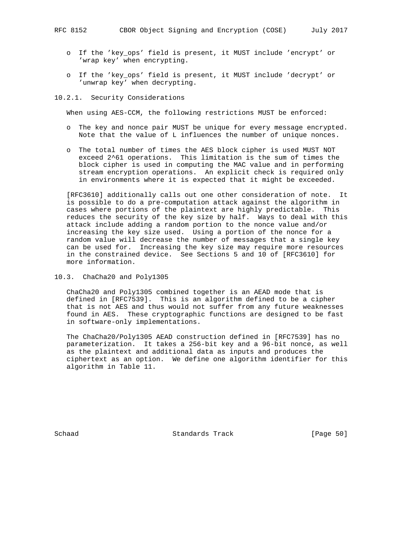- o If the 'key\_ops' field is present, it MUST include 'encrypt' or 'wrap key' when encrypting.
- o If the 'key\_ops' field is present, it MUST include 'decrypt' or 'unwrap key' when decrypting.

## 10.2.1. Security Considerations

When using AES-CCM, the following restrictions MUST be enforced:

- o The key and nonce pair MUST be unique for every message encrypted. Note that the value of L influences the number of unique nonces.
- o The total number of times the AES block cipher is used MUST NOT exceed 2^61 operations. This limitation is the sum of times the block cipher is used in computing the MAC value and in performing stream encryption operations. An explicit check is required only in environments where it is expected that it might be exceeded.

 [RFC3610] additionally calls out one other consideration of note. It is possible to do a pre-computation attack against the algorithm in cases where portions of the plaintext are highly predictable. This reduces the security of the key size by half. Ways to deal with this attack include adding a random portion to the nonce value and/or increasing the key size used. Using a portion of the nonce for a random value will decrease the number of messages that a single key can be used for. Increasing the key size may require more resources in the constrained device. See Sections 5 and 10 of [RFC3610] for more information.

10.3. ChaCha20 and Poly1305

 ChaCha20 and Poly1305 combined together is an AEAD mode that is defined in [RFC7539]. This is an algorithm defined to be a cipher that is not AES and thus would not suffer from any future weaknesses found in AES. These cryptographic functions are designed to be fast in software-only implementations.

 The ChaCha20/Poly1305 AEAD construction defined in [RFC7539] has no parameterization. It takes a 256-bit key and a 96-bit nonce, as well as the plaintext and additional data as inputs and produces the ciphertext as an option. We define one algorithm identifier for this algorithm in Table 11.

Schaad Standards Track [Page 50]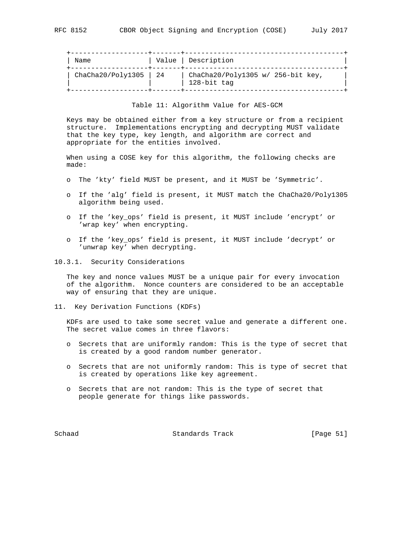| Name              |                                                              | Value   Description                              |
|-------------------|--------------------------------------------------------------|--------------------------------------------------|
| ChaCha20/Poly1305 | $\begin{array}{array}{c} \text{24} \\ \text{24} \end{array}$ | ChaCha20/Poly1305 w/ 256-bit key,<br>128-bit tag |

Table 11: Algorithm Value for AES-GCM

 Keys may be obtained either from a key structure or from a recipient structure. Implementations encrypting and decrypting MUST validate that the key type, key length, and algorithm are correct and appropriate for the entities involved.

 When using a COSE key for this algorithm, the following checks are made:

- o The 'kty' field MUST be present, and it MUST be 'Symmetric'.
- o If the 'alg' field is present, it MUST match the ChaCha20/Poly1305 algorithm being used.
- o If the 'key\_ops' field is present, it MUST include 'encrypt' or 'wrap key' when encrypting.
- o If the 'key\_ops' field is present, it MUST include 'decrypt' or 'unwrap key' when decrypting.
- 10.3.1. Security Considerations

 The key and nonce values MUST be a unique pair for every invocation of the algorithm. Nonce counters are considered to be an acceptable way of ensuring that they are unique.

11. Key Derivation Functions (KDFs)

 KDFs are used to take some secret value and generate a different one. The secret value comes in three flavors:

- o Secrets that are uniformly random: This is the type of secret that is created by a good random number generator.
- o Secrets that are not uniformly random: This is type of secret that is created by operations like key agreement.
- o Secrets that are not random: This is the type of secret that people generate for things like passwords.

Schaad Standards Track [Page 51]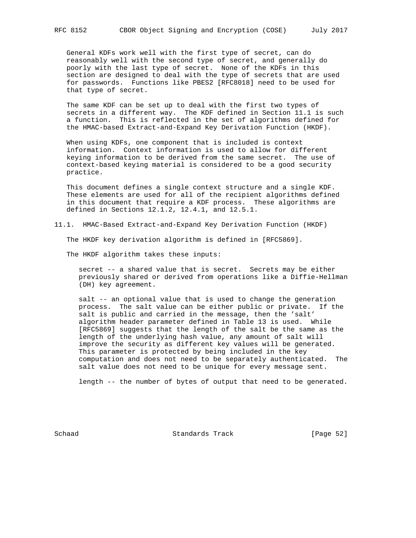General KDFs work well with the first type of secret, can do reasonably well with the second type of secret, and generally do poorly with the last type of secret. None of the KDFs in this section are designed to deal with the type of secrets that are used for passwords. Functions like PBES2 [RFC8018] need to be used for that type of secret.

 The same KDF can be set up to deal with the first two types of secrets in a different way. The KDF defined in Section 11.1 is such a function. This is reflected in the set of algorithms defined for the HMAC-based Extract-and-Expand Key Derivation Function (HKDF).

 When using KDFs, one component that is included is context information. Context information is used to allow for different keying information to be derived from the same secret. The use of context-based keying material is considered to be a good security practice.

 This document defines a single context structure and a single KDF. These elements are used for all of the recipient algorithms defined in this document that require a KDF process. These algorithms are defined in Sections 12.1.2, 12.4.1, and 12.5.1.

11.1. HMAC-Based Extract-and-Expand Key Derivation Function (HKDF)

The HKDF key derivation algorithm is defined in [RFC5869].

The HKDF algorithm takes these inputs:

 secret -- a shared value that is secret. Secrets may be either previously shared or derived from operations like a Diffie-Hellman (DH) key agreement.

 salt -- an optional value that is used to change the generation process. The salt value can be either public or private. If the salt is public and carried in the message, then the 'salt' algorithm header parameter defined in Table 13 is used. While [RFC5869] suggests that the length of the salt be the same as the length of the underlying hash value, any amount of salt will improve the security as different key values will be generated. This parameter is protected by being included in the key computation and does not need to be separately authenticated. The salt value does not need to be unique for every message sent.

length -- the number of bytes of output that need to be generated.

Schaad Standards Track [Page 52]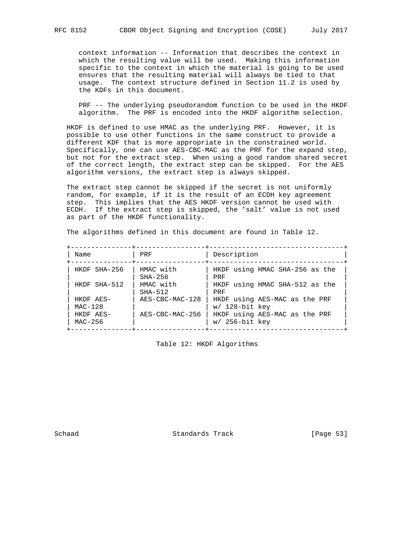context information -- Information that describes the context in which the resulting value will be used. Making this information specific to the context in which the material is going to be used ensures that the resulting material will always be tied to that usage. The context structure defined in Section 11.2 is used by the KDFs in this document.

PRF -- The underlying pseudorandom function to be used in the HKDF algorithm. The PRF is encoded into the HKDF algorithm selection.

 HKDF is defined to use HMAC as the underlying PRF. However, it is possible to use other functions in the same construct to provide a different KDF that is more appropriate in the constrained world. Specifically, one can use AES-CBC-MAC as the PRF for the expand step, but not for the extract step. When using a good random shared secret of the correct length, the extract step can be skipped. For the AES algorithm versions, the extract step is always skipped.

 The extract step cannot be skipped if the secret is not uniformly random, for example, if it is the result of an ECDH key agreement step. This implies that the AES HKDF version cannot be used with ECDH. If the extract step is skipped, the 'salt' value is not used as part of the HKDF functionality.

The algorithms defined in this document are found in Table 12.

| Name                   | PRF                    | Description                                       |
|------------------------|------------------------|---------------------------------------------------|
| HKDF SHA-256           | HMAC with<br>$SHA-256$ | HKDF using HMAC SHA-256 as the<br>PRF             |
| HKDF SHA-512           | HMAC with<br>$SHA-512$ | HKDF using HMAC SHA-512 as the<br>PRF             |
| HKDF AES-<br>$MAC-128$ | AES-CBC-MAC-128        | HKDF using AES-MAC as the PRF<br>$w/$ 128-bit key |
| HKDF AES-<br>MAC-256   | AES-CBC-MAC-256        | HKDF using AES-MAC as the PRF<br>$w/$ 256-bit key |

Table 12: HKDF Algorithms

Schaad Standards Track [Page 53]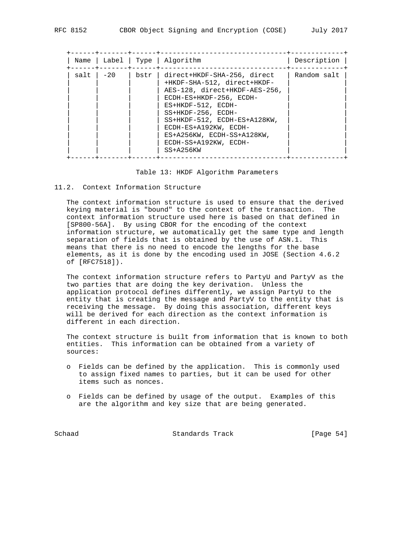| Name | Label |      | Type   Alqorithm                                                                                                                                                                                                                                                                                       | Description |
|------|-------|------|--------------------------------------------------------------------------------------------------------------------------------------------------------------------------------------------------------------------------------------------------------------------------------------------------------|-------------|
| salt | $-20$ | bstr | direct+HKDF-SHA-256, direct<br>+HKDF-SHA-512, direct+HKDF-<br>AES-128, direct+HKDF-AES-256,<br>ECDH-ES+HKDF-256, ECDH-<br>$ES+HKDF-512$ , $ECDH-$<br>SS+HKDF-256, ECDH-<br>SS+HKDF-512, ECDH-ES+A128KW,<br>ECDH-ES+A192KW, ECDH-<br>ES+A256KW, ECDH-SS+A128KW,<br>ECDH-SS+A192KW, ECDH-<br>$SS+A256KW$ | Random salt |
|      |       |      |                                                                                                                                                                                                                                                                                                        |             |

#### Table 13: HKDF Algorithm Parameters

#### 11.2. Context Information Structure

 The context information structure is used to ensure that the derived keying material is "bound" to the context of the transaction. The context information structure used here is based on that defined in [SP800-56A]. By using CBOR for the encoding of the context information structure, we automatically get the same type and length separation of fields that is obtained by the use of ASN.1. This means that there is no need to encode the lengths for the base elements, as it is done by the encoding used in JOSE (Section 4.6.2 of [RFC7518]).

 The context information structure refers to PartyU and PartyV as the two parties that are doing the key derivation. Unless the application protocol defines differently, we assign PartyU to the entity that is creating the message and PartyV to the entity that is receiving the message. By doing this association, different keys will be derived for each direction as the context information is different in each direction.

 The context structure is built from information that is known to both entities. This information can be obtained from a variety of sources:

- o Fields can be defined by the application. This is commonly used to assign fixed names to parties, but it can be used for other items such as nonces.
- o Fields can be defined by usage of the output. Examples of this are the algorithm and key size that are being generated.

Schaad Standards Track [Page 54]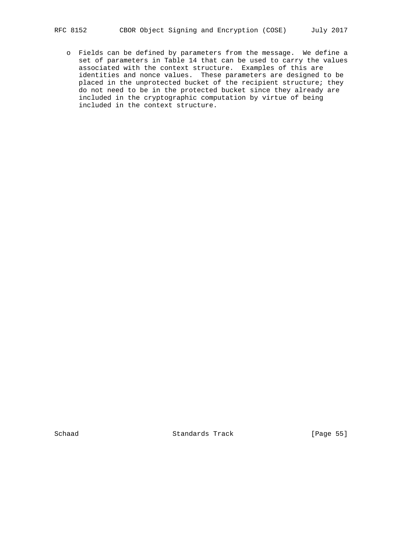o Fields can be defined by parameters from the message. We define a set of parameters in Table 14 that can be used to carry the values associated with the context structure. Examples of this are identities and nonce values. These parameters are designed to be placed in the unprotected bucket of the recipient structure; they do not need to be in the protected bucket since they already are included in the cryptographic computation by virtue of being included in the context structure.

Schaad Standards Track [Page 55]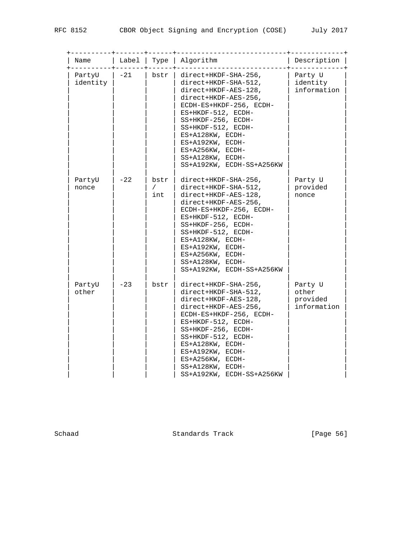| Name               | Label | Type                      | Algorithm                                                                                                                                                                                                                                                                                              | Description                                 |
|--------------------|-------|---------------------------|--------------------------------------------------------------------------------------------------------------------------------------------------------------------------------------------------------------------------------------------------------------------------------------------------------|---------------------------------------------|
| PartyU<br>identity | $-21$ | bstr                      | direct+HKDF-SHA-256,<br>direct+HKDF-SHA-512,<br>direct+HKDF-AES-128,<br>direct+HKDF-AES-256,<br>ECDH-ES+HKDF-256, ECDH-<br>ES+HKDF-512, ECDH-<br>SS+HKDF-256, ECDH-<br>SS+HKDF-512, ECDH-<br>ES+A128KW, ECDH-<br>ES+A192KW, ECDH-<br>ES+A256KW, ECDH-<br>SS+A128KW, ECDH-<br>SS+A192KW, ECDH-SS+A256KW | Party U<br>identity<br>information          |
| PartyU<br>nonce    | $-22$ | bstr<br>$\sqrt{2}$<br>int | direct+HKDF-SHA-256,<br>direct+HKDF-SHA-512,<br>direct+HKDF-AES-128,<br>direct+HKDF-AES-256,<br>ECDH-ES+HKDF-256, ECDH-<br>ES+HKDF-512, ECDH-<br>SS+HKDF-256, ECDH-<br>SS+HKDF-512, ECDH-<br>ES+A128KW, ECDH-<br>ES+A192KW, ECDH-<br>ES+A256KW, ECDH-<br>SS+A128KW, ECDH-<br>SS+A192KW, ECDH-SS+A256KW | Party U<br>provided<br>nonce                |
| PartyU<br>other    | $-23$ | bstr                      | direct+HKDF-SHA-256,<br>direct+HKDF-SHA-512,<br>direct+HKDF-AES-128,<br>direct+HKDF-AES-256,<br>ECDH-ES+HKDF-256, ECDH-<br>ES+HKDF-512, ECDH-<br>SS+HKDF-256, ECDH-<br>SS+HKDF-512, ECDH-<br>ES+A128KW, ECDH-<br>ES+A192KW, ECDH-<br>ES+A256KW, ECDH-<br>SS+A128KW, ECDH-<br>SS+A192KW, ECDH-SS+A256KW | Party U<br>other<br>provided<br>information |

Schaad Standards Track [Page 56]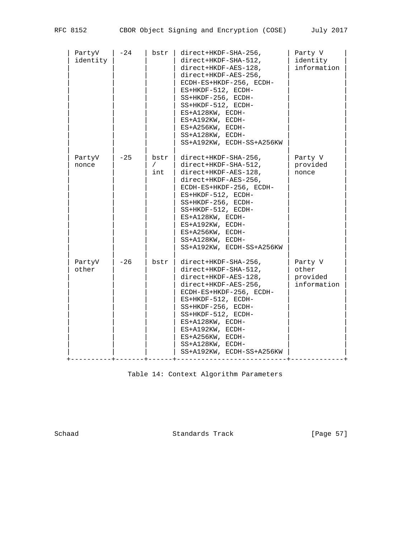| PartyV<br>identity | $-24$ | bstr                      | direct+HKDF-SHA-256,<br>direct+HKDF-SHA-512,<br>direct+HKDF-AES-128,<br>direct+HKDF-AES-256,<br>ECDH-ES+HKDF-256, ECDH-<br>ES+HKDF-512, ECDH-<br>SS+HKDF-256, ECDH-<br>SS+HKDF-512, ECDH-<br>ES+A128KW, ECDH-<br>ES+A192KW, ECDH-<br>ES+A256KW, ECDH-<br>SS+A128KW, ECDH-<br>SS+A192KW, ECDH-SS+A256KW | Party V<br>identity<br>information          |
|--------------------|-------|---------------------------|--------------------------------------------------------------------------------------------------------------------------------------------------------------------------------------------------------------------------------------------------------------------------------------------------------|---------------------------------------------|
| PartyV<br>nonce    | $-25$ | bstr<br>$\sqrt{2}$<br>int | direct+HKDF-SHA-256,<br>direct+HKDF-SHA-512,<br>direct+HKDF-AES-128,<br>direct+HKDF-AES-256,<br>ECDH-ES+HKDF-256, ECDH-<br>ES+HKDF-512, ECDH-<br>SS+HKDF-256, ECDH-<br>SS+HKDF-512, ECDH-<br>ES+A128KW, ECDH-<br>ES+A192KW, ECDH-<br>ES+A256KW, ECDH-<br>SS+A128KW, ECDH-<br>SS+A192KW, ECDH-SS+A256KW | Party V<br>provided<br>nonce                |
| PartyV<br>other    | $-26$ | bstr                      | direct+HKDF-SHA-256,<br>direct+HKDF-SHA-512,<br>direct+HKDF-AES-128,<br>direct+HKDF-AES-256,<br>ECDH-ES+HKDF-256, ECDH-<br>ES+HKDF-512, ECDH-<br>SS+HKDF-256, ECDH-<br>SS+HKDF-512, ECDH-<br>ES+A128KW, ECDH-<br>ES+A192KW, ECDH-<br>ES+A256KW, ECDH-<br>SS+A128KW, ECDH-<br>SS+A192KW, ECDH-SS+A256KW | Party V<br>other<br>provided<br>information |

Table 14: Context Algorithm Parameters

Schaad Standards Track [Page 57]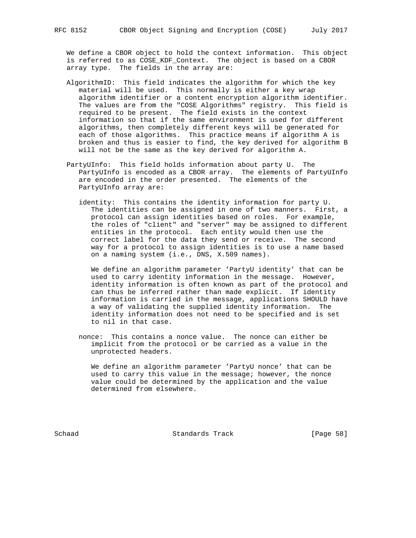We define a CBOR object to hold the context information. This object is referred to as COSE\_KDF\_Context. The object is based on a CBOR

array type. The fields in the array are:

- AlgorithmID: This field indicates the algorithm for which the key material will be used. This normally is either a key wrap algorithm identifier or a content encryption algorithm identifier. The values are from the "COSE Algorithms" registry. This field is required to be present. The field exists in the context information so that if the same environment is used for different algorithms, then completely different keys will be generated for each of those algorithms. This practice means if algorithm A is broken and thus is easier to find, the key derived for algorithm B will not be the same as the key derived for algorithm A.
- PartyUInfo: This field holds information about party U. The PartyUInfo is encoded as a CBOR array. The elements of PartyUInfo are encoded in the order presented. The elements of the PartyUInfo array are:
	- identity: This contains the identity information for party U. The identities can be assigned in one of two manners. First, a protocol can assign identities based on roles. For example, the roles of "client" and "server" may be assigned to different entities in the protocol. Each entity would then use the correct label for the data they send or receive. The second way for a protocol to assign identities is to use a name based on a naming system (i.e., DNS, X.509 names).

We define an algorithm parameter 'PartyU identity' that can be used to carry identity information in the message. However, identity information is often known as part of the protocol and can thus be inferred rather than made explicit. If identity information is carried in the message, applications SHOULD have a way of validating the supplied identity information. The identity information does not need to be specified and is set to nil in that case.

 nonce: This contains a nonce value. The nonce can either be implicit from the protocol or be carried as a value in the unprotected headers.

 We define an algorithm parameter 'PartyU nonce' that can be used to carry this value in the message; however, the nonce value could be determined by the application and the value determined from elsewhere.

Schaad Standards Track [Page 58]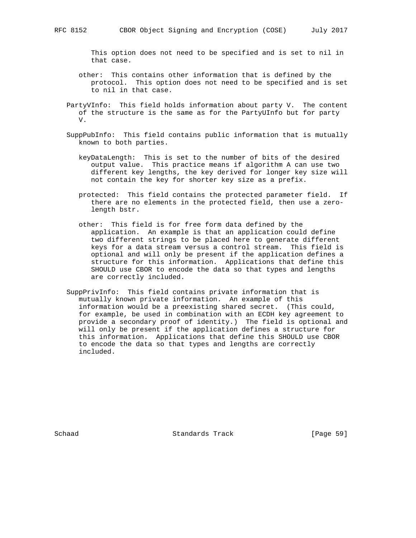This option does not need to be specified and is set to nil in that case.

- other: This contains other information that is defined by the protocol. This option does not need to be specified and is set to nil in that case.
- PartyVInfo: This field holds information about party V. The content of the structure is the same as for the PartyUInfo but for party V.
- SuppPubInfo: This field contains public information that is mutually known to both parties.
	- keyDataLength: This is set to the number of bits of the desired output value. This practice means if algorithm A can use two different key lengths, the key derived for longer key size will not contain the key for shorter key size as a prefix.
	- protected: This field contains the protected parameter field. If there are no elements in the protected field, then use a zero length bstr.
	- other: This field is for free form data defined by the application. An example is that an application could define two different strings to be placed here to generate different keys for a data stream versus a control stream. This field is optional and will only be present if the application defines a structure for this information. Applications that define this SHOULD use CBOR to encode the data so that types and lengths are correctly included.
- SuppPrivInfo: This field contains private information that is mutually known private information. An example of this information would be a preexisting shared secret. (This could, for example, be used in combination with an ECDH key agreement to provide a secondary proof of identity.) The field is optional and will only be present if the application defines a structure for this information. Applications that define this SHOULD use CBOR to encode the data so that types and lengths are correctly included.

Schaad Standards Track [Page 59]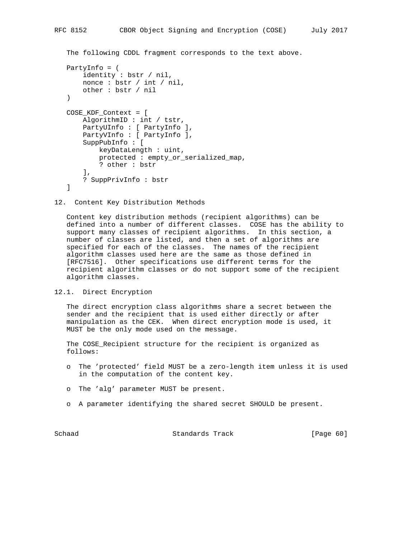```
 The following CDDL fragment corresponds to the text above.
PartyInfo = (
    identity : bstr / nil,
    nonce : bstr / int / nil,
    other : bstr / nil
)
COSE_KDF_Context = [
    AlgorithmID : int / tstr,
    PartyUInfo : [ PartyInfo ],
    PartyVInfo : [ PartyInfo ],
    SuppPubInfo : [
        keyDataLength : uint,
        protected : empty_or_serialized_map,
        ? other : bstr
   \,, \, ? SuppPrivInfo : bstr
]
```
12. Content Key Distribution Methods

 Content key distribution methods (recipient algorithms) can be defined into a number of different classes. COSE has the ability to support many classes of recipient algorithms. In this section, a number of classes are listed, and then a set of algorithms are specified for each of the classes. The names of the recipient algorithm classes used here are the same as those defined in [RFC7516]. Other specifications use different terms for the recipient algorithm classes or do not support some of the recipient algorithm classes.

12.1. Direct Encryption

 The direct encryption class algorithms share a secret between the sender and the recipient that is used either directly or after manipulation as the CEK. When direct encryption mode is used, it MUST be the only mode used on the message.

The COSE Recipient structure for the recipient is organized as follows:

- o The 'protected' field MUST be a zero-length item unless it is used in the computation of the content key.
- o The 'alg' parameter MUST be present.
- o A parameter identifying the shared secret SHOULD be present.

Schaad Standards Track [Page 60]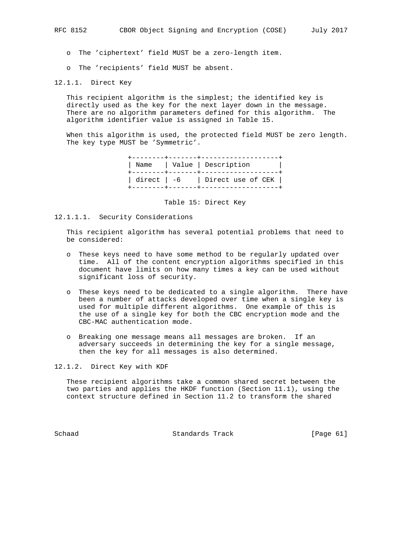o The 'ciphertext' field MUST be a zero-length item.

o The 'recipients' field MUST be absent.

12.1.1. Direct Key

 This recipient algorithm is the simplest; the identified key is directly used as the key for the next layer down in the message. There are no algorithm parameters defined for this algorithm. The algorithm identifier value is assigned in Table 15.

 When this algorithm is used, the protected field MUST be zero length. The key type MUST be 'Symmetric'.

> +--------+-------+-------------------+ | Name | Value | Description | +--------+-------+-------------------+ | direct | -6 | Direct use of CEK | +--------+-------+-------------------+

> > Table 15: Direct Key

12.1.1.1. Security Considerations

 This recipient algorithm has several potential problems that need to be considered:

- o These keys need to have some method to be regularly updated over time. All of the content encryption algorithms specified in this document have limits on how many times a key can be used without significant loss of security.
- o These keys need to be dedicated to a single algorithm. There have been a number of attacks developed over time when a single key is used for multiple different algorithms. One example of this is the use of a single key for both the CBC encryption mode and the CBC-MAC authentication mode.
- o Breaking one message means all messages are broken. If an adversary succeeds in determining the key for a single message, then the key for all messages is also determined.

12.1.2. Direct Key with KDF

 These recipient algorithms take a common shared secret between the two parties and applies the HKDF function (Section 11.1), using the context structure defined in Section 11.2 to transform the shared

Schaad Standards Track [Page 61]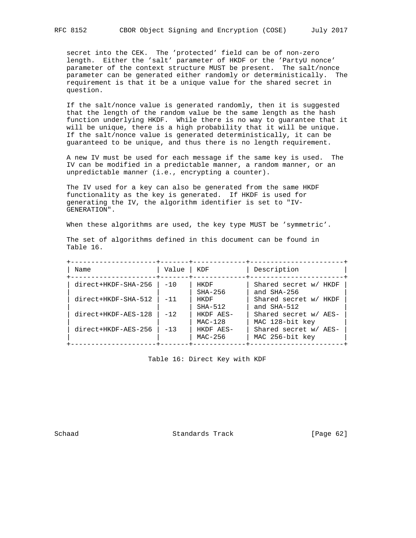secret into the CEK. The 'protected' field can be of non-zero length. Either the 'salt' parameter of HKDF or the 'PartyU nonce' parameter of the context structure MUST be present. The salt/nonce parameter can be generated either randomly or deterministically. The requirement is that it be a unique value for the shared secret in question.

 If the salt/nonce value is generated randomly, then it is suggested that the length of the random value be the same length as the hash function underlying HKDF. While there is no way to guarantee that it will be unique, there is a high probability that it will be unique. If the salt/nonce value is generated deterministically, it can be guaranteed to be unique, and thus there is no length requirement.

 A new IV must be used for each message if the same key is used. The IV can be modified in a predictable manner, a random manner, or an unpredictable manner (i.e., encrypting a counter).

 The IV used for a key can also be generated from the same HKDF functionality as the key is generated. If HKDF is used for generating the IV, the algorithm identifier is set to "IV- GENERATION".

When these algorithms are used, the key type MUST be 'symmetric'.

| Name                | Value | KDF                    | Description                              |
|---------------------|-------|------------------------|------------------------------------------|
| direct+HKDF-SHA-256 | $-10$ | HKDF<br>$SHA-256$      | Shared secret w/ HKDF<br>and SHA-256     |
| direct+HKDF-SHA-512 | $-11$ | HKDF<br>$SHA-512$      | Shared secret w/ HKDF<br>and SHA-512     |
| direct+HKDF-AES-128 | $-12$ | HKDF AES-<br>$MAC-128$ | Shared secret w/ AES-<br>MAC 128-bit key |
| direct+HKDF-AES-256 | $-13$ | HKDF AES-<br>MAC-256   | Shared secret w/ AES-<br>MAC 256-bit key |

 The set of algorithms defined in this document can be found in Table 16.

Table 16: Direct Key with KDF

Schaad Standards Track [Page 62]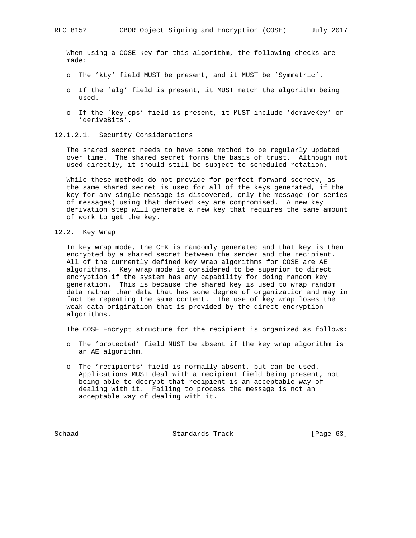When using a COSE key for this algorithm, the following checks are made:

- o The 'kty' field MUST be present, and it MUST be 'Symmetric'.
- o If the 'alg' field is present, it MUST match the algorithm being used.
- o If the 'key\_ops' field is present, it MUST include 'deriveKey' or 'deriveBits'.
- 12.1.2.1. Security Considerations

 The shared secret needs to have some method to be regularly updated over time. The shared secret forms the basis of trust. Although not used directly, it should still be subject to scheduled rotation.

 While these methods do not provide for perfect forward secrecy, as the same shared secret is used for all of the keys generated, if the key for any single message is discovered, only the message (or series of messages) using that derived key are compromised. A new key derivation step will generate a new key that requires the same amount of work to get the key.

12.2. Key Wrap

 In key wrap mode, the CEK is randomly generated and that key is then encrypted by a shared secret between the sender and the recipient. All of the currently defined key wrap algorithms for COSE are AE algorithms. Key wrap mode is considered to be superior to direct encryption if the system has any capability for doing random key generation. This is because the shared key is used to wrap random data rather than data that has some degree of organization and may in fact be repeating the same content. The use of key wrap loses the weak data origination that is provided by the direct encryption algorithms.

The COSE\_Encrypt structure for the recipient is organized as follows:

- o The 'protected' field MUST be absent if the key wrap algorithm is an AE algorithm.
- o The 'recipients' field is normally absent, but can be used. Applications MUST deal with a recipient field being present, not being able to decrypt that recipient is an acceptable way of dealing with it. Failing to process the message is not an acceptable way of dealing with it.

Schaad Standards Track [Page 63]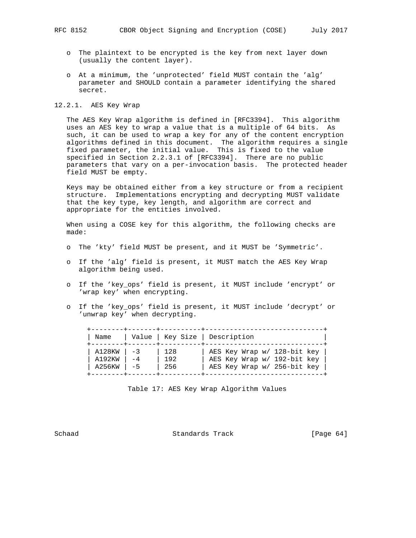- o The plaintext to be encrypted is the key from next layer down (usually the content layer).
- o At a minimum, the 'unprotected' field MUST contain the 'alg' parameter and SHOULD contain a parameter identifying the shared secret.

12.2.1. AES Key Wrap

 The AES Key Wrap algorithm is defined in [RFC3394]. This algorithm uses an AES key to wrap a value that is a multiple of 64 bits. As such, it can be used to wrap a key for any of the content encryption algorithms defined in this document. The algorithm requires a single fixed parameter, the initial value. This is fixed to the value specified in Section 2.2.3.1 of [RFC3394]. There are no public parameters that vary on a per-invocation basis. The protected header field MUST be empty.

 Keys may be obtained either from a key structure or from a recipient structure. Implementations encrypting and decrypting MUST validate that the key type, key length, and algorithm are correct and appropriate for the entities involved.

 When using a COSE key for this algorithm, the following checks are made:

- o The 'kty' field MUST be present, and it MUST be 'Symmetric'.
- o If the 'alg' field is present, it MUST match the AES Key Wrap algorithm being used.
- o If the 'key\_ops' field is present, it MUST include 'encrypt' or 'wrap key' when encrypting.
- o If the 'key\_ops' field is present, it MUST include 'decrypt' or 'unwrap key' when decrypting.

| Name                               | Value   Key Size   Description    |                                                                                           |
|------------------------------------|-----------------------------------|-------------------------------------------------------------------------------------------|
| A128KW<br>$-3$<br>A192KW<br>A256KW | 128<br>192<br>$-4$<br>$-5$<br>256 | AES Key Wrap w/ 128-bit key<br>AES Key Wrap w/ 192-bit key<br>AES Key Wrap w/ 256-bit key |

Table 17: AES Key Wrap Algorithm Values

Schaad Standards Track [Page 64]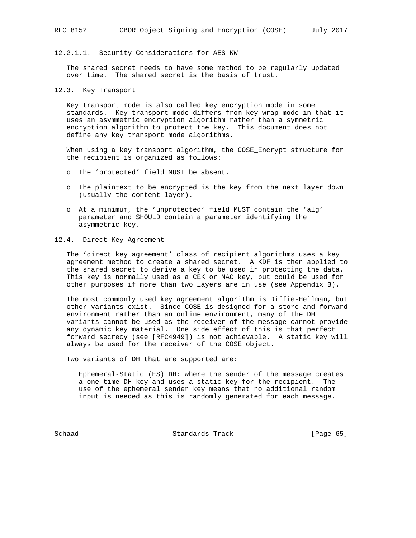# 12.2.1.1. Security Considerations for AES-KW

 The shared secret needs to have some method to be regularly updated over time. The shared secret is the basis of trust.

12.3. Key Transport

 Key transport mode is also called key encryption mode in some standards. Key transport mode differs from key wrap mode in that it uses an asymmetric encryption algorithm rather than a symmetric encryption algorithm to protect the key. This document does not define any key transport mode algorithms.

 When using a key transport algorithm, the COSE\_Encrypt structure for the recipient is organized as follows:

- o The 'protected' field MUST be absent.
- o The plaintext to be encrypted is the key from the next layer down (usually the content layer).
- o At a minimum, the 'unprotected' field MUST contain the 'alg' parameter and SHOULD contain a parameter identifying the asymmetric key.

## 12.4. Direct Key Agreement

 The 'direct key agreement' class of recipient algorithms uses a key agreement method to create a shared secret. A KDF is then applied to the shared secret to derive a key to be used in protecting the data. This key is normally used as a CEK or MAC key, but could be used for other purposes if more than two layers are in use (see Appendix B).

 The most commonly used key agreement algorithm is Diffie-Hellman, but other variants exist. Since COSE is designed for a store and forward environment rather than an online environment, many of the DH variants cannot be used as the receiver of the message cannot provide any dynamic key material. One side effect of this is that perfect forward secrecy (see [RFC4949]) is not achievable. A static key will always be used for the receiver of the COSE object.

Two variants of DH that are supported are:

 Ephemeral-Static (ES) DH: where the sender of the message creates a one-time DH key and uses a static key for the recipient. The use of the ephemeral sender key means that no additional random input is needed as this is randomly generated for each message.

Schaad Standards Track [Page 65]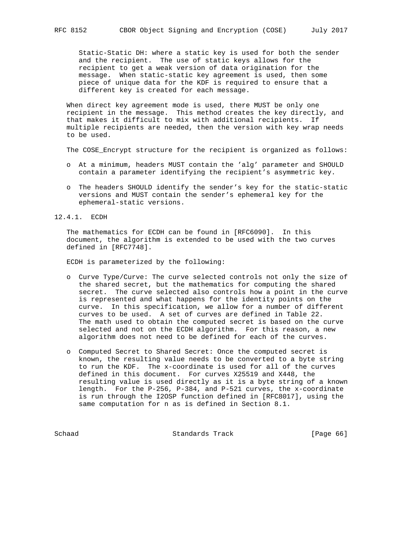Static-Static DH: where a static key is used for both the sender and the recipient. The use of static keys allows for the recipient to get a weak version of data origination for the message. When static-static key agreement is used, then some piece of unique data for the KDF is required to ensure that a different key is created for each message.

 When direct key agreement mode is used, there MUST be only one recipient in the message. This method creates the key directly, and that makes it difficult to mix with additional recipients. If multiple recipients are needed, then the version with key wrap needs to be used.

The COSE\_Encrypt structure for the recipient is organized as follows:

- o At a minimum, headers MUST contain the 'alg' parameter and SHOULD contain a parameter identifying the recipient's asymmetric key.
- o The headers SHOULD identify the sender's key for the static-static versions and MUST contain the sender's ephemeral key for the ephemeral-static versions.
- 12.4.1. ECDH

 The mathematics for ECDH can be found in [RFC6090]. In this document, the algorithm is extended to be used with the two curves defined in [RFC7748].

ECDH is parameterized by the following:

- o Curve Type/Curve: The curve selected controls not only the size of the shared secret, but the mathematics for computing the shared secret. The curve selected also controls how a point in the curve is represented and what happens for the identity points on the curve. In this specification, we allow for a number of different curves to be used. A set of curves are defined in Table 22. The math used to obtain the computed secret is based on the curve selected and not on the ECDH algorithm. For this reason, a new algorithm does not need to be defined for each of the curves.
- o Computed Secret to Shared Secret: Once the computed secret is known, the resulting value needs to be converted to a byte string to run the KDF. The x-coordinate is used for all of the curves defined in this document. For curves X25519 and X448, the resulting value is used directly as it is a byte string of a known length. For the P-256, P-384, and P-521 curves, the x-coordinate is run through the I2OSP function defined in [RFC8017], using the same computation for n as is defined in Section 8.1.

Schaad Standards Track [Page 66]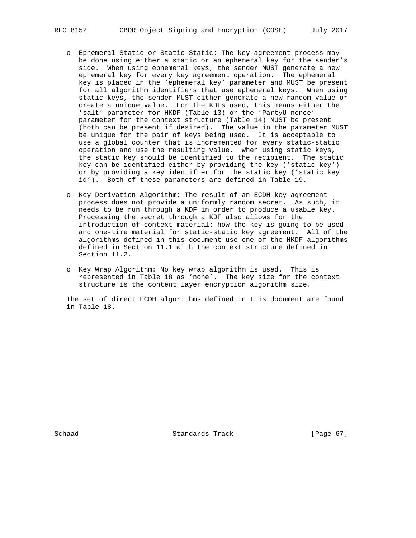- o Ephemeral-Static or Static-Static: The key agreement process may be done using either a static or an ephemeral key for the sender's side. When using ephemeral keys, the sender MUST generate a new ephemeral key for every key agreement operation. The ephemeral key is placed in the 'ephemeral key' parameter and MUST be present for all algorithm identifiers that use ephemeral keys. When using static keys, the sender MUST either generate a new random value or create a unique value. For the KDFs used, this means either the 'salt' parameter for HKDF (Table 13) or the 'PartyU nonce' parameter for the context structure (Table 14) MUST be present (both can be present if desired). The value in the parameter MUST be unique for the pair of keys being used. It is acceptable to use a global counter that is incremented for every static-static operation and use the resulting value. When using static keys, the static key should be identified to the recipient. The static key can be identified either by providing the key ('static key') or by providing a key identifier for the static key ('static key id'). Both of these parameters are defined in Table 19.
- o Key Derivation Algorithm: The result of an ECDH key agreement process does not provide a uniformly random secret. As such, it needs to be run through a KDF in order to produce a usable key. Processing the secret through a KDF also allows for the introduction of context material: how the key is going to be used and one-time material for static-static key agreement. All of the algorithms defined in this document use one of the HKDF algorithms defined in Section 11.1 with the context structure defined in Section 11.2.
- o Key Wrap Algorithm: No key wrap algorithm is used. This is represented in Table 18 as 'none'. The key size for the context structure is the content layer encryption algorithm size.

 The set of direct ECDH algorithms defined in this document are found in Table 18.

Schaad Standards Track [Page 67]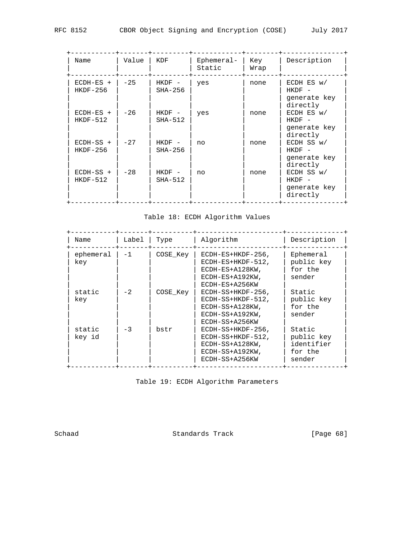| c | ---- | ---- | $\tilde{\phantom{a}}$ |
|---|------|------|-----------------------|
|   |      |      |                       |
|   |      |      |                       |
|   |      |      |                       |
|   |      |      |                       |

| Name                      | Value | KDF                   | Ephemeral-<br>Static | Key<br>Wrap | Description                                                                    |
|---------------------------|-------|-----------------------|----------------------|-------------|--------------------------------------------------------------------------------|
| $ECDH-ES$ +<br>$HKDF-256$ | $-25$ | $HKDF -$<br>$SHA-256$ | yes                  | none        | $ECDH$ ES $w/$<br>HKDF<br>$\overline{\phantom{a}}$<br>generate key<br>directly |
| $ECDH-ES$ +<br>$HKDF-512$ | $-26$ | $HKDF -$<br>$SHA-512$ | yes                  | none        | $ECDH$ ES $w/$<br>$HKDF -$<br>generate key<br>directly                         |
| $ECDH-SS$ +<br>$HKDF-256$ | $-27$ | $HKDF -$<br>$SHA-256$ | no                   | none        | ECDH SS w/<br>$HKDF -$<br>generate key<br>directly                             |
| $ECDH-SS$ +<br>$HKDF-512$ | $-28$ | $HKDF -$<br>$SHA-512$ | no                   | none        | ECDH SS w/<br>$HKDF -$<br>generate key<br>directly                             |

Table 18: ECDH Algorithm Values

| Name             | Label | Type     | Algorithm                                                                                            | Description                                             |
|------------------|-------|----------|------------------------------------------------------------------------------------------------------|---------------------------------------------------------|
| ephemeral<br>key | $-1$  | COSE Key | $ECDH-ES+HKDF-256$ ,<br>$ECDH-ES+HKDF-512$ ,<br>ECDH-ES+A128KW,<br>ECDH-ES+A192KW,<br>ECDH-ES+A256KW | Ephemeral<br>public key<br>for the<br>sender            |
| static<br>key    | $-2$  | COSE Key | ECDH-SS+HKDF-256,<br>ECDH-SS+HKDF-512,<br>ECDH-SS+A128KW,<br>ECDH-SS+A192KW,<br>ECDH-SS+A256KW       | Static<br>public key<br>for the<br>sender               |
| static<br>key id | $-3$  | bstr     | $ECDH-SS+HKDF-256$ ,<br>ECDH-SS+HKDF-512,<br>ECDH-SS+A128KW,<br>ECDH-SS+A192KW,<br>ECDH-SS+A256KW    | Static<br>public key<br>identifier<br>for the<br>sender |

Table 19: ECDH Algorithm Parameters

Schaad Standards Track [Page 68]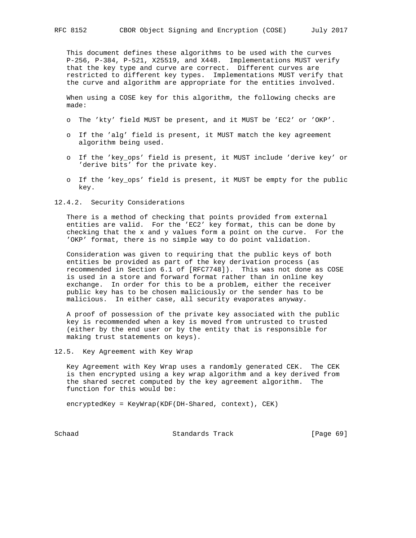This document defines these algorithms to be used with the curves P-256, P-384, P-521, X25519, and X448. Implementations MUST verify that the key type and curve are correct. Different curves are restricted to different key types. Implementations MUST verify that the curve and algorithm are appropriate for the entities involved.

 When using a COSE key for this algorithm, the following checks are made:

- o The 'kty' field MUST be present, and it MUST be 'EC2' or 'OKP'.
- o If the 'alg' field is present, it MUST match the key agreement algorithm being used.
- o If the 'key\_ops' field is present, it MUST include 'derive key' or 'derive bits' for the private key.
- o If the 'key\_ops' field is present, it MUST be empty for the public key.
- 12.4.2. Security Considerations

 There is a method of checking that points provided from external entities are valid. For the 'EC2' key format, this can be done by checking that the x and y values form a point on the curve. For the 'OKP' format, there is no simple way to do point validation.

 Consideration was given to requiring that the public keys of both entities be provided as part of the key derivation process (as recommended in Section 6.1 of [RFC7748]). This was not done as COSE is used in a store and forward format rather than in online key exchange. In order for this to be a problem, either the receiver public key has to be chosen maliciously or the sender has to be malicious. In either case, all security evaporates anyway.

 A proof of possession of the private key associated with the public key is recommended when a key is moved from untrusted to trusted (either by the end user or by the entity that is responsible for making trust statements on keys).

12.5. Key Agreement with Key Wrap

 Key Agreement with Key Wrap uses a randomly generated CEK. The CEK is then encrypted using a key wrap algorithm and a key derived from the shared secret computed by the key agreement algorithm. The function for this would be:

encryptedKey = KeyWrap(KDF(DH-Shared, context), CEK)

Schaad Standards Track [Page 69]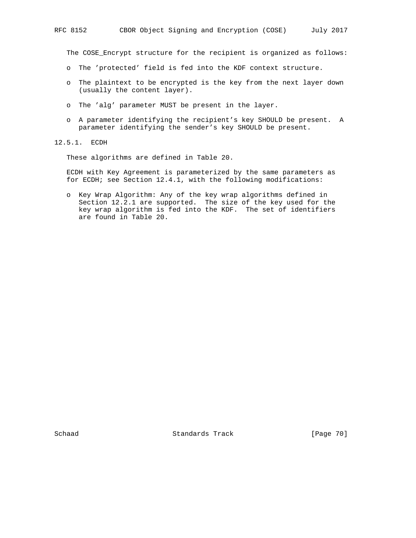The COSE\_Encrypt structure for the recipient is organized as follows:

- o The 'protected' field is fed into the KDF context structure.
- o The plaintext to be encrypted is the key from the next layer down (usually the content layer).
- o The 'alg' parameter MUST be present in the layer.
- o A parameter identifying the recipient's key SHOULD be present. A parameter identifying the sender's key SHOULD be present.
- 12.5.1. ECDH

These algorithms are defined in Table 20.

 ECDH with Key Agreement is parameterized by the same parameters as for ECDH; see Section 12.4.1, with the following modifications:

 o Key Wrap Algorithm: Any of the key wrap algorithms defined in Section 12.2.1 are supported. The size of the key used for the key wrap algorithm is fed into the KDF. The set of identifiers are found in Table 20.

Schaad Standards Track [Page 70]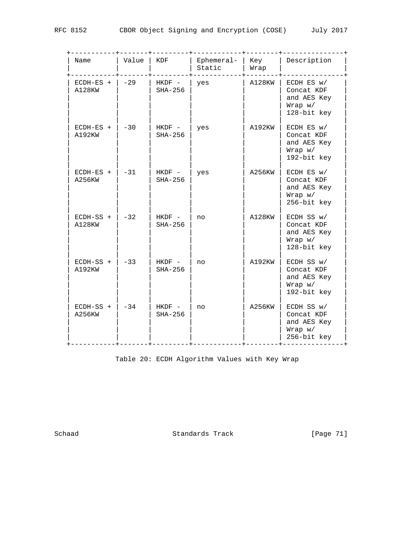| Name                  | Value | KDF                   | Ephemeral-<br>Static | Key<br>Wrap | Description                                                            |
|-----------------------|-------|-----------------------|----------------------|-------------|------------------------------------------------------------------------|
| $ECDH-ES$ +<br>A128KW | $-29$ | HKDF -<br>$SHA-256$   | yes                  | A128KW      | ECDH ES w/<br>Concat KDF<br>and AES Key<br>Wrap w/<br>128-bit key      |
| $ECDH-ES$ +<br>A192KW | $-30$ | HKDF -<br>$SHA-256$   | yes                  | A192KW      | ECDH ES w/<br>Concat KDF<br>and AES Key<br>Wrap w/<br>192-bit key      |
| $ECDH-ES$ +<br>A256KW | $-31$ | HKDF -<br>$SHA-256$   | yes                  | A256KW      | ECDH ES w/<br>Concat KDF<br>and AES Key<br>$Wrap \t w/$<br>256-bit key |
| $ECDH-SS$ +<br>A128KW | $-32$ | $HKDF -$<br>$SHA-256$ | no                   | A128KW      | ECDH SS w/<br>Concat KDF<br>and AES Key<br>Wrap w/<br>128-bit key      |
| ECDH-SS +<br>A192KW   | $-33$ | $HKDF -$<br>$SHA-256$ | no                   | A192KW      | ECDH SS w/<br>Concat KDF<br>and AES Key<br>Wrap w/<br>192-bit key      |
| $ECDH-SS$ +<br>A256KW | $-34$ | $HKDF -$<br>$SHA-256$ | no                   | A256KW      | ECDH SS w/<br>Concat KDF<br>and AES Key<br>Wrap w/<br>256-bit key      |

Table 20: ECDH Algorithm Values with Key Wrap

Schaad Standards Track [Page 71]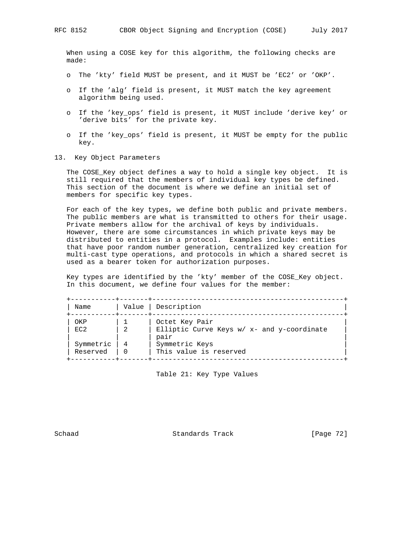When using a COSE key for this algorithm, the following checks are made:

- o The 'kty' field MUST be present, and it MUST be 'EC2' or 'OKP'.
- o If the 'alg' field is present, it MUST match the key agreement algorithm being used.
- o If the 'key\_ops' field is present, it MUST include 'derive key' or 'derive bits' for the private key.
- o If the 'key\_ops' field is present, it MUST be empty for the public key.
- 13. Key Object Parameters

 The COSE\_Key object defines a way to hold a single key object. It is still required that the members of individual key types be defined. This section of the document is where we define an initial set of members for specific key types.

 For each of the key types, we define both public and private members. The public members are what is transmitted to others for their usage. Private members allow for the archival of keys by individuals. However, there are some circumstances in which private keys may be distributed to entities in a protocol. Examples include: entities that have poor random number generation, centralized key creation for multi-cast type operations, and protocols in which a shared secret is used as a bearer token for authorization purposes.

 Key types are identified by the 'kty' member of the COSE\_Key object. In this document, we define four values for the member:

| Name      | Value | Description                                        |
|-----------|-------|----------------------------------------------------|
| OKP       |       | Octet Key Pair                                     |
| FC2       | - 2.  | Elliptic Curve Keys w/ x- and y-coordinate<br>pair |
| Symmetric |       | Symmetric Keys                                     |
| Reserved  |       | This value is reserved                             |

Table 21: Key Type Values

Schaad Standards Track [Page 72]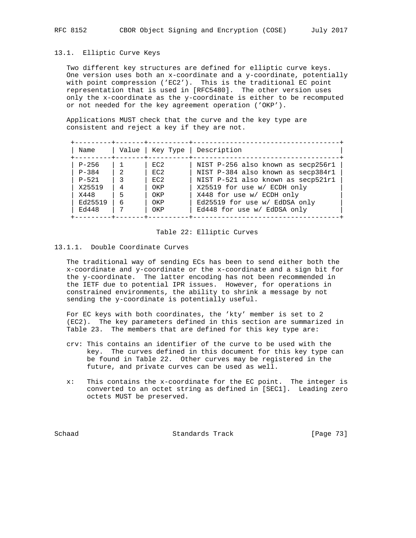## 13.1. Elliptic Curve Keys

 Two different key structures are defined for elliptic curve keys. One version uses both an x-coordinate and a y-coordinate, potentially with point compression ('EC2'). This is the traditional EC point representation that is used in [RFC5480]. The other version uses only the x-coordinate as the y-coordinate is either to be recomputed or not needed for the key agreement operation ('OKP').

 Applications MUST check that the curve and the key type are consistent and reject a key if they are not.

| Name                   | Value         |            | Key Type   Description                                                   |
|------------------------|---------------|------------|--------------------------------------------------------------------------|
| $P - 256$              | $-2$          | FC2        | NIST P-256 also known as secp256r1                                       |
| $P - 384$<br>$P - 521$ | $\mathcal{R}$ | EC2<br>FC2 | NIST P-384 also known as secp384r1<br>NIST P-521 also known as secp521r1 |
| X25519<br>X448         | 4<br>5        | OKP<br>OKP | X25519 for use w/ ECDH only<br>X448 for use w/ ECDH only                 |
| Ed25519                | 6             | OKP        | Ed25519 for use w/ EdDSA only                                            |
| Ed448                  | 7             | OKP        | Ed448 for use w/ EdDSA only                                              |

#### Table 22: Elliptic Curves

# 13.1.1. Double Coordinate Curves

 The traditional way of sending ECs has been to send either both the x-coordinate and y-coordinate or the x-coordinate and a sign bit for the y-coordinate. The latter encoding has not been recommended in the IETF due to potential IPR issues. However, for operations in constrained environments, the ability to shrink a message by not sending the y-coordinate is potentially useful.

 For EC keys with both coordinates, the 'kty' member is set to 2 (EC2). The key parameters defined in this section are summarized in Table 23. The members that are defined for this key type are:

- crv: This contains an identifier of the curve to be used with the key. The curves defined in this document for this key type can be found in Table 22. Other curves may be registered in the future, and private curves can be used as well.
- x: This contains the x-coordinate for the EC point. The integer is converted to an octet string as defined in [SEC1]. Leading zero octets MUST be preserved.

Schaad Standards Track [Page 73]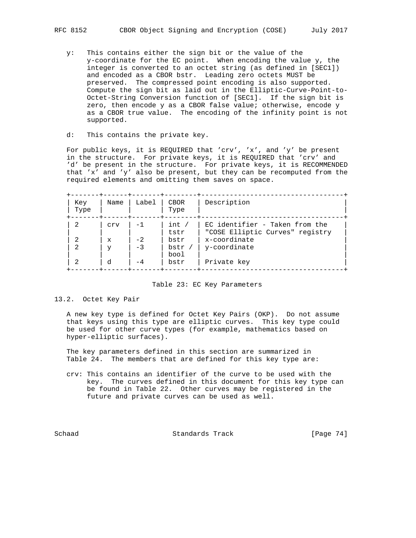- y: This contains either the sign bit or the value of the y-coordinate for the EC point. When encoding the value y, the integer is converted to an octet string (as defined in [SEC1]) and encoded as a CBOR bstr. Leading zero octets MUST be preserved. The compressed point encoding is also supported. Compute the sign bit as laid out in the Elliptic-Curve-Point-to- Octet-String Conversion function of [SEC1]. If the sign bit is zero, then encode y as a CBOR false value; otherwise, encode y as a CBOR true value. The encoding of the infinity point is not supported.
- d: This contains the private key.

 For public keys, it is REQUIRED that 'crv', 'x', and 'y' be present in the structure. For private keys, it is REQUIRED that 'crv' and 'd' be present in the structure. For private keys, it is RECOMMENDED that 'x' and 'y' also be present, but they can be recomputed from the required elements and omitting them saves on space.

| Key<br>Type | Name         | Label | <b>CBOR</b><br>Type | Description                                                       |
|-------------|--------------|-------|---------------------|-------------------------------------------------------------------|
| 2           | Crv          | $-1$  | int /<br>tstr       | EC identifier - Taken from the<br>"COSE Elliptic Curves" registry |
| 2           | $\mathbf{x}$ | $-2$  | bstr                | x-coordinate                                                      |
| 2           | v            | $-3$  | bstr<br>bool        | y-coordinate                                                      |
| -2          | P.           | $-4$  | bstr                | Private key                                                       |

#### Table 23: EC Key Parameters

## 13.2. Octet Key Pair

 A new key type is defined for Octet Key Pairs (OKP). Do not assume that keys using this type are elliptic curves. This key type could be used for other curve types (for example, mathematics based on hyper-elliptic surfaces).

 The key parameters defined in this section are summarized in Table 24. The members that are defined for this key type are:

 crv: This contains an identifier of the curve to be used with the key. The curves defined in this document for this key type can be found in Table 22. Other curves may be registered in the future and private curves can be used as well.

Schaad Standards Track [Page 74]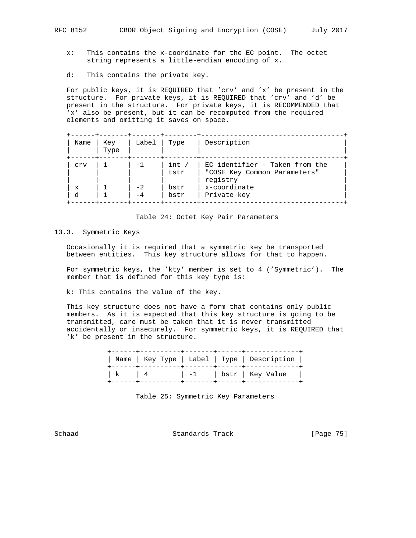- x: This contains the x-coordinate for the EC point. The octet string represents a little-endian encoding of x.
- d: This contains the private key.

 For public keys, it is REQUIRED that 'crv' and 'x' be present in the structure. For private keys, it is REQUIRED that 'crv' and 'd' be present in the structure. For private keys, it is RECOMMENDED that 'x' also be present, but it can be recomputed from the required elements and omitting it saves on space.

| Name        | Key<br>Type | Label | Type          | Description                                                                |
|-------------|-------------|-------|---------------|----------------------------------------------------------------------------|
| Crv         |             | $-1$  | int /<br>tstr | EC identifier - Taken from the<br>"COSE Key Common Parameters"<br>registry |
| $\mathbf x$ |             | $-2$  | bstr          | x-coordinate                                                               |
| d           |             |       | bstr          | Private key                                                                |

Table 24: Octet Key Pair Parameters

# 13.3. Symmetric Keys

 Occasionally it is required that a symmetric key be transported between entities. This key structure allows for that to happen.

 For symmetric keys, the 'kty' member is set to 4 ('Symmetric'). The member that is defined for this key type is:

k: This contains the value of the key.

 This key structure does not have a form that contains only public members. As it is expected that this key structure is going to be transmitted, care must be taken that it is never transmitted accidentally or insecurely. For symmetric keys, it is REQUIRED that 'k' be present in the structure.

|                     |  | Name   Key Type   Label   Type   Description |  |
|---------------------|--|----------------------------------------------|--|
| $\vert$ k $\vert$ 4 |  | -1   bstr   Key Value                        |  |

Table 25: Symmetric Key Parameters

Schaad Standards Track [Page 75]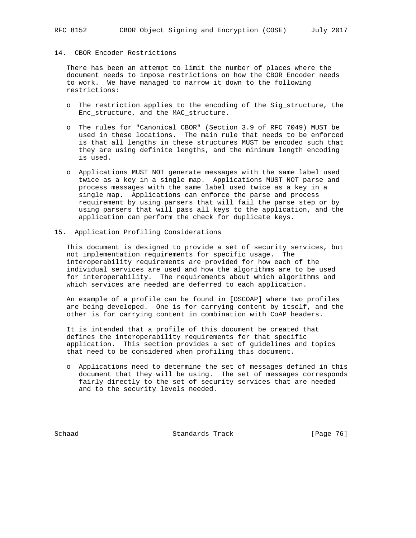# 14. CBOR Encoder Restrictions

 There has been an attempt to limit the number of places where the document needs to impose restrictions on how the CBOR Encoder needs to work. We have managed to narrow it down to the following restrictions:

- o The restriction applies to the encoding of the Sig\_structure, the Enc\_structure, and the MAC\_structure.
- o The rules for "Canonical CBOR" (Section 3.9 of RFC 7049) MUST be used in these locations. The main rule that needs to be enforced is that all lengths in these structures MUST be encoded such that they are using definite lengths, and the minimum length encoding is used.
- o Applications MUST NOT generate messages with the same label used twice as a key in a single map. Applications MUST NOT parse and process messages with the same label used twice as a key in a single map. Applications can enforce the parse and process requirement by using parsers that will fail the parse step or by using parsers that will pass all keys to the application, and the application can perform the check for duplicate keys.
- 15. Application Profiling Considerations

 This document is designed to provide a set of security services, but not implementation requirements for specific usage. The interoperability requirements are provided for how each of the individual services are used and how the algorithms are to be used for interoperability. The requirements about which algorithms and which services are needed are deferred to each application.

 An example of a profile can be found in [OSCOAP] where two profiles are being developed. One is for carrying content by itself, and the other is for carrying content in combination with CoAP headers.

 It is intended that a profile of this document be created that defines the interoperability requirements for that specific application. This section provides a set of guidelines and topics that need to be considered when profiling this document.

 o Applications need to determine the set of messages defined in this document that they will be using. The set of messages corresponds fairly directly to the set of security services that are needed and to the security levels needed.

Schaad Standards Track [Page 76]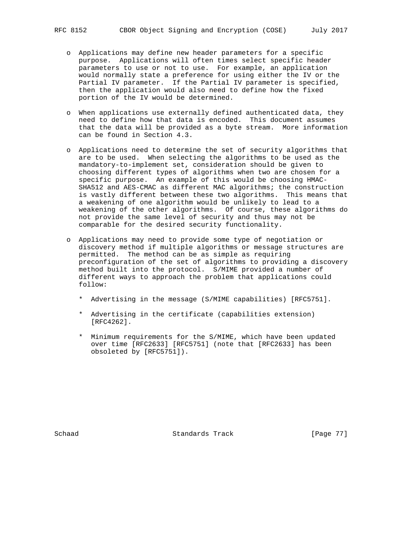- o Applications may define new header parameters for a specific purpose. Applications will often times select specific header parameters to use or not to use. For example, an application would normally state a preference for using either the IV or the Partial IV parameter. If the Partial IV parameter is specified, then the application would also need to define how the fixed portion of the IV would be determined.
- o When applications use externally defined authenticated data, they need to define how that data is encoded. This document assumes that the data will be provided as a byte stream. More information can be found in Section 4.3.
- o Applications need to determine the set of security algorithms that are to be used. When selecting the algorithms to be used as the mandatory-to-implement set, consideration should be given to choosing different types of algorithms when two are chosen for a specific purpose. An example of this would be choosing HMAC- SHA512 and AES-CMAC as different MAC algorithms; the construction is vastly different between these two algorithms. This means that a weakening of one algorithm would be unlikely to lead to a weakening of the other algorithms. Of course, these algorithms do not provide the same level of security and thus may not be comparable for the desired security functionality.
- o Applications may need to provide some type of negotiation or discovery method if multiple algorithms or message structures are permitted. The method can be as simple as requiring preconfiguration of the set of algorithms to providing a discovery method built into the protocol. S/MIME provided a number of different ways to approach the problem that applications could follow:
	- \* Advertising in the message (S/MIME capabilities) [RFC5751].
	- \* Advertising in the certificate (capabilities extension) [RFC4262].
	- \* Minimum requirements for the S/MIME, which have been updated over time [RFC2633] [RFC5751] (note that [RFC2633] has been obsoleted by [RFC5751]).

Schaad Standards Track [Page 77]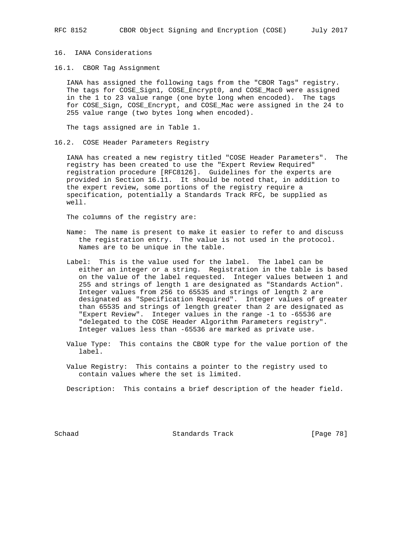# 16. IANA Considerations

16.1. CBOR Tag Assignment

 IANA has assigned the following tags from the "CBOR Tags" registry. The tags for COSE\_Sign1, COSE\_Encrypt0, and COSE\_Mac0 were assigned in the 1 to 23 value range (one byte long when encoded). The tags for COSE\_Sign, COSE\_Encrypt, and COSE\_Mac were assigned in the 24 to 255 value range (two bytes long when encoded).

The tags assigned are in Table 1.

16.2. COSE Header Parameters Registry

 IANA has created a new registry titled "COSE Header Parameters". The registry has been created to use the "Expert Review Required" registration procedure [RFC8126]. Guidelines for the experts are provided in Section 16.11. It should be noted that, in addition to the expert review, some portions of the registry require a specification, potentially a Standards Track RFC, be supplied as well.

The columns of the registry are:

- Name: The name is present to make it easier to refer to and discuss the registration entry. The value is not used in the protocol. Names are to be unique in the table.
- Label: This is the value used for the label. The label can be either an integer or a string. Registration in the table is based on the value of the label requested. Integer values between 1 and 255 and strings of length 1 are designated as "Standards Action". Integer values from 256 to 65535 and strings of length 2 are designated as "Specification Required". Integer values of greater than 65535 and strings of length greater than 2 are designated as "Expert Review". Integer values in the range -1 to -65536 are "delegated to the COSE Header Algorithm Parameters registry". Integer values less than -65536 are marked as private use.
- Value Type: This contains the CBOR type for the value portion of the label.
- Value Registry: This contains a pointer to the registry used to contain values where the set is limited.

Description: This contains a brief description of the header field.

Schaad Standards Track [Page 78]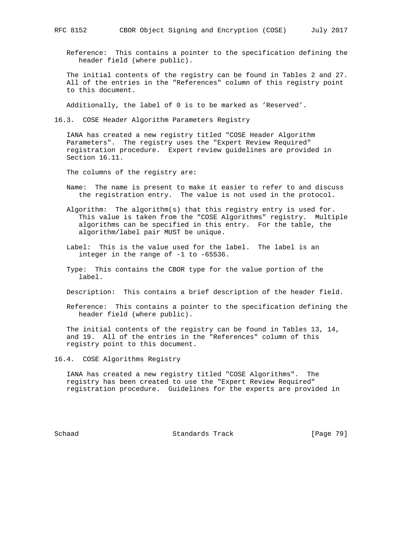Reference: This contains a pointer to the specification defining the header field (where public).

 The initial contents of the registry can be found in Tables 2 and 27. All of the entries in the "References" column of this registry point to this document.

Additionally, the label of 0 is to be marked as 'Reserved'.

16.3. COSE Header Algorithm Parameters Registry

 IANA has created a new registry titled "COSE Header Algorithm Parameters". The registry uses the "Expert Review Required" registration procedure. Expert review guidelines are provided in Section 16.11.

The columns of the registry are:

- Name: The name is present to make it easier to refer to and discuss the registration entry. The value is not used in the protocol.
- Algorithm: The algorithm(s) that this registry entry is used for. This value is taken from the "COSE Algorithms" registry. Multiple algorithms can be specified in this entry. For the table, the algorithm/label pair MUST be unique.
- Label: This is the value used for the label. The label is an integer in the range of -1 to -65536.
- Type: This contains the CBOR type for the value portion of the label.
- Description: This contains a brief description of the header field.
- Reference: This contains a pointer to the specification defining the header field (where public).

 The initial contents of the registry can be found in Tables 13, 14, and 19. All of the entries in the "References" column of this registry point to this document.

16.4. COSE Algorithms Registry

 IANA has created a new registry titled "COSE Algorithms". The registry has been created to use the "Expert Review Required" registration procedure. Guidelines for the experts are provided in

Schaad Standards Track [Page 79]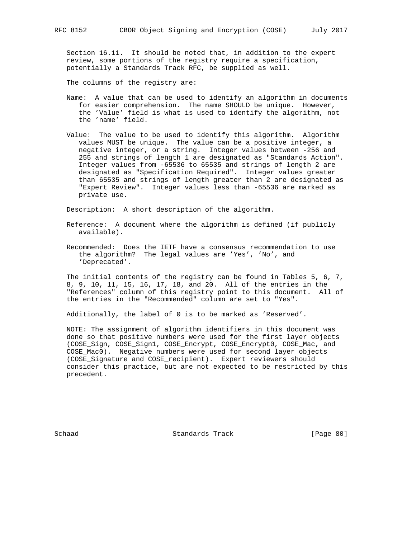Section 16.11. It should be noted that, in addition to the expert review, some portions of the registry require a specification, potentially a Standards Track RFC, be supplied as well.

The columns of the registry are:

- Name: A value that can be used to identify an algorithm in documents for easier comprehension. The name SHOULD be unique. However, the 'Value' field is what is used to identify the algorithm, not the 'name' field.
- Value: The value to be used to identify this algorithm. Algorithm values MUST be unique. The value can be a positive integer, a negative integer, or a string. Integer values between -256 and 255 and strings of length 1 are designated as "Standards Action". Integer values from -65536 to 65535 and strings of length 2 are designated as "Specification Required". Integer values greater than 65535 and strings of length greater than 2 are designated as "Expert Review". Integer values less than -65536 are marked as private use.

Description: A short description of the algorithm.

- Reference: A document where the algorithm is defined (if publicly available).
- Recommended: Does the IETF have a consensus recommendation to use the algorithm? The legal values are 'Yes', 'No', and 'Deprecated'.

 The initial contents of the registry can be found in Tables 5, 6, 7, 8, 9, 10, 11, 15, 16, 17, 18, and 20. All of the entries in the "References" column of this registry point to this document. All of the entries in the "Recommended" column are set to "Yes".

Additionally, the label of 0 is to be marked as 'Reserved'.

 NOTE: The assignment of algorithm identifiers in this document was done so that positive numbers were used for the first layer objects (COSE\_Sign, COSE\_Sign1, COSE\_Encrypt, COSE\_Encrypt0, COSE\_Mac, and COSE\_Mac0). Negative numbers were used for second layer objects (COSE\_Signature and COSE\_recipient). Expert reviewers should consider this practice, but are not expected to be restricted by this precedent.

Schaad Standards Track [Page 80]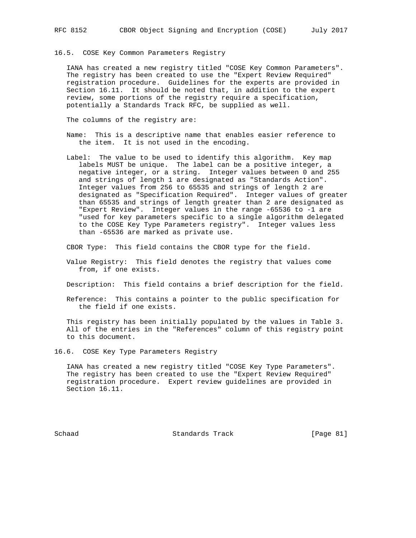16.5. COSE Key Common Parameters Registry

 IANA has created a new registry titled "COSE Key Common Parameters". The registry has been created to use the "Expert Review Required" registration procedure. Guidelines for the experts are provided in Section 16.11. It should be noted that, in addition to the expert review, some portions of the registry require a specification, potentially a Standards Track RFC, be supplied as well.

The columns of the registry are:

- Name: This is a descriptive name that enables easier reference to the item. It is not used in the encoding.
- Label: The value to be used to identify this algorithm. Key map labels MUST be unique. The label can be a positive integer, a negative integer, or a string. Integer values between 0 and 255 and strings of length 1 are designated as "Standards Action". Integer values from 256 to 65535 and strings of length 2 are designated as "Specification Required". Integer values of greater than 65535 and strings of length greater than 2 are designated as "Expert Review". Integer values in the range -65536 to -1 are "used for key parameters specific to a single algorithm delegated to the COSE Key Type Parameters registry". Integer values less than -65536 are marked as private use.

CBOR Type: This field contains the CBOR type for the field.

 Value Registry: This field denotes the registry that values come from, if one exists.

Description: This field contains a brief description for the field.

 Reference: This contains a pointer to the public specification for the field if one exists.

 This registry has been initially populated by the values in Table 3. All of the entries in the "References" column of this registry point to this document.

16.6. COSE Key Type Parameters Registry

 IANA has created a new registry titled "COSE Key Type Parameters". The registry has been created to use the "Expert Review Required" registration procedure. Expert review guidelines are provided in Section 16.11.

Schaad Standards Track [Page 81]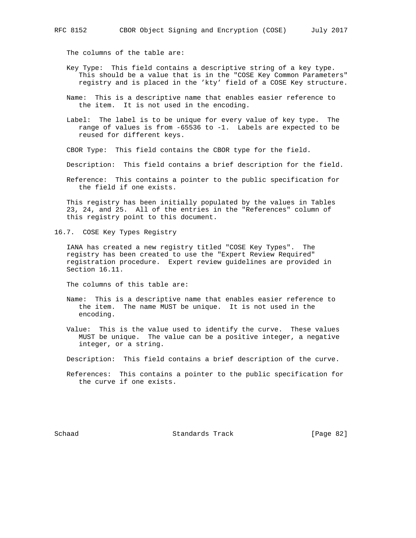The columns of the table are:

- Key Type: This field contains a descriptive string of a key type. This should be a value that is in the "COSE Key Common Parameters" registry and is placed in the 'kty' field of a COSE Key structure.
- Name: This is a descriptive name that enables easier reference to the item. It is not used in the encoding.
- Label: The label is to be unique for every value of key type. The range of values is from -65536 to -1. Labels are expected to be reused for different keys.
- CBOR Type: This field contains the CBOR type for the field.
- Description: This field contains a brief description for the field.
- Reference: This contains a pointer to the public specification for the field if one exists.

 This registry has been initially populated by the values in Tables 23, 24, and 25. All of the entries in the "References" column of this registry point to this document.

16.7. COSE Key Types Registry

 IANA has created a new registry titled "COSE Key Types". The registry has been created to use the "Expert Review Required" registration procedure. Expert review guidelines are provided in Section 16.11.

The columns of this table are:

- Name: This is a descriptive name that enables easier reference to the item. The name MUST be unique. It is not used in the encoding.
- Value: This is the value used to identify the curve. These values MUST be unique. The value can be a positive integer, a negative integer, or a string.
- Description: This field contains a brief description of the curve.
- References: This contains a pointer to the public specification for the curve if one exists.

Schaad Standards Track [Page 82]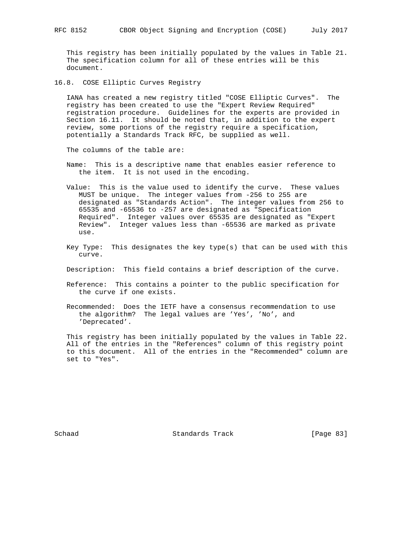This registry has been initially populated by the values in Table 21. The specification column for all of these entries will be this document.

16.8. COSE Elliptic Curves Registry

 IANA has created a new registry titled "COSE Elliptic Curves". The registry has been created to use the "Expert Review Required" registration procedure. Guidelines for the experts are provided in Section 16.11. It should be noted that, in addition to the expert review, some portions of the registry require a specification, potentially a Standards Track RFC, be supplied as well.

The columns of the table are:

- Name: This is a descriptive name that enables easier reference to the item. It is not used in the encoding.
- Value: This is the value used to identify the curve. These values MUST be unique. The integer values from -256 to 255 are designated as "Standards Action". The integer values from 256 to 65535 and -65536 to -257 are designated as "Specification Required". Integer values over 65535 are designated as "Expert Review". Integer values less than -65536 are marked as private use.
- Key Type: This designates the key type(s) that can be used with this curve.
- Description: This field contains a brief description of the curve.
- Reference: This contains a pointer to the public specification for the curve if one exists.
- Recommended: Does the IETF have a consensus recommendation to use the algorithm? The legal values are 'Yes', 'No', and 'Deprecated'.

 This registry has been initially populated by the values in Table 22. All of the entries in the "References" column of this registry point to this document. All of the entries in the "Recommended" column are set to "Yes".

Schaad Standards Track [Page 83]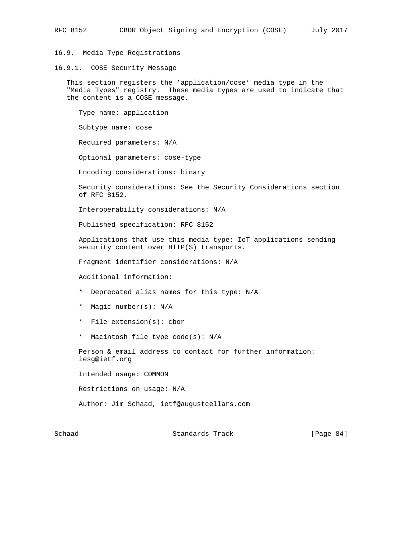16.9. Media Type Registrations

16.9.1. COSE Security Message

 This section registers the 'application/cose' media type in the "Media Types" registry. These media types are used to indicate that the content is a COSE message.

 Type name: application Subtype name: cose Required parameters: N/A Optional parameters: cose-type Encoding considerations: binary Security considerations: See the Security Considerations section of RFC 8152. Interoperability considerations: N/A Published specification: RFC 8152 Applications that use this media type: IoT applications sending security content over HTTP(S) transports. Fragment identifier considerations: N/A Additional information: \* Deprecated alias names for this type: N/A \* Magic number(s): N/A \* File extension(s): cbor \* Macintosh file type code(s): N/A Person & email address to contact for further information: iesg@ietf.org Intended usage: COMMON Restrictions on usage: N/A Author: Jim Schaad, ietf@augustcellars.com

Schaad Standards Track [Page 84]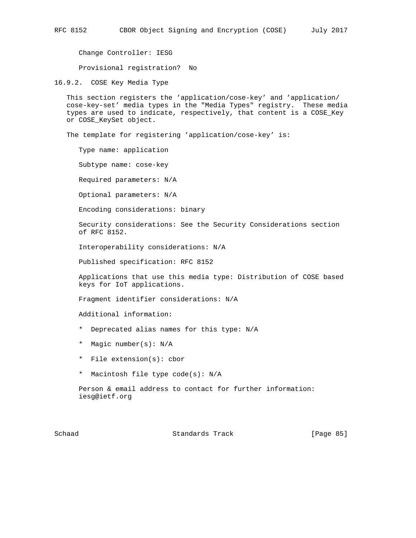Change Controller: IESG

Provisional registration? No

16.9.2. COSE Key Media Type

 This section registers the 'application/cose-key' and 'application/ cose-key-set' media types in the "Media Types" registry. These media types are used to indicate, respectively, that content is a COSE\_Key or COSE\_KeySet object.

The template for registering 'application/cose-key' is:

Type name: application

Subtype name: cose-key

Required parameters: N/A

Optional parameters: N/A

Encoding considerations: binary

 Security considerations: See the Security Considerations section of RFC 8152.

Interoperability considerations: N/A

Published specification: RFC 8152

 Applications that use this media type: Distribution of COSE based keys for IoT applications.

Fragment identifier considerations: N/A

Additional information:

- \* Deprecated alias names for this type: N/A
- \* Magic number(s): N/A
- \* File extension(s): cbor
- \* Macintosh file type code(s): N/A

 Person & email address to contact for further information: iesg@ietf.org

Schaad Standards Track [Page 85]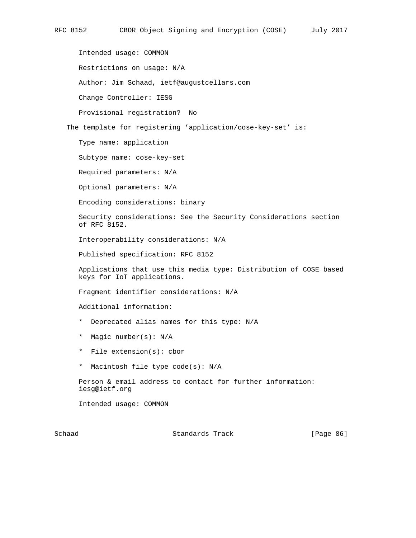Intended usage: COMMON Restrictions on usage: N/A Author: Jim Schaad, ietf@augustcellars.com Change Controller: IESG Provisional registration? No The template for registering 'application/cose-key-set' is: Type name: application Subtype name: cose-key-set Required parameters: N/A Optional parameters: N/A Encoding considerations: binary Security considerations: See the Security Considerations section of RFC 8152. Interoperability considerations: N/A Published specification: RFC 8152 Applications that use this media type: Distribution of COSE based keys for IoT applications. Fragment identifier considerations: N/A Additional information: \* Deprecated alias names for this type: N/A \* Magic number(s): N/A \* File extension(s): cbor \* Macintosh file type code(s): N/A Person & email address to contact for further information: iesg@ietf.org Intended usage: COMMON

Schaad Standards Track [Page 86]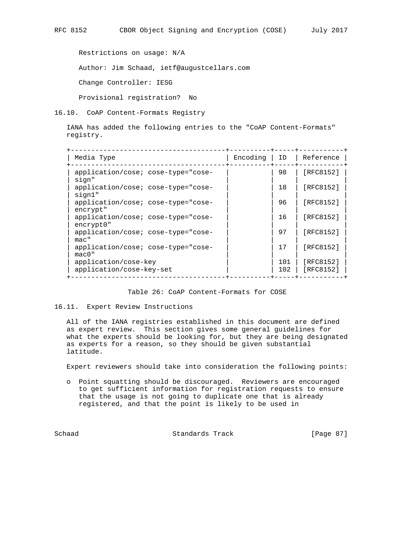Restrictions on usage: N/A Author: Jim Schaad, ietf@augustcellars.com Change Controller: IESG

16.10. CoAP Content-Formats Registry

Provisional registration? No

 IANA has added the following entries to the "CoAP Content-Formats" registry.

| Media Type                                       | Encoding | ID         | Reference              |
|--------------------------------------------------|----------|------------|------------------------|
| application/cose; cose-type="cose-<br>sign"      |          | 98         | [RFC8152]              |
| application/cose; cose-type="cose-<br>sign1"     |          | 18         | [RFC8152]              |
| application/cose; cose-type="cose-<br>encrypt"   |          | 96         | [RFC8152]              |
| application/cose; cose-type="cose-<br>encrypt0"  |          | 16         | [RFC8152]              |
| application/cose; cose-type="cose-<br>$mac$ "    |          | 97         | [RFC8152]              |
| application/cose; cose-type="cose-<br>$mac0$ "   |          | 17         | [RFC8152]              |
| application/cose-key<br>application/cose-key-set |          | 101<br>102 | [RFC8152]<br>[RFC8152] |

#### Table 26: CoAP Content-Formats for COSE

#### 16.11. Expert Review Instructions

 All of the IANA registries established in this document are defined as expert review. This section gives some general guidelines for what the experts should be looking for, but they are being designated as experts for a reason, so they should be given substantial latitude.

Expert reviewers should take into consideration the following points:

 o Point squatting should be discouraged. Reviewers are encouraged to get sufficient information for registration requests to ensure that the usage is not going to duplicate one that is already registered, and that the point is likely to be used in

Schaad Standards Track [Page 87]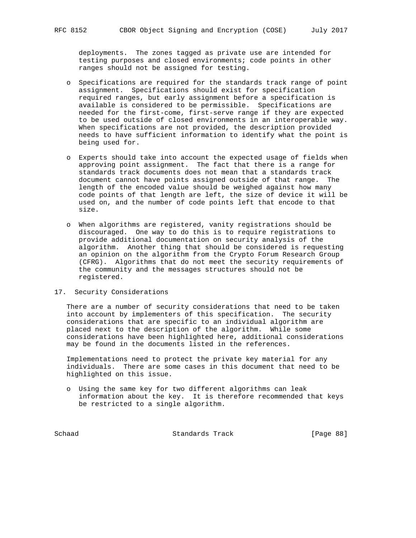deployments. The zones tagged as private use are intended for testing purposes and closed environments; code points in other ranges should not be assigned for testing.

- o Specifications are required for the standards track range of point assignment. Specifications should exist for specification required ranges, but early assignment before a specification is available is considered to be permissible. Specifications are needed for the first-come, first-serve range if they are expected to be used outside of closed environments in an interoperable way. When specifications are not provided, the description provided needs to have sufficient information to identify what the point is being used for.
- o Experts should take into account the expected usage of fields when approving point assignment. The fact that there is a range for standards track documents does not mean that a standards track document cannot have points assigned outside of that range. The length of the encoded value should be weighed against how many code points of that length are left, the size of device it will be used on, and the number of code points left that encode to that size.
- o When algorithms are registered, vanity registrations should be discouraged. One way to do this is to require registrations to provide additional documentation on security analysis of the algorithm. Another thing that should be considered is requesting an opinion on the algorithm from the Crypto Forum Research Group (CFRG). Algorithms that do not meet the security requirements of the community and the messages structures should not be registered.

## 17. Security Considerations

 There are a number of security considerations that need to be taken into account by implementers of this specification. The security considerations that are specific to an individual algorithm are placed next to the description of the algorithm. While some considerations have been highlighted here, additional considerations may be found in the documents listed in the references.

 Implementations need to protect the private key material for any individuals. There are some cases in this document that need to be highlighted on this issue.

 o Using the same key for two different algorithms can leak information about the key. It is therefore recommended that keys be restricted to a single algorithm.

Schaad Standards Track [Page 88]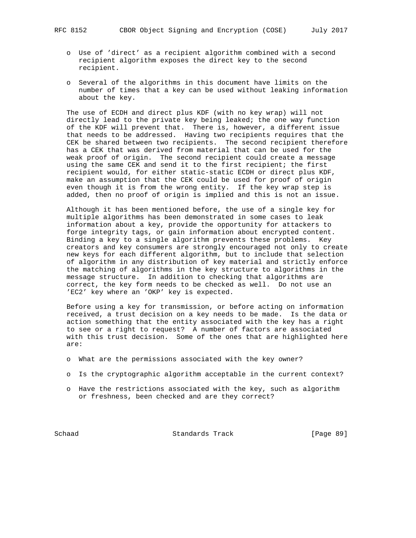- o Use of 'direct' as a recipient algorithm combined with a second recipient algorithm exposes the direct key to the second recipient.
- o Several of the algorithms in this document have limits on the number of times that a key can be used without leaking information about the key.

 The use of ECDH and direct plus KDF (with no key wrap) will not directly lead to the private key being leaked; the one way function of the KDF will prevent that. There is, however, a different issue that needs to be addressed. Having two recipients requires that the CEK be shared between two recipients. The second recipient therefore has a CEK that was derived from material that can be used for the weak proof of origin. The second recipient could create a message using the same CEK and send it to the first recipient; the first recipient would, for either static-static ECDH or direct plus KDF, make an assumption that the CEK could be used for proof of origin even though it is from the wrong entity. If the key wrap step is added, then no proof of origin is implied and this is not an issue.

 Although it has been mentioned before, the use of a single key for multiple algorithms has been demonstrated in some cases to leak information about a key, provide the opportunity for attackers to forge integrity tags, or gain information about encrypted content. Binding a key to a single algorithm prevents these problems. Key creators and key consumers are strongly encouraged not only to create new keys for each different algorithm, but to include that selection of algorithm in any distribution of key material and strictly enforce the matching of algorithms in the key structure to algorithms in the message structure. In addition to checking that algorithms are correct, the key form needs to be checked as well. Do not use an 'EC2' key where an 'OKP' key is expected.

 Before using a key for transmission, or before acting on information received, a trust decision on a key needs to be made. Is the data or action something that the entity associated with the key has a right to see or a right to request? A number of factors are associated with this trust decision. Some of the ones that are highlighted here are:

- o What are the permissions associated with the key owner?
- o Is the cryptographic algorithm acceptable in the current context?
- o Have the restrictions associated with the key, such as algorithm or freshness, been checked and are they correct?

Schaad Standards Track [Page 89]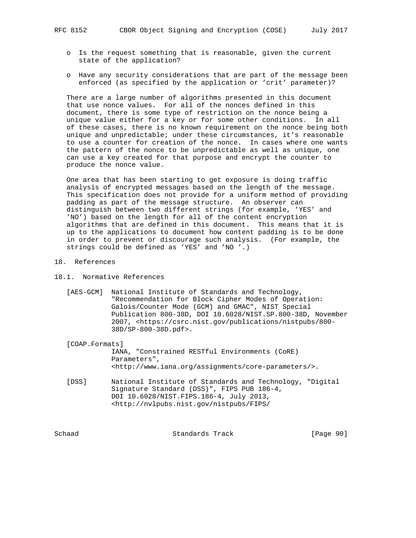- o Is the request something that is reasonable, given the current state of the application?
- o Have any security considerations that are part of the message been enforced (as specified by the application or 'crit' parameter)?

 There are a large number of algorithms presented in this document that use nonce values. For all of the nonces defined in this document, there is some type of restriction on the nonce being a unique value either for a key or for some other conditions. In all of these cases, there is no known requirement on the nonce being both unique and unpredictable; under these circumstances, it's reasonable to use a counter for creation of the nonce. In cases where one wants the pattern of the nonce to be unpredictable as well as unique, one can use a key created for that purpose and encrypt the counter to produce the nonce value.

 One area that has been starting to get exposure is doing traffic analysis of encrypted messages based on the length of the message. This specification does not provide for a uniform method of providing padding as part of the message structure. An observer can distinguish between two different strings (for example, 'YES' and 'NO') based on the length for all of the content encryption algorithms that are defined in this document. This means that it is up to the applications to document how content padding is to be done in order to prevent or discourage such analysis. (For example, the strings could be defined as 'YES' and 'NO '.)

- 18. References
- 18.1. Normative References
	- [AES-GCM] National Institute of Standards and Technology, "Recommendation for Block Cipher Modes of Operation: Galois/Counter Mode (GCM) and GMAC", NIST Special Publication 800-38D, DOI 10.6028/NIST.SP.800-38D, November 2007, <https://csrc.nist.gov/publications/nistpubs/800- 38D/SP-800-38D.pdf>.

[COAP.Formats]

 IANA, "Constrained RESTful Environments (CoRE) Parameters", <http://www.iana.org/assignments/core-parameters/>.

 [DSS] National Institute of Standards and Technology, "Digital Signature Standard (DSS)", FIPS PUB 186-4, DOI 10.6028/NIST.FIPS.186-4, July 2013, <http://nvlpubs.nist.gov/nistpubs/FIPS/

Schaad Standards Track [Page 90]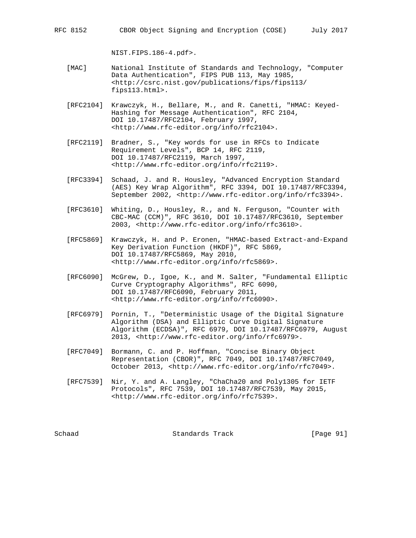RFC 8152 CBOR Object Signing and Encryption (COSE) July 2017

NIST.FIPS.186-4.pdf>.

- [MAC] National Institute of Standards and Technology, "Computer Data Authentication", FIPS PUB 113, May 1985, <http://csrc.nist.gov/publications/fips/fips113/ fips113.html>.
- [RFC2104] Krawczyk, H., Bellare, M., and R. Canetti, "HMAC: Keyed- Hashing for Message Authentication", RFC 2104, DOI 10.17487/RFC2104, February 1997, <http://www.rfc-editor.org/info/rfc2104>.
- [RFC2119] Bradner, S., "Key words for use in RFCs to Indicate Requirement Levels", BCP 14, RFC 2119, DOI 10.17487/RFC2119, March 1997, <http://www.rfc-editor.org/info/rfc2119>.
- [RFC3394] Schaad, J. and R. Housley, "Advanced Encryption Standard (AES) Key Wrap Algorithm", RFC 3394, DOI 10.17487/RFC3394, September 2002, <http://www.rfc-editor.org/info/rfc3394>.
- [RFC3610] Whiting, D., Housley, R., and N. Ferguson, "Counter with CBC-MAC (CCM)", RFC 3610, DOI 10.17487/RFC3610, September 2003, <http://www.rfc-editor.org/info/rfc3610>.
- [RFC5869] Krawczyk, H. and P. Eronen, "HMAC-based Extract-and-Expand Key Derivation Function (HKDF)", RFC 5869, DOI 10.17487/RFC5869, May 2010, <http://www.rfc-editor.org/info/rfc5869>.
- [RFC6090] McGrew, D., Igoe, K., and M. Salter, "Fundamental Elliptic Curve Cryptography Algorithms", RFC 6090, DOI 10.17487/RFC6090, February 2011, <http://www.rfc-editor.org/info/rfc6090>.
- [RFC6979] Pornin, T., "Deterministic Usage of the Digital Signature Algorithm (DSA) and Elliptic Curve Digital Signature Algorithm (ECDSA)", RFC 6979, DOI 10.17487/RFC6979, August 2013, <http://www.rfc-editor.org/info/rfc6979>.
- [RFC7049] Bormann, C. and P. Hoffman, "Concise Binary Object Representation (CBOR)", RFC 7049, DOI 10.17487/RFC7049, October 2013, <http://www.rfc-editor.org/info/rfc7049>.
- [RFC7539] Nir, Y. and A. Langley, "ChaCha20 and Poly1305 for IETF Protocols", RFC 7539, DOI 10.17487/RFC7539, May 2015, <http://www.rfc-editor.org/info/rfc7539>.

Schaad Standards Track [Page 91]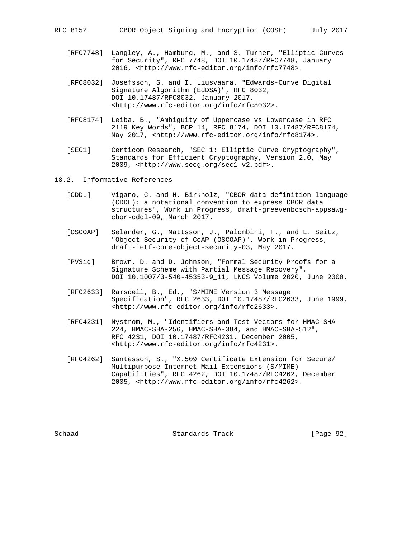- [RFC7748] Langley, A., Hamburg, M., and S. Turner, "Elliptic Curves for Security", RFC 7748, DOI 10.17487/RFC7748, January 2016, <http://www.rfc-editor.org/info/rfc7748>.
- [RFC8032] Josefsson, S. and I. Liusvaara, "Edwards-Curve Digital Signature Algorithm (EdDSA)", RFC 8032, DOI 10.17487/RFC8032, January 2017, <http://www.rfc-editor.org/info/rfc8032>.
- [RFC8174] Leiba, B., "Ambiguity of Uppercase vs Lowercase in RFC 2119 Key Words", BCP 14, RFC 8174, DOI 10.17487/RFC8174, May 2017, <http://www.rfc-editor.org/info/rfc8174>.
- [SEC1] Certicom Research, "SEC 1: Elliptic Curve Cryptography", Standards for Efficient Cryptography, Version 2.0, May 2009, <http://www.secg.org/sec1-v2.pdf>.
- 18.2. Informative References
	- [CDDL] Vigano, C. and H. Birkholz, "CBOR data definition language (CDDL): a notational convention to express CBOR data structures", Work in Progress, draft-greevenbosch-appsawg cbor-cddl-09, March 2017.
	- [OSCOAP] Selander, G., Mattsson, J., Palombini, F., and L. Seitz, "Object Security of CoAP (OSCOAP)", Work in Progress, draft-ietf-core-object-security-03, May 2017.
	- [PVSig] Brown, D. and D. Johnson, "Formal Security Proofs for a Signature Scheme with Partial Message Recovery", DOI 10.1007/3-540-45353-9\_11, LNCS Volume 2020, June 2000.
	- [RFC2633] Ramsdell, B., Ed., "S/MIME Version 3 Message Specification", RFC 2633, DOI 10.17487/RFC2633, June 1999, <http://www.rfc-editor.org/info/rfc2633>.
	- [RFC4231] Nystrom, M., "Identifiers and Test Vectors for HMAC-SHA- 224, HMAC-SHA-256, HMAC-SHA-384, and HMAC-SHA-512", RFC 4231, DOI 10.17487/RFC4231, December 2005, <http://www.rfc-editor.org/info/rfc4231>.
	- [RFC4262] Santesson, S., "X.509 Certificate Extension for Secure/ Multipurpose Internet Mail Extensions (S/MIME) Capabilities", RFC 4262, DOI 10.17487/RFC4262, December 2005, <http://www.rfc-editor.org/info/rfc4262>.

Schaad Standards Track [Page 92]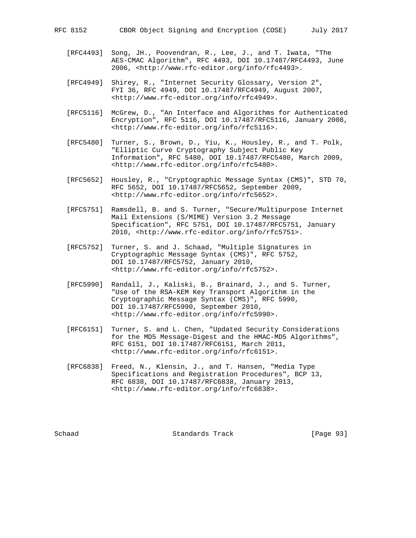- [RFC4493] Song, JH., Poovendran, R., Lee, J., and T. Iwata, "The AES-CMAC Algorithm", RFC 4493, DOI 10.17487/RFC4493, June 2006, <http://www.rfc-editor.org/info/rfc4493>.
- [RFC4949] Shirey, R., "Internet Security Glossary, Version 2", FYI 36, RFC 4949, DOI 10.17487/RFC4949, August 2007, <http://www.rfc-editor.org/info/rfc4949>.
- [RFC5116] McGrew, D., "An Interface and Algorithms for Authenticated Encryption", RFC 5116, DOI 10.17487/RFC5116, January 2008, <http://www.rfc-editor.org/info/rfc5116>.
- [RFC5480] Turner, S., Brown, D., Yiu, K., Housley, R., and T. Polk, "Elliptic Curve Cryptography Subject Public Key Information", RFC 5480, DOI 10.17487/RFC5480, March 2009, <http://www.rfc-editor.org/info/rfc5480>.
- [RFC5652] Housley, R., "Cryptographic Message Syntax (CMS)", STD 70, RFC 5652, DOI 10.17487/RFC5652, September 2009, <http://www.rfc-editor.org/info/rfc5652>.
- [RFC5751] Ramsdell, B. and S. Turner, "Secure/Multipurpose Internet Mail Extensions (S/MIME) Version 3.2 Message Specification", RFC 5751, DOI 10.17487/RFC5751, January 2010, <http://www.rfc-editor.org/info/rfc5751>.
- [RFC5752] Turner, S. and J. Schaad, "Multiple Signatures in Cryptographic Message Syntax (CMS)", RFC 5752, DOI 10.17487/RFC5752, January 2010, <http://www.rfc-editor.org/info/rfc5752>.
- [RFC5990] Randall, J., Kaliski, B., Brainard, J., and S. Turner, "Use of the RSA-KEM Key Transport Algorithm in the Cryptographic Message Syntax (CMS)", RFC 5990, DOI 10.17487/RFC5990, September 2010, <http://www.rfc-editor.org/info/rfc5990>.
- [RFC6151] Turner, S. and L. Chen, "Updated Security Considerations for the MD5 Message-Digest and the HMAC-MD5 Algorithms", RFC 6151, DOI 10.17487/RFC6151, March 2011, <http://www.rfc-editor.org/info/rfc6151>.
- [RFC6838] Freed, N., Klensin, J., and T. Hansen, "Media Type Specifications and Registration Procedures", BCP 13, RFC 6838, DOI 10.17487/RFC6838, January 2013, <http://www.rfc-editor.org/info/rfc6838>.

Schaad Standards Track [Page 93]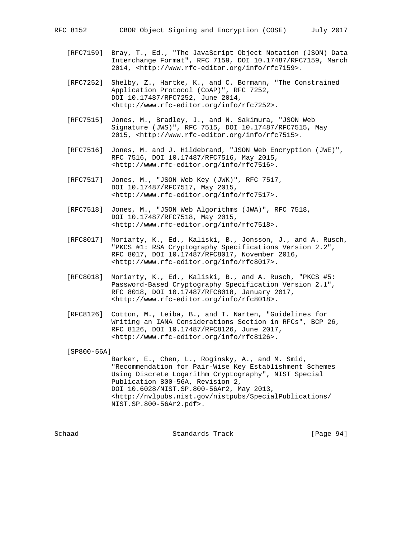- [RFC7159] Bray, T., Ed., "The JavaScript Object Notation (JSON) Data Interchange Format", RFC 7159, DOI 10.17487/RFC7159, March 2014, <http://www.rfc-editor.org/info/rfc7159>.
- [RFC7252] Shelby, Z., Hartke, K., and C. Bormann, "The Constrained Application Protocol (CoAP)", RFC 7252, DOI 10.17487/RFC7252, June 2014, <http://www.rfc-editor.org/info/rfc7252>.
- [RFC7515] Jones, M., Bradley, J., and N. Sakimura, "JSON Web Signature (JWS)", RFC 7515, DOI 10.17487/RFC7515, May 2015, <http://www.rfc-editor.org/info/rfc7515>.
- [RFC7516] Jones, M. and J. Hildebrand, "JSON Web Encryption (JWE)", RFC 7516, DOI 10.17487/RFC7516, May 2015, <http://www.rfc-editor.org/info/rfc7516>.
- [RFC7517] Jones, M., "JSON Web Key (JWK)", RFC 7517, DOI 10.17487/RFC7517, May 2015, <http://www.rfc-editor.org/info/rfc7517>.
- [RFC7518] Jones, M., "JSON Web Algorithms (JWA)", RFC 7518, DOI 10.17487/RFC7518, May 2015, <http://www.rfc-editor.org/info/rfc7518>.
- [RFC8017] Moriarty, K., Ed., Kaliski, B., Jonsson, J., and A. Rusch, "PKCS #1: RSA Cryptography Specifications Version 2.2", RFC 8017, DOI 10.17487/RFC8017, November 2016, <http://www.rfc-editor.org/info/rfc8017>.
- [RFC8018] Moriarty, K., Ed., Kaliski, B., and A. Rusch, "PKCS #5: Password-Based Cryptography Specification Version 2.1", RFC 8018, DOI 10.17487/RFC8018, January 2017, <http://www.rfc-editor.org/info/rfc8018>.
- [RFC8126] Cotton, M., Leiba, B., and T. Narten, "Guidelines for Writing an IANA Considerations Section in RFCs", BCP 26, RFC 8126, DOI 10.17487/RFC8126, June 2017, <http://www.rfc-editor.org/info/rfc8126>.

[SP800-56A]

 Barker, E., Chen, L., Roginsky, A., and M. Smid, "Recommendation for Pair-Wise Key Establishment Schemes Using Discrete Logarithm Cryptography", NIST Special Publication 800-56A, Revision 2, DOI 10.6028/NIST.SP.800-56Ar2, May 2013, <http://nvlpubs.nist.gov/nistpubs/SpecialPublications/ NIST.SP.800-56Ar2.pdf>.

Schaad Standards Track [Page 94]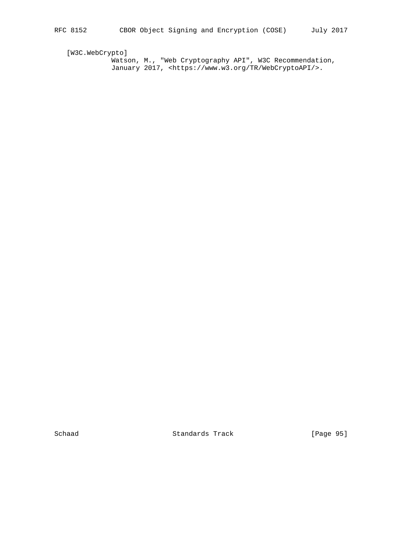[W3C.WebCrypto]

 Watson, M., "Web Cryptography API", W3C Recommendation, January 2017, <https://www.w3.org/TR/WebCryptoAPI/>.

Schaad Standards Track [Page 95]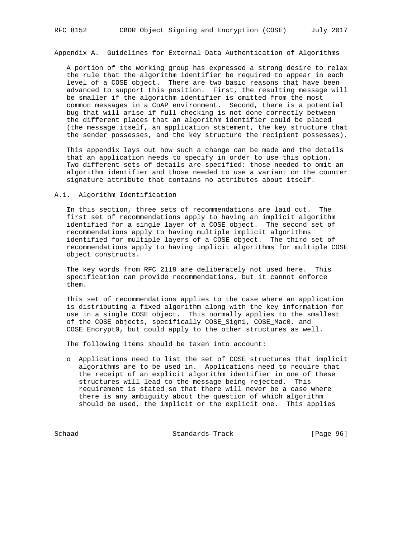Appendix A. Guidelines for External Data Authentication of Algorithms

 A portion of the working group has expressed a strong desire to relax the rule that the algorithm identifier be required to appear in each level of a COSE object. There are two basic reasons that have been advanced to support this position. First, the resulting message will be smaller if the algorithm identifier is omitted from the most common messages in a CoAP environment. Second, there is a potential bug that will arise if full checking is not done correctly between the different places that an algorithm identifier could be placed (the message itself, an application statement, the key structure that the sender possesses, and the key structure the recipient possesses).

 This appendix lays out how such a change can be made and the details that an application needs to specify in order to use this option. Two different sets of details are specified: those needed to omit an algorithm identifier and those needed to use a variant on the counter signature attribute that contains no attributes about itself.

#### A.1. Algorithm Identification

 In this section, three sets of recommendations are laid out. The first set of recommendations apply to having an implicit algorithm identified for a single layer of a COSE object. The second set of recommendations apply to having multiple implicit algorithms identified for multiple layers of a COSE object. The third set of recommendations apply to having implicit algorithms for multiple COSE object constructs.

 The key words from RFC 2119 are deliberately not used here. This specification can provide recommendations, but it cannot enforce them.

 This set of recommendations applies to the case where an application is distributing a fixed algorithm along with the key information for use in a single COSE object. This normally applies to the smallest of the COSE objects, specifically COSE\_Sign1, COSE\_Mac0, and COSE\_Encrypt0, but could apply to the other structures as well.

The following items should be taken into account:

 o Applications need to list the set of COSE structures that implicit algorithms are to be used in. Applications need to require that the receipt of an explicit algorithm identifier in one of these structures will lead to the message being rejected. This requirement is stated so that there will never be a case where there is any ambiguity about the question of which algorithm should be used, the implicit or the explicit one. This applies

Schaad Standards Track [Page 96]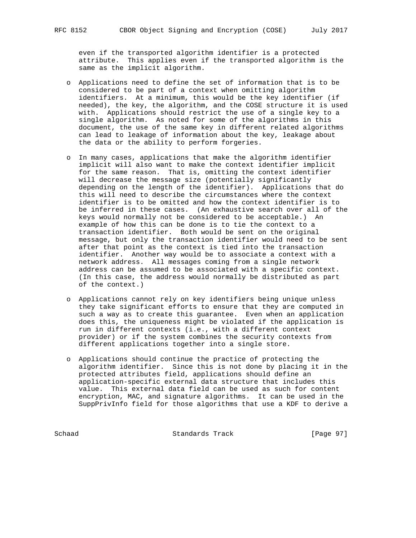even if the transported algorithm identifier is a protected attribute. This applies even if the transported algorithm is the same as the implicit algorithm.

- o Applications need to define the set of information that is to be considered to be part of a context when omitting algorithm identifiers. At a minimum, this would be the key identifier (if needed), the key, the algorithm, and the COSE structure it is used with. Applications should restrict the use of a single key to a single algorithm. As noted for some of the algorithms in this document, the use of the same key in different related algorithms can lead to leakage of information about the key, leakage about the data or the ability to perform forgeries.
- o In many cases, applications that make the algorithm identifier implicit will also want to make the context identifier implicit for the same reason. That is, omitting the context identifier will decrease the message size (potentially significantly depending on the length of the identifier). Applications that do this will need to describe the circumstances where the context identifier is to be omitted and how the context identifier is to be inferred in these cases. (An exhaustive search over all of the keys would normally not be considered to be acceptable.) An example of how this can be done is to tie the context to a transaction identifier. Both would be sent on the original message, but only the transaction identifier would need to be sent after that point as the context is tied into the transaction identifier. Another way would be to associate a context with a network address. All messages coming from a single network address can be assumed to be associated with a specific context. (In this case, the address would normally be distributed as part of the context.)
- o Applications cannot rely on key identifiers being unique unless they take significant efforts to ensure that they are computed in such a way as to create this guarantee. Even when an application does this, the uniqueness might be violated if the application is run in different contexts (i.e., with a different context provider) or if the system combines the security contexts from different applications together into a single store.
- o Applications should continue the practice of protecting the algorithm identifier. Since this is not done by placing it in the protected attributes field, applications should define an application-specific external data structure that includes this value. This external data field can be used as such for content encryption, MAC, and signature algorithms. It can be used in the SuppPrivInfo field for those algorithms that use a KDF to derive a

Schaad Standards Track [Page 97]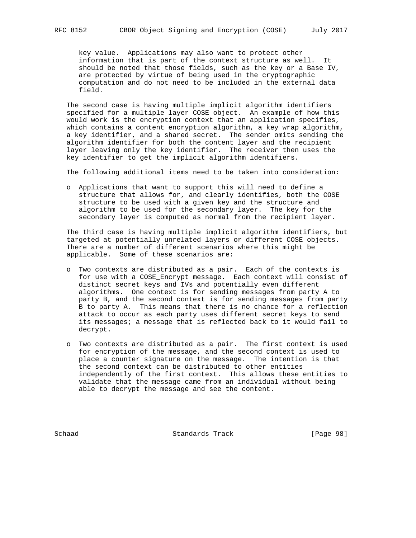key value. Applications may also want to protect other information that is part of the context structure as well. It should be noted that those fields, such as the key or a Base IV, are protected by virtue of being used in the cryptographic computation and do not need to be included in the external data field.

 The second case is having multiple implicit algorithm identifiers specified for a multiple layer COSE object. An example of how this would work is the encryption context that an application specifies, which contains a content encryption algorithm, a key wrap algorithm, a key identifier, and a shared secret. The sender omits sending the algorithm identifier for both the content layer and the recipient layer leaving only the key identifier. The receiver then uses the key identifier to get the implicit algorithm identifiers.

The following additional items need to be taken into consideration:

 o Applications that want to support this will need to define a structure that allows for, and clearly identifies, both the COSE structure to be used with a given key and the structure and algorithm to be used for the secondary layer. The key for the secondary layer is computed as normal from the recipient layer.

 The third case is having multiple implicit algorithm identifiers, but targeted at potentially unrelated layers or different COSE objects. There are a number of different scenarios where this might be applicable. Some of these scenarios are:

- o Two contexts are distributed as a pair. Each of the contexts is for use with a COSE\_Encrypt message. Each context will consist of distinct secret keys and IVs and potentially even different algorithms. One context is for sending messages from party A to party B, and the second context is for sending messages from party B to party A. This means that there is no chance for a reflection attack to occur as each party uses different secret keys to send its messages; a message that is reflected back to it would fail to decrypt.
- o Two contexts are distributed as a pair. The first context is used for encryption of the message, and the second context is used to place a counter signature on the message. The intention is that the second context can be distributed to other entities independently of the first context. This allows these entities to validate that the message came from an individual without being able to decrypt the message and see the content.

Schaad Standards Track [Page 98]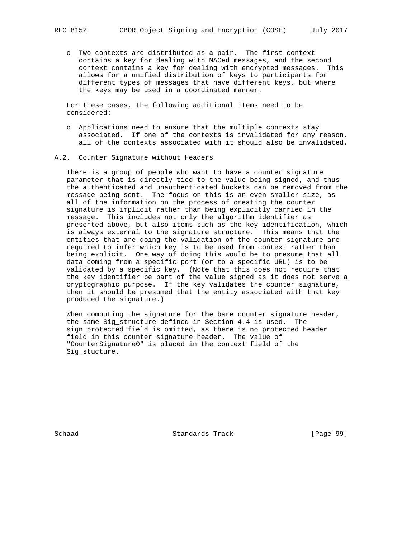o Two contexts are distributed as a pair. The first context contains a key for dealing with MACed messages, and the second context contains a key for dealing with encrypted messages. This allows for a unified distribution of keys to participants for different types of messages that have different keys, but where the keys may be used in a coordinated manner.

 For these cases, the following additional items need to be considered:

- o Applications need to ensure that the multiple contexts stay associated. If one of the contexts is invalidated for any reason, all of the contexts associated with it should also be invalidated.
- A.2. Counter Signature without Headers

 There is a group of people who want to have a counter signature parameter that is directly tied to the value being signed, and thus the authenticated and unauthenticated buckets can be removed from the message being sent. The focus on this is an even smaller size, as all of the information on the process of creating the counter signature is implicit rather than being explicitly carried in the message. This includes not only the algorithm identifier as presented above, but also items such as the key identification, which is always external to the signature structure. This means that the entities that are doing the validation of the counter signature are required to infer which key is to be used from context rather than being explicit. One way of doing this would be to presume that all data coming from a specific port (or to a specific URL) is to be validated by a specific key. (Note that this does not require that the key identifier be part of the value signed as it does not serve a cryptographic purpose. If the key validates the counter signature, then it should be presumed that the entity associated with that key produced the signature.)

When computing the signature for the bare counter signature header, the same Sig\_structure defined in Section 4.4 is used. The sign\_protected field is omitted, as there is no protected header field in this counter signature header. The value of "CounterSignature0" is placed in the context field of the Sig\_stucture.

Schaad Standards Track [Page 99]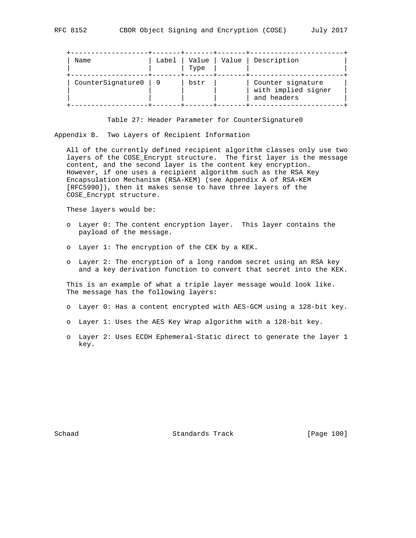| Name              | Label | Value<br>Type | Value | Description                                             |
|-------------------|-------|---------------|-------|---------------------------------------------------------|
| CounterSignature0 |       | bstr          |       | Counter signature<br>with implied signer<br>and headers |

Table 27: Header Parameter for CounterSignature0

Appendix B. Two Layers of Recipient Information

 All of the currently defined recipient algorithm classes only use two layers of the COSE\_Encrypt structure. The first layer is the message content, and the second layer is the content key encryption. However, if one uses a recipient algorithm such as the RSA Key Encapsulation Mechanism (RSA-KEM) (see Appendix A of RSA-KEM [RFC5990]), then it makes sense to have three layers of the COSE\_Encrypt structure.

These layers would be:

- o Layer 0: The content encryption layer. This layer contains the payload of the message.
- o Layer 1: The encryption of the CEK by a KEK.
- o Layer 2: The encryption of a long random secret using an RSA key and a key derivation function to convert that secret into the KEK.

 This is an example of what a triple layer message would look like. The message has the following layers:

- o Layer 0: Has a content encrypted with AES-GCM using a 128-bit key.
- o Layer 1: Uses the AES Key Wrap algorithm with a 128-bit key.
- o Layer 2: Uses ECDH Ephemeral-Static direct to generate the layer 1 key.

Schaad Standards Track [Page 100]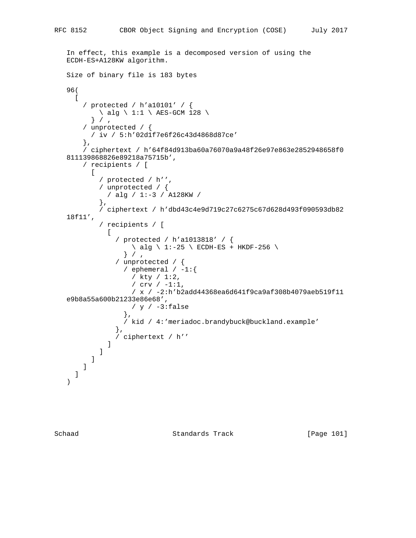```
 In effect, this example is a decomposed version of using the
    ECDH-ES+A128KW algorithm.
    Size of binary file is 183 bytes
   96(
    \sqrt{ } / protected / h'a10101' / {
          \setminus alg \setminus 1:1 \setminus AES-GCM 128 \setminus} / / unprotected / {
          / iv / 5:h'02d1f7e6f26c43d4868d87ce'
        },
        / ciphertext / h'64f84d913ba60a76070a9a48f26e97e863e2852948658f0
    811139868826e89218a75715b',
        / recipients / [
         \lfloor / protected / h'',
             / unprotected / {
             / alg / 1:-3 / A128KW /
             },
            / ciphertext / h'dbd43c4e9d719c27c6275c67d628d493f090593db82
    18f11',
             / recipients / [
Figure 1999
                 / protected / h'a1013818' / {
                   \backslash alg \backslash 1:-25 \backslash ECDH-ES + HKDF-256 \backslash} / / unprotected / {
                  / ephemeral / -1:\{ / kty / 1:2,
                     / crv / -1:1,
                     / x / -2:h'b2add44368ea6d641f9ca9af308b4079aeb519f11
    e9b8a55a600b21233e86e68',
                    / y / -3: false
                   },
                   / kid / 4:'meriadoc.brandybuck@buckland.example'
                 },
               / ciphertext / h''
 ]
 ]
          ]
        ]
      ]
    )
```
Schaad Standards Track [Page 101]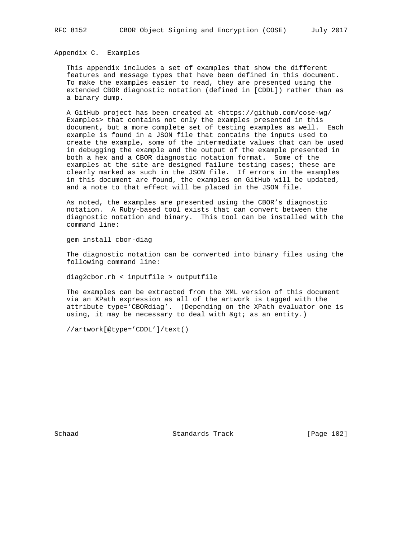Appendix C. Examples

 This appendix includes a set of examples that show the different features and message types that have been defined in this document. To make the examples easier to read, they are presented using the extended CBOR diagnostic notation (defined in [CDDL]) rather than as a binary dump.

 A GitHub project has been created at <https://github.com/cose-wg/ Examples> that contains not only the examples presented in this document, but a more complete set of testing examples as well. Each example is found in a JSON file that contains the inputs used to create the example, some of the intermediate values that can be used in debugging the example and the output of the example presented in both a hex and a CBOR diagnostic notation format. Some of the examples at the site are designed failure testing cases; these are clearly marked as such in the JSON file. If errors in the examples in this document are found, the examples on GitHub will be updated, and a note to that effect will be placed in the JSON file.

 As noted, the examples are presented using the CBOR's diagnostic notation. A Ruby-based tool exists that can convert between the diagnostic notation and binary. This tool can be installed with the command line:

gem install cbor-diag

 The diagnostic notation can be converted into binary files using the following command line:

diag2cbor.rb < inputfile > outputfile

 The examples can be extracted from the XML version of this document via an XPath expression as all of the artwork is tagged with the attribute type='CBORdiag'. (Depending on the XPath evaluator one is using, it may be necessary to deal with  $\>$  as an entity.)

//artwork[@type='CDDL']/text()

Schaad Standards Track [Page 102]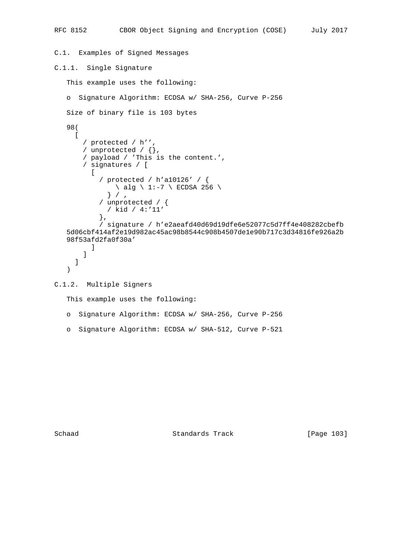```
C.1. Examples of Signed Messages
C.1.1. Single Signature
    This example uses the following:
    o Signature Algorithm: ECDSA w/ SHA-256, Curve P-256
    Size of binary file is 103 bytes
    98(
     \Gamma / protected / h'',
        / unprotected / {},
        / payload / 'This is the content.',
        / signatures / [
         \lfloor / protected / h'a10126' / {
              \setminus alg \setminus 1:-7 \setminus ECDSA 256 \setminus } / ,
             / unprotected / {
              / kid / 4:'11'
             },
             / signature / h'e2aeafd40d69d19dfe6e52077c5d7ff4e408282cbefb
    5d06cbf414af2e19d982ac45ac98b8544c908b4507de1e90b717c3d34816fe926a2b
    98f53afd2fa0f30a'
 ]
        ]
      ]
    )
C.1.2. Multiple Signers
    This example uses the following:
    o Signature Algorithm: ECDSA w/ SHA-256, Curve P-256
```
Schaad Standards Track [Page 103]

o Signature Algorithm: ECDSA w/ SHA-512, Curve P-521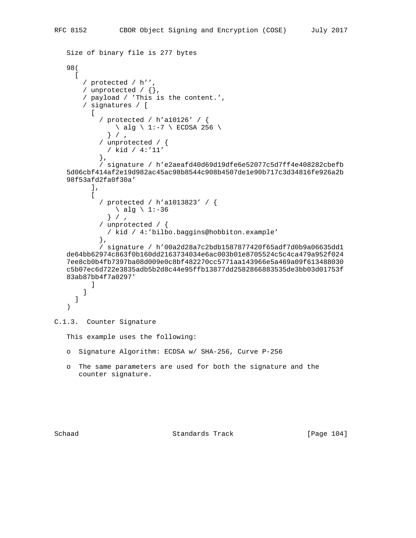```
 Size of binary file is 277 bytes
    98(
     \Gamma / protected / h'',
        / unprotected / {},
        / payload / 'This is the content.',
        / signatures / [
         \sqrt{ } / protected / h'a10126' / {
              \setminus alg \setminus 1:-7 \setminus ECDSA 256 \setminus} / / unprotected / {
              / kid / 4:'11'
             },
             / signature / h'e2aeafd40d69d19dfe6e52077c5d7ff4e408282cbefb
    5d06cbf414af2e19d982ac45ac98b8544c908b4507de1e90b717c3d34816fe926a2b
    98f53afd2fa0f30a'
          ],
         \lceil / protected / h'a1013823' / {
                \backslash alg \backslash 1:-36
              } / / unprotected / {
             / kid / 4:'bilbo.baggins@hobbiton.example'
             },
             / signature / h'00a2d28a7c2bdb1587877420f65adf7d0b9a06635dd1
    de64bb62974c863f0b160dd2163734034e6ac003b01e8705524c5c4ca479a952f024
    7ee8cb0b4fb7397ba08d009e0c8bf482270cc5771aa143966e5a469a09f613488030
    c5b07ec6d722e3835adb5b2d8c44e95ffb13877dd2582866883535de3bb03d01753f
    83ab87bb4f7a0297'
 ]
        ]
      ]
    )
```
# C.1.3. Counter Signature

This example uses the following:

- o Signature Algorithm: ECDSA w/ SHA-256, Curve P-256
- o The same parameters are used for both the signature and the counter signature.

Schaad Standards Track [Page 104]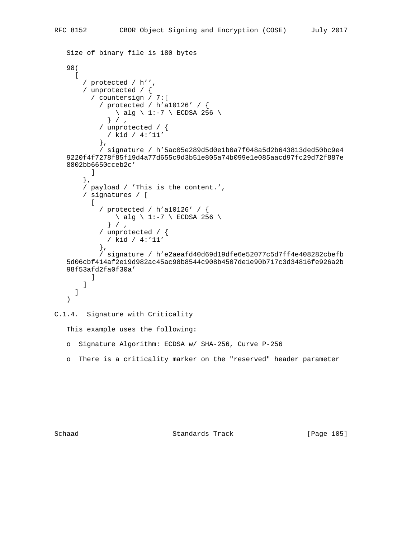```
 Size of binary file is 180 bytes
    98(
     \lceil / protected / h'',
        / unprotected / {
          / countersign / 7:[
             / protected / h'a10126' / {
                \langle alg \langle 1:-7 \langle ECDSA 256 \langle} / / unprotected / {
              / kid / 4:'11'
             },
             / signature / h'5ac05e289d5d0e1b0a7f048a5d2b643813ded50bc9e4
    9220f4f7278f85f19d4a77d655c9d3b51e805a74b099e1e085aacd97fc29d72f887e
    8802bb6650cceb2c'
 ]
        },
        / payload / 'This is the content.',
        / signatures / [
         \Box / protected / h'a10126' / {
                \setminus alg \setminus 1:-7 \setminus ECDSA 256 \setminus } / ,
             / unprotected / {
               / kid / 4:'11'
             },
             / signature / h'e2aeafd40d69d19dfe6e52077c5d7ff4e408282cbefb
    5d06cbf414af2e19d982ac45ac98b8544c908b4507de1e90b717c3d34816fe926a2b
    98f53afd2fa0f30a'
 ]
        ]
     ]
    )
```
C.1.4. Signature with Criticality

This example uses the following:

- o Signature Algorithm: ECDSA w/ SHA-256, Curve P-256
- o There is a criticality marker on the "reserved" header parameter

Schaad Standards Track [Page 105]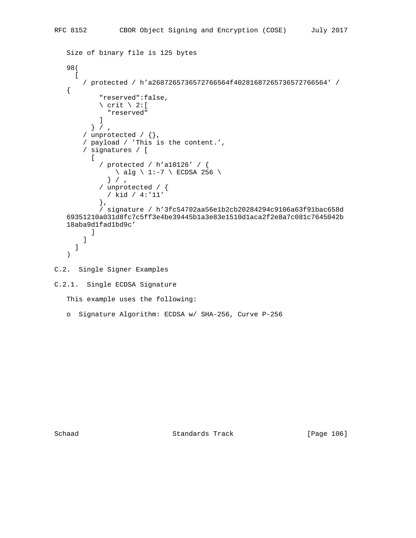```
 Size of binary file is 125 bytes
    98(
     \Gamma / protected / h'a2687265736572766564f40281687265736572766564' /
    {
             "reserved":false,
           \setminus crit \setminus 2: [
             "reserved"
 ]
          } / / unprotected / {},
        / payload / 'This is the content.',
        / signatures / [
         \lceil / protected / h'a10126' / {
              \setminus alg \setminus 1:-7 \setminus ECDSA 256 \setminus } / ,
             / unprotected / {
              / kid / 4:'11'
             },
             / signature / h'3fc54702aa56e1b2cb20284294c9106a63f91bac658d
    69351210a031d8fc7c5ff3e4be39445b1a3e83e1510d1aca2f2e8a7c081c7645042b
    18aba9d1fad1bd9c'
 ]
        ]
      ]
    )
C.2. Single Signer Examples
C.2.1. Single ECDSA Signature
    This example uses the following:
    o Signature Algorithm: ECDSA w/ SHA-256, Curve P-256
```
Schaad Standards Track [Page 106]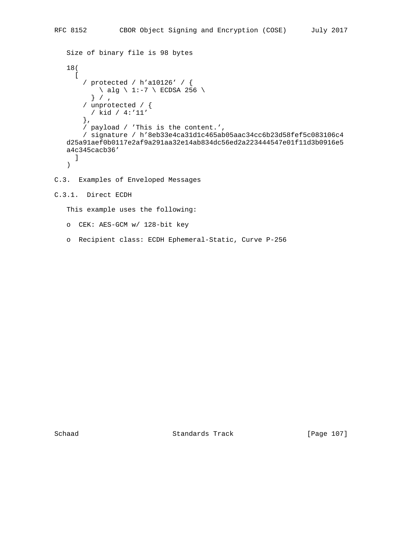```
 Size of binary file is 98 bytes
 18(
  \Gamma / protected / h'a10126' / {
      \setminus alg \setminus 1:-7 \setminus ECDSA 256 \setminus } / ,
     / unprotected / {
      / kid / 4:'11'
     },
     / payload / 'This is the content.',
     / signature / h'8eb33e4ca31d1c465ab05aac34cc6b23d58fef5c083106c4
 d25a91aef0b0117e2af9a291aa32e14ab834dc56ed2a223444547e01f11d3b0916e5
 a4c345cacb36'
   ]
 )
```
- C.3. Examples of Enveloped Messages
- C.3.1. Direct ECDH

This example uses the following:

- o CEK: AES-GCM w/ 128-bit key
- o Recipient class: ECDH Ephemeral-Static, Curve P-256

Schaad Standards Track [Page 107]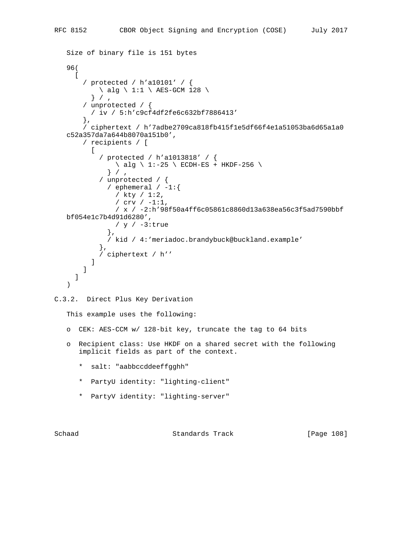```
 Size of binary file is 151 bytes
    96(
     \lceil / protected / h'a10101' / {
          \setminus alg \setminus 1:1 \setminus AES-GCM 128 \setminus} / / unprotected / {
          / iv / 5:h'c9cf4df2fe6c632bf7886413'
        },
        / ciphertext / h'7adbe2709ca818fb415f1e5df66f4e1a51053ba6d65a1a0
    c52a357da7a644b8070a151b0',
        / recipients / [
         \lfloor / protected / h'a1013818' / {
               \setminus alg \setminus 1:-25 \setminus ECDH-ES + HKDF-256 \setminus} / / unprotected / {
              / ephemeral / -1:\{ / kty / 1:2,
                 / crv / -1:1,
                 / x / -2:h'98f50a4ff6c05861c8860d13a638ea56c3f5ad7590bbf
    bf054e1c7b4d91d6280',
                 / y / -3:true
               },
               / kid / 4:'meriadoc.brandybuck@buckland.example'
             },
             / ciphertext / h''
 ]
        ]
      ]
    )
C.3.2. Direct Plus Key Derivation
    This example uses the following:
    o CEK: AES-CCM w/ 128-bit key, truncate the tag to 64 bits
    o Recipient class: Use HKDF on a shared secret with the following
       implicit fields as part of the context.
       * salt: "aabbccddeeffgghh"
       * PartyU identity: "lighting-client"
       * PartyV identity: "lighting-server"
```
Schaad Standards Track [Page 108]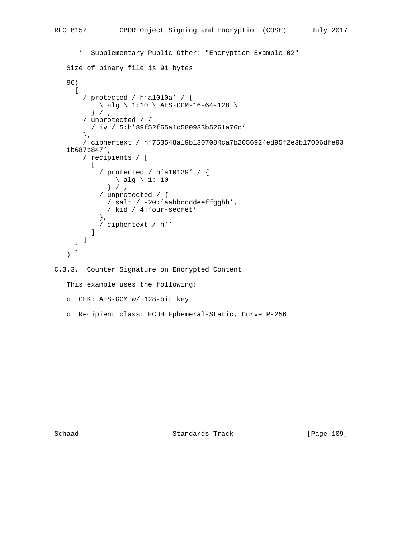```
 * Supplementary Public Other: "Encryption Example 02"
    Size of binary file is 91 bytes
    96(
     \sqrt{ } / protected / h'a1010a' / {
          \setminus alg \setminus 1:10 \setminus AES-CCM-16-64-128 \setminus} / / unprotected / {
          / iv / 5:h'89f52f65a1c580933b5261a76c'
         },
         / ciphertext / h'753548a19b1307084ca7b2056924ed95f2e3b17006dfe93
    1b687b847',
        / recipients / [
         \lceil / protected / h'a10129' / {
               \setminus alg \setminus 1:-10
               } / ,
             / unprotected / {
               / salt / -20:'aabbccddeeffgghh',
               / kid / 4:'our-secret'
             },
           / ciphertext / h''
 ]
        ]
      ]
    )
```

```
C.3.3. Counter Signature on Encrypted Content
```
This example uses the following:

o CEK: AES-GCM w/ 128-bit key

o Recipient class: ECDH Ephemeral-Static, Curve P-256

Schaad Standards Track [Page 109]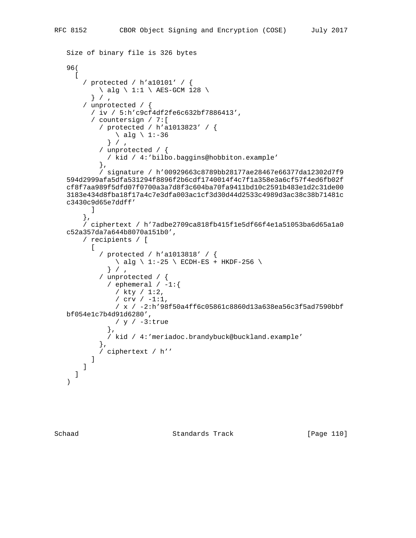```
 Size of binary file is 326 bytes
    96(
     \lceil / protected / h'a10101' / {
          \setminus alg \setminus 1:1 \setminus AES-GCM 128 \setminus} / / unprotected / {
          / iv / 5:h'c9cf4df2fe6c632bf7886413',
          / countersign / 7:[
             / protected / h'a1013823' / {
               \setminus alg \setminus 1:-36
              } / / unprotected / {
              / kid / 4:'bilbo.baggins@hobbiton.example'
             },
             / signature / h'00929663c8789bb28177ae28467e66377da12302d7f9
    594d2999afa5dfa531294f8896f2b6cdf1740014f4c7f1a358e3a6cf57f4ed6fb02f
    cf8f7aa989f5dfd07f0700a3a7d8f3c604ba70fa9411bd10c2591b483e1d2c31de00
    3183e434d8fba18f17a4c7e3dfa003ac1cf3d30d44d2533c4989d3ac38c38b71481c
   c3430c9d65e7ddff'
          ]
        },
        / ciphertext / h'7adbe2709ca818fb415f1e5df66f4e1a51053ba6d65a1a0
    c52a357da7a644b8070a151b0',
        / recipients / [
         \Gamma / protected / h'a1013818' / {
               \setminus alg \setminus 1:-25 \setminus ECDH-ES + HKDF-256 \setminus} / / unprotected / {
              / ephemeral / -1:\{ / kty / 1:2,
                 / crv / -1:1,
                 / x / -2:h'98f50a4ff6c05861c8860d13a638ea56c3f5ad7590bbf
   bf054e1c7b4d91d6280',
                / y / -3:true
               },
               / kid / 4:'meriadoc.brandybuck@buckland.example'
             },
          / ciphertext / h''
 ]
        ]
      ]
    )
```
Schaad Standards Track [Page 110]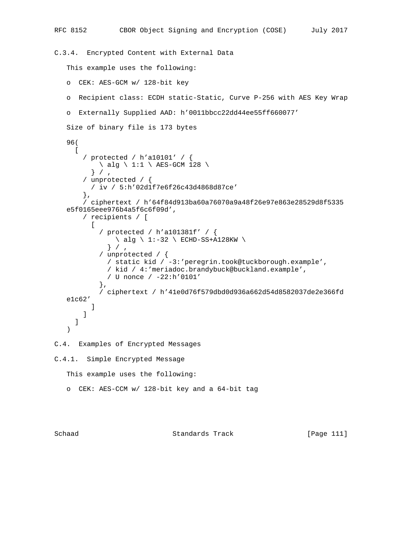```
RFC 8152 CBOR Object Signing and Encryption (COSE) July 2017
C.3.4. Encrypted Content with External Data
    This example uses the following:
    o CEK: AES-GCM w/ 128-bit key
    o Recipient class: ECDH static-Static, Curve P-256 with AES Key Wrap
    o Externally Supplied AAD: h'0011bbcc22dd44ee55ff660077'
    Size of binary file is 173 bytes
    96(
     \lfloor / protected / h'a10101' / {
          \setminus alg \setminus 1:1 \setminus AES-GCM 128 \setminus} / / unprotected / {
          / iv / 5:h'02d1f7e6f26c43d4868d87ce'
        },
        / ciphertext / h'64f84d913ba60a76070a9a48f26e97e863e28529d8f5335
    e5f0165eee976b4a5f6c6f09d',
        / recipients / [
 [
            / protected / h'a101381f' / {
               \setminus alg \setminus 1:-32 \setminus ECHD-SS+A128KW \setminus} / / unprotected / {
              / static kid / -3:'peregrin.took@tuckborough.example',
               / kid / 4:'meriadoc.brandybuck@buckland.example',
               / U nonce / -22:h'0101'
            },
             / ciphertext / h'41e0d76f579dbd0d936a662d54d8582037de2e366fd
    e1c62'
 ]
        ]
      ]
    )
C.4. Examples of Encrypted Messages
C.4.1. Simple Encrypted Message
    This example uses the following:
    o CEK: AES-CCM w/ 128-bit key and a 64-bit tag
```
Schaad Standards Track [Page 111]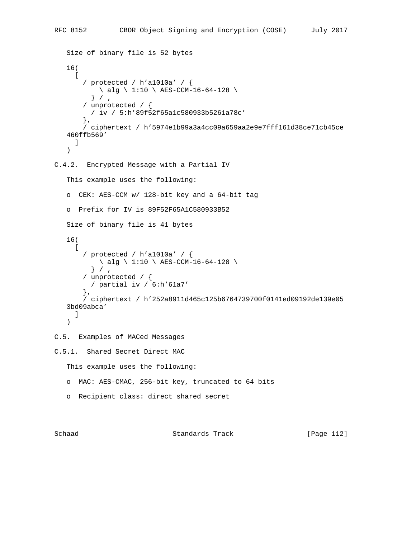```
 Size of binary file is 52 bytes
    16(
     \Gamma / protected / h'a1010a' / {
         \ alg \ 1:10 \ AES-CCM-16-64-128 \
         } / / unprotected / {
         / iv / 5:h'89f52f65a1c580933b5261a78c'
        },
        / ciphertext / h'5974e1b99a3a4cc09a659aa2e9e7fff161d38ce71cb45ce
    460ffb569'
     \Box )
C.4.2. Encrypted Message with a Partial IV
    This example uses the following:
    o CEK: AES-CCM w/ 128-bit key and a 64-bit tag
    o Prefix for IV is 89F52F65A1C580933B52
    Size of binary file is 41 bytes
    16(
\blacksquare / protected / h'a1010a' / {
          \ alg \ 1:10 \ AES-CCM-16-64-128 \
         } / / unprotected / {
          / partial iv / 6:h'61a7'
        },
        / ciphertext / h'252a8911d465c125b6764739700f0141ed09192de139e05
    3bd09abca'
      ]
    )
C.5. Examples of MACed Messages
C.5.1. Shared Secret Direct MAC
    This example uses the following:
    o MAC: AES-CMAC, 256-bit key, truncated to 64 bits
    o Recipient class: direct shared secret
```
Schaad Standards Track [Page 112]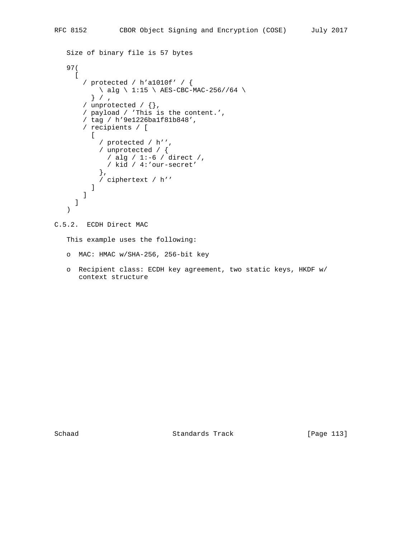```
 Size of binary file is 57 bytes
   97(
    \Gamma / protected / h'a1010f' / {
         \langle alg \langle 1:15 \rangle AES-CBC-MAC-256//64 \langle } / ,
        / unprotected / {},
        / payload / 'This is the content.',
        / tag / h'9e1226ba1f81b848',
        / recipients / [
        \lceil / protected / h'',
 / unprotected / {
 / alg / 1:-6 / direct /,
              / kid / 4:'our-secret'
            },
          / ciphertext / h''
 ]
        ]
     ]
   )
```
## C.5.2. ECDH Direct MAC

This example uses the following:

- o MAC: HMAC w/SHA-256, 256-bit key
- o Recipient class: ECDH key agreement, two static keys, HKDF w/ context structure

Schaad Standards Track [Page 113]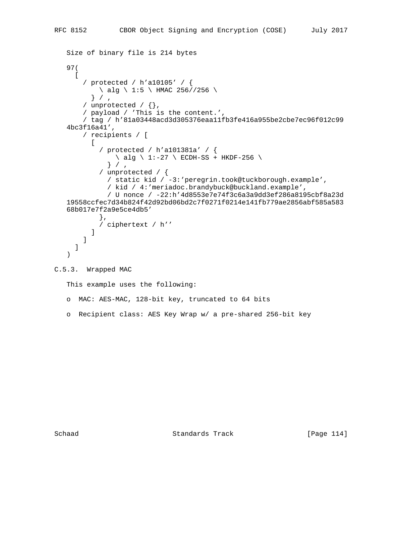```
 Size of binary file is 214 bytes
    97(
     \Gamma / protected / h'a10105' / {
          \ alg \ 1:5 \ HMAC 256//256 \
          } / ,
       / unprotected / \{ \},
        / payload / 'This is the content.',
        / tag / h'81a03448acd3d305376eaa11fb3fe416a955be2cbe7ec96f012c99
    4bc3f16a41',
        / recipients / [
         \Gamma / protected / h'a101381a' / {
               \setminus alg \setminus 1:-27 \setminus ECDH-SS + HKDF-256 \setminus} / / unprotected / {
               / static kid / -3:'peregrin.took@tuckborough.example',
               / kid / 4:'meriadoc.brandybuck@buckland.example',
               / U nonce / -22:h'4d8553e7e74f3c6a3a9dd3ef286a8195cbf8a23d
    19558ccfec7d34b824f42d92bd06bd2c7f0271f0214e141fb779ae2856abf585a583
    68b017e7f2a9e5ce4db5'
             },
          / ciphertext / h''
 ]
        ]
      ]
    )
C.5.3. Wrapped MAC
```

```
 This example uses the following:
```
- o MAC: AES-MAC, 128-bit key, truncated to 64 bits
- o Recipient class: AES Key Wrap w/ a pre-shared 256-bit key

Schaad Standards Track [Page 114]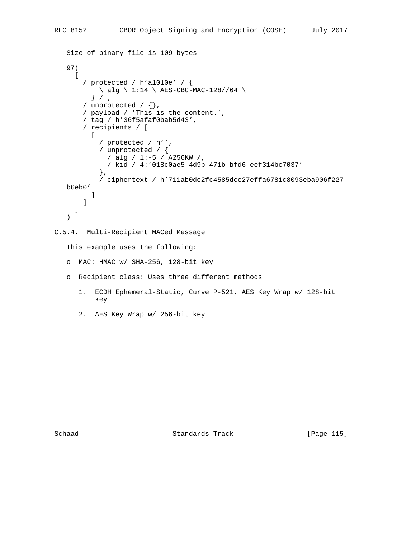```
 Size of binary file is 109 bytes
    97(
     \Gamma / protected / h'a1010e' / {
          \backslash alg \backslash 1:14 \backslash AES-CBC-MAC-128//64 \backslash} // unprotected / \{ \},
        / payload / 'This is the content.',
        / tag / h'36f5afaf0bab5d43',
        / recipients / [
         \lceil / protected / h'',
 / unprotected / {
 / alg / 1:-5 / A256KW /,
              / kid / 4:'018c0ae5-4d9b-471b-bfd6-eef314bc7037'
             },
             / ciphertext / h'711ab0dc2fc4585dce27effa6781c8093eba906f227
    b6eb0'
          ]
        ]
      ]
    )
C.5.4. Multi-Recipient MACed Message
    This example uses the following:
    o MAC: HMAC w/ SHA-256, 128-bit key
    o Recipient class: Uses three different methods
```
- 1. ECDH Ephemeral-Static, Curve P-521, AES Key Wrap w/ 128-bit key
- 2. AES Key Wrap w/ 256-bit key

Schaad Standards Track [Page 115]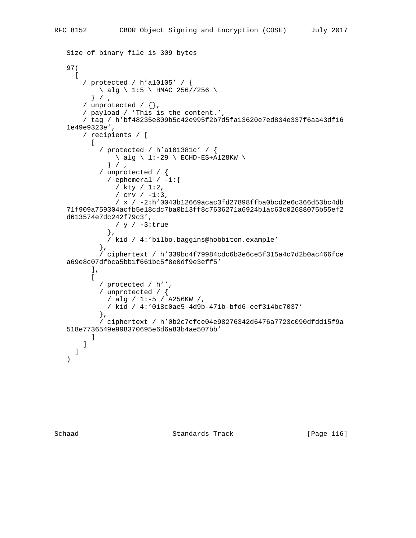```
 Size of binary file is 309 bytes
 97(
  \Gamma / protected / h'a10105' / {
       \backslash alg \backslash 1:5 \backslash HMAC 256//256 \backslash } / ,
    / unprotected / \{ \},
     / payload / 'This is the content.',
     / tag / h'bf48235e809b5c42e995f2b7d5fa13620e7ed834e337f6aa43df16
 1e49e9323e',
     / recipients / [
      \Gamma / protected / h'a101381c' / {
            \backslash alg \backslash 1:-29 \backslash ECHD-ES+A128KW \backslash} / / unprotected / {
           / ephemeral / -1:\{ / kty / 1:2,
             / crv / -1:3,
              / x / -2:h'0043b12669acac3fd27898ffba0bcd2e6c366d53bc4db
 71f909a759304acfb5e18cdc7ba0b13ff8c7636271a6924b1ac63c02688075b55ef2
 d613574e7dc242f79c3',
             / y / -3:true
            },
            / kid / 4:'bilbo.baggins@hobbiton.example'
          },
          / ciphertext / h'339bc4f79984cdc6b3e6ce5f315a4c7d2b0ac466fce
 a69e8c07dfbca5bb1f661bc5f8e0df9e3eff5'
      \,,
      \lceil / protected / h'',
          / unprotected / {
           / alg / 1:-5 / A256KW /,
            / kid / 4:'018c0ae5-4d9b-471b-bfd6-eef314bc7037'
          },
          / ciphertext / h'0b2c7cfce04e98276342d6476a7723c090dfdd15f9a
 518e7736549e998370695e6d6a83b4ae507bb'
       ]
     ]
   ]
 )
```
Schaad Standards Track [Page 116]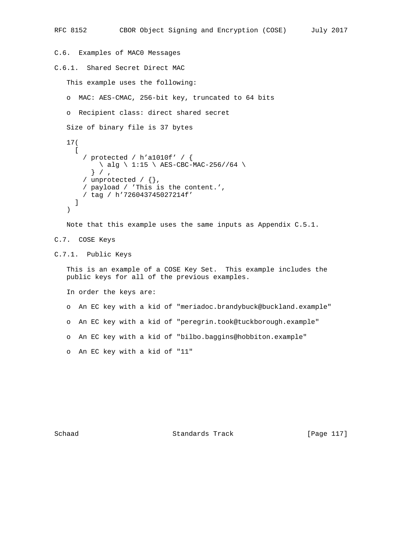```
C.6. Examples of MAC0 Messages
C.6.1. Shared Secret Direct MAC
    This example uses the following:
    o MAC: AES-CMAC, 256-bit key, truncated to 64 bits
    o Recipient class: direct shared secret
    Size of binary file is 37 bytes
    17(
     \lceil / protected / h'a1010f' / {
          \setminus alg \setminus 1:15 \setminus AES-CBC-MAC-256//64 \setminus } / ,
        / unprotected / {},
        / payload / 'This is the content.',
        / tag / h'726043745027214f'
      ]
    )
    Note that this example uses the same inputs as Appendix C.5.1.
C.7. COSE Keys
C.7.1. Public Keys
    This is an example of a COSE Key Set. This example includes the
    public keys for all of the previous examples.
    In order the keys are:
    o An EC key with a kid of "meriadoc.brandybuck@buckland.example"
```
RFC 8152 CBOR Object Signing and Encryption (COSE) July 2017

- o An EC key with a kid of "peregrin.took@tuckborough.example"
- o An EC key with a kid of "bilbo.baggins@hobbiton.example"
- o An EC key with a kid of "11"

Schaad Standards Track [Page 117]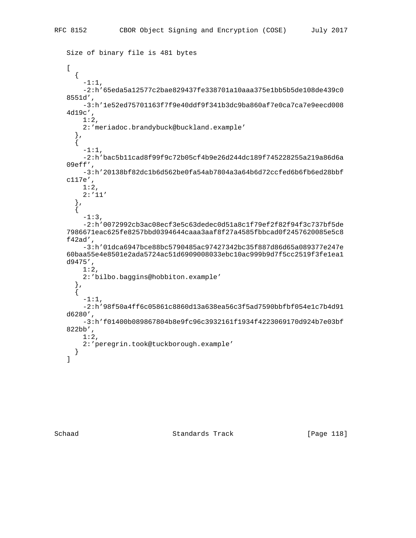```
 Size of binary file is 481 bytes
 [
   {
     -1:1,
     -2:h'65eda5a12577c2bae829437fe338701a10aaa375e1bb5b5de108de439c0
 8551d',
     -3:h'1e52ed75701163f7f9e40ddf9f341b3dc9ba860af7e0ca7ca7e9eecd008
 4d19c',
   1:2,
     2:'meriadoc.brandybuck@buckland.example'
   },
   {
    -1:1,
     -2:h'bac5b11cad8f99f9c72b05cf4b9e26d244dc189f745228255a219a86d6a
 09eff',
     -3:h'20138bf82dc1b6d562be0fa54ab7804a3a64b6d72ccfed6b6fb6ed28bbf
 c117e',
    1:2,
     2:'11'
   },
   {
    -1:3,
     -2:h'0072992cb3ac08ecf3e5c63dedec0d51a8c1f79ef2f82f94f3c737bf5de
 7986671eac625fe8257bbd0394644caaa3aaf8f27a4585fbbcad0f2457620085e5c8
 f42ad',
     -3:h'01dca6947bce88bc5790485ac97427342bc35f887d86d65a089377e247e
 60baa55e4e8501e2ada5724ac51d6909008033ebc10ac999b9d7f5cc2519f3fe1ea1
 d9475',
     1:2,
     2:'bilbo.baggins@hobbiton.example'
   },
   {
    -1:1,
     -2:h'98f50a4ff6c05861c8860d13a638ea56c3f5ad7590bbfbf054e1c7b4d91
 d6280',
     -3:h'f01400b089867804b8e9fc96c3932161f1934f4223069170d924b7e03bf
 822bb',
     1:2,
     2:'peregrin.took@tuckborough.example'
   }
 ]
```
Schaad Standards Track [Page 118]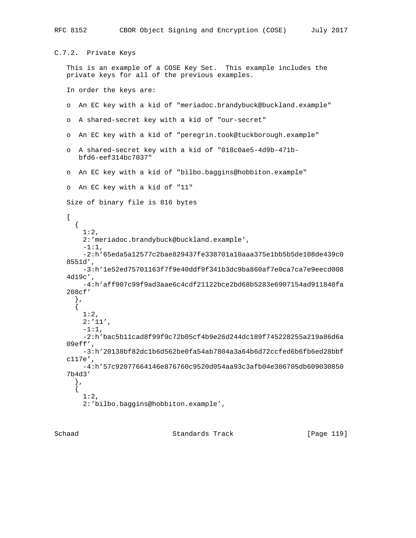```
C.7.2. Private Keys
    This is an example of a COSE Key Set. This example includes the
    private keys for all of the previous examples.
    In order the keys are:
    o An EC key with a kid of "meriadoc.brandybuck@buckland.example"
    o A shared-secret key with a kid of "our-secret"
    o An EC key with a kid of "peregrin.took@tuckborough.example"
    o A shared-secret key with a kid of "018c0ae5-4d9b-471b-
       bfd6-eef314bc7037"
    o An EC key with a kid of "bilbo.baggins@hobbiton.example"
    o An EC key with a kid of "11"
    Size of binary file is 816 bytes
   \Gamma {
        1:2,
        2:'meriadoc.brandybuck@buckland.example',
       -1:1,
        -2:h'65eda5a12577c2bae829437fe338701a10aaa375e1bb5b5de108de439c0
    8551d',
        -3:h'1e52ed75701163f7f9e40ddf9f341b3dc9ba860af7e0ca7ca7e9eecd008
    4d19c',
        -4:h'aff907c99f9ad3aae6c4cdf21122bce2bd68b5283e6907154ad911840fa
    208cf'
      },
      {
        1:2,
        2:'11',
        -1:1,
        -2:h'bac5b11cad8f99f9c72b05cf4b9e26d244dc189f745228255a219a86d6a
    09eff',
        -3:h'20138bf82dc1b6d562be0fa54ab7804a3a64b6d72ccfed6b6fb6ed28bbf
    c117e',
        -4:h'57c92077664146e876760c9520d054aa93c3afb04e306705db609030850
    7b4d3'
      },
      {
        1:2,
        2:'bilbo.baggins@hobbiton.example',
```
RFC 8152 CBOR Object Signing and Encryption (COSE) July 2017

Schaad Standards Track [Page 119]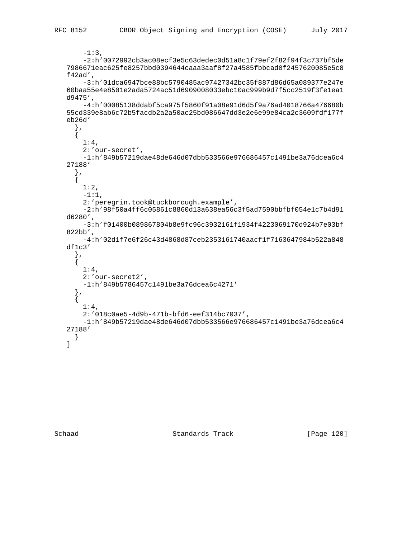```
-1:3,
        -2:h'0072992cb3ac08ecf3e5c63dedec0d51a8c1f79ef2f82f94f3c737bf5de
    7986671eac625fe8257bbd0394644caaa3aaf8f27a4585fbbcad0f2457620085e5c8
    f42ad',
        -3:h'01dca6947bce88bc5790485ac97427342bc35f887d86d65a089377e247e
    60baa55e4e8501e2ada5724ac51d6909008033ebc10ac999b9d7f5cc2519f3fe1ea1
    d9475',
        -4:h'00085138ddabf5ca975f5860f91a08e91d6d5f9a76ad4018766a476680b
    55cd339e8ab6c72b5facdb2a2a50ac25bd086647dd3e2e6e99e84ca2c3609fdf177f
    eb26d'
      },
      {
       1:4,
        2:'our-secret',
        -1:h'849b57219dae48de646d07dbb533566e976686457c1491be3a76dcea6c4
    27188'
 },
\left\{\begin{array}{ccc} \end{array}\right\} 1:2,
       -1:1,
        2:'peregrin.took@tuckborough.example',
        -2:h'98f50a4ff6c05861c8860d13a638ea56c3f5ad7590bbfbf054e1c7b4d91
    d6280',
        -3:h'f01400b089867804b8e9fc96c3932161f1934f4223069170d924b7e03bf
    822bb',
        -4:h'02d1f7e6f26c43d4868d87ceb2353161740aacf1f7163647984b522a848
    df1c3'
      },
      {
        1:4,
        2:'our-secret2',
        -1:h'849b5786457c1491be3a76dcea6c4271'
      },
      {
       1:4,
        2:'018c0ae5-4d9b-471b-bfd6-eef314bc7037',
        -1:h'849b57219dae48de646d07dbb533566e976686457c1491be3a76dcea6c4
    27188'
     }
    ]
```
Schaad Standards Track [Page 120]